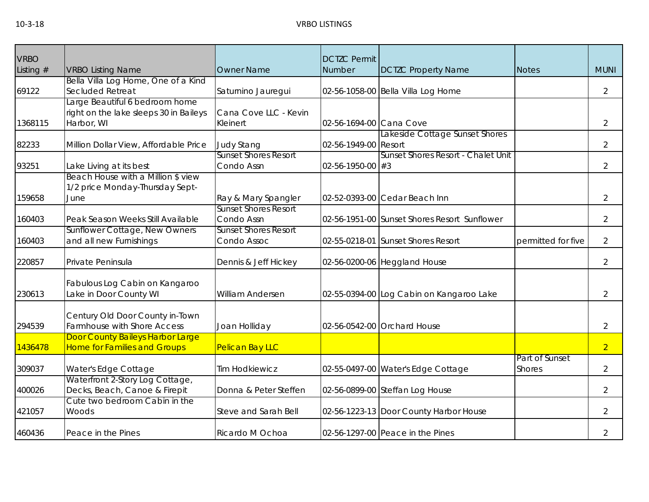| <b>VRBO</b> |                                                                                        |                                            | <b>DCTZC Permit</b>      |                                              |                                 |                |
|-------------|----------------------------------------------------------------------------------------|--------------------------------------------|--------------------------|----------------------------------------------|---------------------------------|----------------|
| Listing $#$ | <b>VRBO Listing Name</b>                                                               | <b>Owner Name</b>                          | Number                   | <b>DCTZC Property Name</b>                   | <b>Notes</b>                    | <b>MUNI</b>    |
| 69122       | Bella Villa Log Home, One of a Kind<br>Secluded Retreat                                | Saturnino Jauregui                         |                          | 02-56-1058-00 Bella Villa Log Home           |                                 | $\overline{2}$ |
| 1368115     | Large Beautiful 6 bedroom home<br>right on the lake sleeps 30 in Baileys<br>Harbor, WI | Cana Cove LLC - Kevin<br>Kleinert          | 02-56-1694-00 Cana Cove  |                                              |                                 | $\overline{2}$ |
| 82233       | Million Dollar View, Affordable Price                                                  | <b>Judy Stang</b>                          | 02-56-1949-00 Resort     | Lakeside Cottage Sunset Shores               |                                 | $\overline{2}$ |
| 93251       | Lake Living at its best                                                                | <b>Sunset Shores Resort</b><br>Condo Assn  | $02 - 56 - 1950 - 00$ #3 | Sunset Shores Resort - Chalet Unit           |                                 | 2              |
| 159658      | Beach House with a Million \$ view<br>1/2 price Monday-Thursday Sept-<br>June          | Ray & Mary Spangler                        |                          | 02-52-0393-00 Cedar Beach Inn                |                                 | $\overline{2}$ |
| 160403      | Peak Season Weeks Still Available                                                      | <b>Sunset Shores Resort</b><br>Condo Assn  |                          | 02-56-1951-00 Sunset Shores Resort Sunflower |                                 | $\overline{2}$ |
| 160403      | Sunflower Cottage, New Owners<br>and all new Furnishings                               | <b>Sunset Shores Resort</b><br>Condo Assoc |                          | 02-55-0218-01 Sunset Shores Resort           | permitted for five              | 2              |
| 220857      | Private Peninsula                                                                      | Dennis & Jeff Hickey                       |                          | 02-56-0200-06 Heggland House                 |                                 | 2              |
| 230613      | Fabulous Log Cabin on Kangaroo<br>Lake in Door County WI                               | William Andersen                           |                          | 02-55-0394-00 Log Cabin on Kangaroo Lake     |                                 | 2              |
| 294539      | Century Old Door County in-Town<br><b>Farmhouse with Shore Access</b>                  | Joan Holliday                              |                          | 02-56-0542-00 Orchard House                  |                                 | $\overline{2}$ |
| 1436478     | Door County Baileys Harbor Large<br><b>Home for Families and Groups</b>                | Pelican Bay LLC                            |                          |                                              |                                 | $\overline{2}$ |
| 309037      | Water's Edge Cottage                                                                   | <b>Tim Hodkiewicz</b>                      |                          | 02-55-0497-00 Water's Edge Cottage           | Part of Sunset<br><b>Shores</b> | $\overline{2}$ |
| 400026      | Waterfront 2-Story Log Cottage,<br>Decks, Beach, Canoe & Firepit                       | Donna & Peter Steffen                      |                          | 02-56-0899-00 Steffan Log House              |                                 | 2              |
| 421057      | Cute two bedroom Cabin in the<br>Woods                                                 | Steve and Sarah Bell                       |                          | 02-56-1223-13 Door County Harbor House       |                                 | $\overline{2}$ |
| 460436      | Peace in the Pines                                                                     | Ricardo M Ochoa                            |                          | 02-56-1297-00 Peace in the Pines             |                                 | 2              |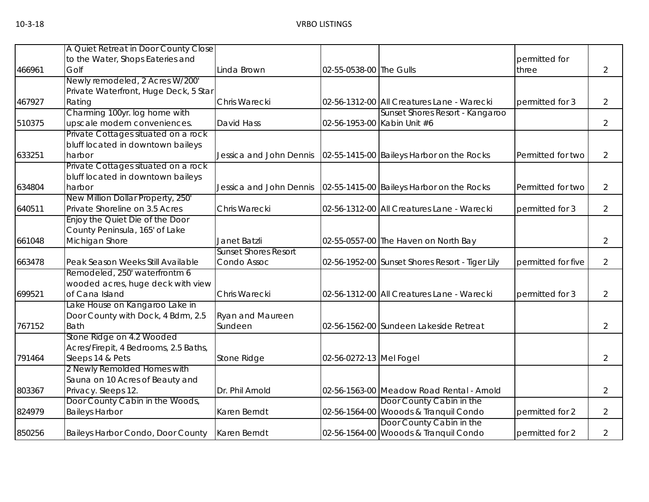|        | A Quiet Retreat in Door County Close  |                             |                         |                                                 |                    |                |
|--------|---------------------------------------|-----------------------------|-------------------------|-------------------------------------------------|--------------------|----------------|
|        | to the Water, Shops Eateries and      |                             |                         |                                                 | permitted for      |                |
| 466961 | Golf                                  | Linda Brown                 | 02-55-0538-00 The Gulls |                                                 | three              | $\overline{2}$ |
|        | Newly remodeled, 2 Acres W/200'       |                             |                         |                                                 |                    |                |
|        | Private Waterfront, Huge Deck, 5 Star |                             |                         |                                                 |                    |                |
| 467927 | Rating                                | Chris Warecki               |                         | 02-56-1312-00 All Creatures Lane - Warecki      | permitted for 3    | 2              |
|        | Charming 100yr. log home with         |                             |                         | Sunset Shores Resort - Kangaroo                 |                    |                |
| 510375 | upscale modern conveniences.          | David Hass                  |                         | 02-56-1953-00 Kabin Unit #6                     |                    | 2              |
|        | Private Cottages situated on a rock   |                             |                         |                                                 |                    |                |
|        | bluff located in downtown baileys     |                             |                         |                                                 |                    |                |
| 633251 | harbor                                | Jessica and John Dennis     |                         | 02-55-1415-00 Baileys Harbor on the Rocks       | Permitted for two  | $\overline{2}$ |
|        | Private Cottages situated on a rock   |                             |                         |                                                 |                    |                |
|        | bluff located in downtown baileys     |                             |                         |                                                 |                    |                |
| 634804 | harbor                                | Jessica and John Dennis     |                         | 02-55-1415-00 Baileys Harbor on the Rocks       | Permitted for two  | 2              |
|        | New Million Dollar Property, 250'     |                             |                         |                                                 |                    |                |
| 640511 | Private Shoreline on 3.5 Acres        | Chris Warecki               |                         | 02-56-1312-00 All Creatures Lane - Warecki      | permitted for 3    | $\overline{2}$ |
|        | Enjoy the Quiet Die of the Door       |                             |                         |                                                 |                    |                |
|        | County Peninsula, 165' of Lake        |                             |                         |                                                 |                    |                |
| 661048 | Michigan Shore                        | Janet Batzli                |                         | 02-55-0557-00 The Haven on North Bay            |                    | $\overline{2}$ |
|        |                                       | <b>Sunset Shores Resort</b> |                         |                                                 |                    |                |
| 663478 | Peak Season Weeks Still Available     | Condo Assoc                 |                         | 02-56-1952-00 Sunset Shores Resort - Tiger Lily | permitted for five | $\overline{2}$ |
|        | Remodeled, 250' waterfrontm 6         |                             |                         |                                                 |                    |                |
|        | wooded acres, huge deck with view     |                             |                         |                                                 |                    |                |
| 699521 | of Cana Island                        | Chris Warecki               |                         | 02-56-1312-00 All Creatures Lane - Warecki      | permitted for 3    | 2              |
|        | Lake House on Kangaroo Lake in        |                             |                         |                                                 |                    |                |
|        | Door County with Dock, 4 Bdrm, 2.5    | <b>Ryan and Maureen</b>     |                         |                                                 |                    |                |
| 767152 | <b>Bath</b>                           | Sundeen                     |                         | 02-56-1562-00 Sundeen Lakeside Retreat          |                    | 2              |
|        | Stone Ridge on 4.2 Wooded             |                             |                         |                                                 |                    |                |
|        | Acres/Firepit, 4 Bedrooms, 2.5 Baths, |                             |                         |                                                 |                    |                |
| 791464 | Sleeps 14 & Pets                      | Stone Ridge                 | 02-56-0272-13 Mel Fogel |                                                 |                    | $\overline{2}$ |
|        | 2 Newly Remolded Homes with           |                             |                         |                                                 |                    |                |
|        | Sauna on 10 Acres of Beauty and       |                             |                         |                                                 |                    |                |
| 803367 | Privacy. Sleeps 12.                   | Dr. Phil Arnold             |                         | 02-56-1563-00 Meadow Road Rental - Arnold       |                    | $\overline{2}$ |
|        | Door County Cabin in the Woods,       |                             |                         | Door County Cabin in the                        |                    |                |
| 824979 | <b>Baileys Harbor</b>                 | Karen Berndt                |                         | 02-56-1564-00 Wooods & Tranquil Condo           | permitted for 2    | 2              |
|        |                                       |                             |                         | Door County Cabin in the                        |                    |                |
| 850256 | Baileys Harbor Condo, Door County     | Karen Berndt                |                         | 02-56-1564-00 Wooods & Tranquil Condo           | permitted for 2    | 2              |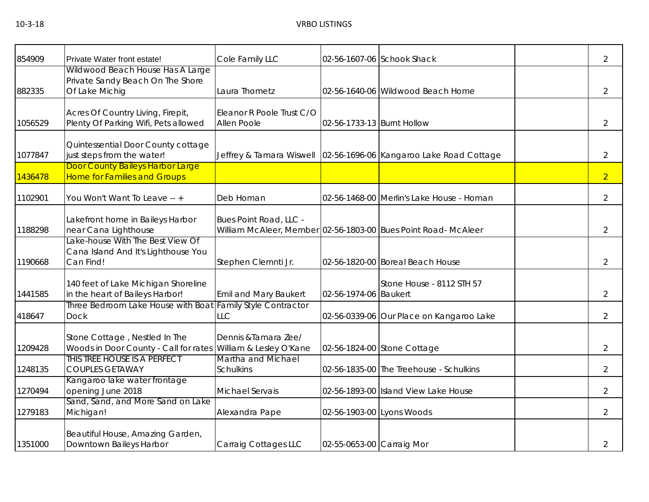| 854909  | Private Water front estate!                                                                    | Cole Family LLC                          |                            | 02-56-1607-06 Schook Shack                                     | $\overline{2}$ |
|---------|------------------------------------------------------------------------------------------------|------------------------------------------|----------------------------|----------------------------------------------------------------|----------------|
| 882335  | Wildwood Beach House Has A Large<br>Private Sandy Beach On The Shore<br>Of Lake Michig         | Laura Thometz                            |                            | 02-56-1640-06 Wildwood Beach Home                              | $\overline{2}$ |
| 1056529 | Acres Of Country Living, Firepit,<br>Plenty Of Parking Wifi, Pets allowed                      | Eleanor R Poole Trust C/O<br>Allen Poole | 02-56-1733-13 Burnt Hollow |                                                                | $\overline{2}$ |
| 1077847 | Quintessential Door County cottage<br>just steps from the water!                               | Jeffrey & Tamara Wiswell                 |                            | 02-56-1696-06 Kangaroo Lake Road Cottage                       | $\overline{2}$ |
| 1436478 | Door County Baileys Harbor Large<br><b>Home for Families and Groups</b>                        |                                          |                            |                                                                | $\overline{2}$ |
| 1102901 | You Won't Want To Leave -- +                                                                   | Deb Homan                                |                            | 02-56-1468-00 Merlin's Lake House - Homan                      | $\overline{2}$ |
| 1188298 | Lakefront home in Baileys Harbor<br>near Cana Lighthouse                                       | Bues Point Road, LLC -                   |                            | William McAleer, Member 02-56-1803-00 Bues Point Road- McAleer | $\overline{2}$ |
| 1190668 | Lake-house With The Best View Of<br>Cana Island And It's Lighthouse You<br>Can Find!           | Stephen Clemnti Jr.                      |                            | 02-56-1820-00 Boreal Beach House                               | $\overline{2}$ |
| 1441585 | 140 feet of Lake Michigan Shoreline<br>in the heart of Baileys Harbor!                         | Emil and Mary Baukert                    | 02-56-1974-06 Baukert      | Stone House - 8112 STH 57                                      | $\overline{2}$ |
| 418647  | Three Bedroom Lake House with Boat Family Style Contractor<br><b>Dock</b>                      | <b>LLC</b>                               |                            | 02-56-0339-06 Our Place on Kangaroo Lake                       | $\overline{2}$ |
| 1209428 | Stone Cottage, Nestled In The<br>Woods in Door County - Call for rates William & Lesley O'Kane | Dennis & Tamara Zee/                     |                            | 02-56-1824-00 Stone Cottage                                    | $\overline{2}$ |
| 1248135 | THIS TREE HOUSE IS A PERFECT<br><b>COUPLES GETAWAY</b>                                         | Martha and Michael<br><b>Schulkins</b>   |                            | 02-56-1835-00 The Treehouse - Schulkins                        | $\overline{2}$ |
| 1270494 | Kangaroo lake water frontage<br>opening June 2018                                              | <b>Michael Servais</b>                   |                            | 02-56-1893-00 Island View Lake House                           | $\overline{2}$ |
| 1279183 | Sand, Sand, and More Sand on Lake<br>Michigan!                                                 | Alexandra Pape                           | 02-56-1903-00 Lyons Woods  |                                                                | $\overline{2}$ |
| 1351000 | Beautiful House, Amazing Garden,<br>Downtown Baileys Harbor                                    | Carraig Cottages LLC                     | 02-55-0653-00 Carraig Mor  |                                                                | $\overline{2}$ |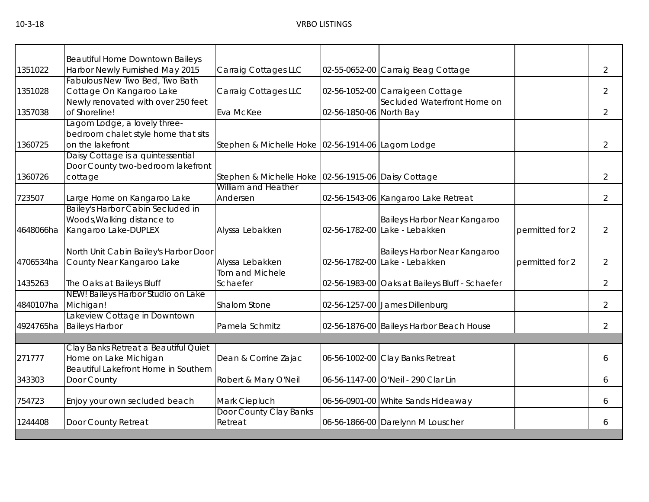| Beautiful Home Downtown Baileys<br>Harbor Newly Furnished May 2015<br>Carraig Cottages LLC<br>$\overline{2}$<br>1351022<br>02-55-0652-00 Carraig Beag Cottage<br>Fabulous New Two Bed, Two Bath<br>Carraig Cottages LLC<br>$\overline{2}$<br>Cottage On Kangaroo Lake<br>02-56-1052-00 Carraigeen Cottage<br>1351028<br>Secluded Waterfront Home on<br>Newly renovated with over 250 feet<br>of Shoreline!<br>02-56-1850-06 North Bay<br>$\overline{2}$<br>1357038<br>Eva McKee<br>Lagom Lodge, a lovely three-<br>bedroom chalet style home that sits<br>on the lakefront<br>$\overline{2}$<br>1360725<br>Stephen & Michelle Hoke 02-56-1914-06 Lagom Lodge<br>Daisy Cottage is a quintessential<br>Door County two-bedroom lakefront<br>1360726<br>Stephen & Michelle Hoke 02-56-1915-06 Daisy Cottage<br>$\overline{2}$<br>cottage<br>William and Heather<br>Andersen<br>Large Home on Kangaroo Lake<br>02-56-1543-06 Kangaroo Lake Retreat<br>$\overline{2}$<br>Bailey's Harbor Cabin Secluded in<br>Woods, Walking distance to<br>Baileys Harbor Near Kangaroo<br>Kangaroo Lake-DUPLEX<br>02-56-1782-00 Lake - Lebakken<br>Alyssa Lebakken<br>permitted for 2<br>$\overline{2}$<br>North Unit Cabin Bailey's Harbor Door<br>Baileys Harbor Near Kangaroo<br>County Near Kangaroo Lake<br>02-56-1782-00 Lake - Lebakken<br>Alyssa Lebakken<br>permitted for 2<br>$\overline{2}$<br>Tom and Michele<br>The Oaks at Baileys Bluff<br>Schaefer<br>02-56-1983-00 Oaks at Baileys Bluff - Schaefer<br>$\overline{2}$<br>NEW! Baileys Harbor Studio on Lake<br>Michigan!<br>Shalom Stone<br>02-56-1257-00 James Dillenburg<br>$\overline{2}$<br>Lakeview Cottage in Downtown<br><b>Baileys Harbor</b><br>Pamela Schmitz<br>02-56-1876-00 Baileys Harbor Beach House<br>$\overline{2}$<br>Clay Banks Retreat a Beautiful Quiet<br>Home on Lake Michigan<br>06-56-1002-00 Clay Banks Retreat<br>Dean & Corrine Zajac<br>6<br>Beautiful Lakefront Home in Southern<br>343303<br>Door County<br>Robert & Mary O'Neil<br>06-56-1147-00 O'Neil - 290 Clar Lin<br>6<br>Enjoy your own secluded beach<br>Mark Ciepluch<br>754723<br>06-56-0901-00 White Sands Hideaway<br>6<br>Door County Clay Banks<br>1244408<br>Door County Retreat<br>06-56-1866-00 Darelynn M Louscher<br>Retreat<br>6 |           |  |  |  |
|------------------------------------------------------------------------------------------------------------------------------------------------------------------------------------------------------------------------------------------------------------------------------------------------------------------------------------------------------------------------------------------------------------------------------------------------------------------------------------------------------------------------------------------------------------------------------------------------------------------------------------------------------------------------------------------------------------------------------------------------------------------------------------------------------------------------------------------------------------------------------------------------------------------------------------------------------------------------------------------------------------------------------------------------------------------------------------------------------------------------------------------------------------------------------------------------------------------------------------------------------------------------------------------------------------------------------------------------------------------------------------------------------------------------------------------------------------------------------------------------------------------------------------------------------------------------------------------------------------------------------------------------------------------------------------------------------------------------------------------------------------------------------------------------------------------------------------------------------------------------------------------------------------------------------------------------------------------------------------------------------------------------------------------------------------------------------------------------------------------------------------------------------------------------------------------------------------------------------------------------------------------------------------|-----------|--|--|--|
|                                                                                                                                                                                                                                                                                                                                                                                                                                                                                                                                                                                                                                                                                                                                                                                                                                                                                                                                                                                                                                                                                                                                                                                                                                                                                                                                                                                                                                                                                                                                                                                                                                                                                                                                                                                                                                                                                                                                                                                                                                                                                                                                                                                                                                                                                    |           |  |  |  |
|                                                                                                                                                                                                                                                                                                                                                                                                                                                                                                                                                                                                                                                                                                                                                                                                                                                                                                                                                                                                                                                                                                                                                                                                                                                                                                                                                                                                                                                                                                                                                                                                                                                                                                                                                                                                                                                                                                                                                                                                                                                                                                                                                                                                                                                                                    |           |  |  |  |
|                                                                                                                                                                                                                                                                                                                                                                                                                                                                                                                                                                                                                                                                                                                                                                                                                                                                                                                                                                                                                                                                                                                                                                                                                                                                                                                                                                                                                                                                                                                                                                                                                                                                                                                                                                                                                                                                                                                                                                                                                                                                                                                                                                                                                                                                                    |           |  |  |  |
|                                                                                                                                                                                                                                                                                                                                                                                                                                                                                                                                                                                                                                                                                                                                                                                                                                                                                                                                                                                                                                                                                                                                                                                                                                                                                                                                                                                                                                                                                                                                                                                                                                                                                                                                                                                                                                                                                                                                                                                                                                                                                                                                                                                                                                                                                    |           |  |  |  |
|                                                                                                                                                                                                                                                                                                                                                                                                                                                                                                                                                                                                                                                                                                                                                                                                                                                                                                                                                                                                                                                                                                                                                                                                                                                                                                                                                                                                                                                                                                                                                                                                                                                                                                                                                                                                                                                                                                                                                                                                                                                                                                                                                                                                                                                                                    |           |  |  |  |
|                                                                                                                                                                                                                                                                                                                                                                                                                                                                                                                                                                                                                                                                                                                                                                                                                                                                                                                                                                                                                                                                                                                                                                                                                                                                                                                                                                                                                                                                                                                                                                                                                                                                                                                                                                                                                                                                                                                                                                                                                                                                                                                                                                                                                                                                                    |           |  |  |  |
|                                                                                                                                                                                                                                                                                                                                                                                                                                                                                                                                                                                                                                                                                                                                                                                                                                                                                                                                                                                                                                                                                                                                                                                                                                                                                                                                                                                                                                                                                                                                                                                                                                                                                                                                                                                                                                                                                                                                                                                                                                                                                                                                                                                                                                                                                    |           |  |  |  |
|                                                                                                                                                                                                                                                                                                                                                                                                                                                                                                                                                                                                                                                                                                                                                                                                                                                                                                                                                                                                                                                                                                                                                                                                                                                                                                                                                                                                                                                                                                                                                                                                                                                                                                                                                                                                                                                                                                                                                                                                                                                                                                                                                                                                                                                                                    |           |  |  |  |
|                                                                                                                                                                                                                                                                                                                                                                                                                                                                                                                                                                                                                                                                                                                                                                                                                                                                                                                                                                                                                                                                                                                                                                                                                                                                                                                                                                                                                                                                                                                                                                                                                                                                                                                                                                                                                                                                                                                                                                                                                                                                                                                                                                                                                                                                                    |           |  |  |  |
|                                                                                                                                                                                                                                                                                                                                                                                                                                                                                                                                                                                                                                                                                                                                                                                                                                                                                                                                                                                                                                                                                                                                                                                                                                                                                                                                                                                                                                                                                                                                                                                                                                                                                                                                                                                                                                                                                                                                                                                                                                                                                                                                                                                                                                                                                    |           |  |  |  |
|                                                                                                                                                                                                                                                                                                                                                                                                                                                                                                                                                                                                                                                                                                                                                                                                                                                                                                                                                                                                                                                                                                                                                                                                                                                                                                                                                                                                                                                                                                                                                                                                                                                                                                                                                                                                                                                                                                                                                                                                                                                                                                                                                                                                                                                                                    |           |  |  |  |
|                                                                                                                                                                                                                                                                                                                                                                                                                                                                                                                                                                                                                                                                                                                                                                                                                                                                                                                                                                                                                                                                                                                                                                                                                                                                                                                                                                                                                                                                                                                                                                                                                                                                                                                                                                                                                                                                                                                                                                                                                                                                                                                                                                                                                                                                                    |           |  |  |  |
|                                                                                                                                                                                                                                                                                                                                                                                                                                                                                                                                                                                                                                                                                                                                                                                                                                                                                                                                                                                                                                                                                                                                                                                                                                                                                                                                                                                                                                                                                                                                                                                                                                                                                                                                                                                                                                                                                                                                                                                                                                                                                                                                                                                                                                                                                    |           |  |  |  |
|                                                                                                                                                                                                                                                                                                                                                                                                                                                                                                                                                                                                                                                                                                                                                                                                                                                                                                                                                                                                                                                                                                                                                                                                                                                                                                                                                                                                                                                                                                                                                                                                                                                                                                                                                                                                                                                                                                                                                                                                                                                                                                                                                                                                                                                                                    |           |  |  |  |
|                                                                                                                                                                                                                                                                                                                                                                                                                                                                                                                                                                                                                                                                                                                                                                                                                                                                                                                                                                                                                                                                                                                                                                                                                                                                                                                                                                                                                                                                                                                                                                                                                                                                                                                                                                                                                                                                                                                                                                                                                                                                                                                                                                                                                                                                                    | 723507    |  |  |  |
|                                                                                                                                                                                                                                                                                                                                                                                                                                                                                                                                                                                                                                                                                                                                                                                                                                                                                                                                                                                                                                                                                                                                                                                                                                                                                                                                                                                                                                                                                                                                                                                                                                                                                                                                                                                                                                                                                                                                                                                                                                                                                                                                                                                                                                                                                    |           |  |  |  |
|                                                                                                                                                                                                                                                                                                                                                                                                                                                                                                                                                                                                                                                                                                                                                                                                                                                                                                                                                                                                                                                                                                                                                                                                                                                                                                                                                                                                                                                                                                                                                                                                                                                                                                                                                                                                                                                                                                                                                                                                                                                                                                                                                                                                                                                                                    |           |  |  |  |
|                                                                                                                                                                                                                                                                                                                                                                                                                                                                                                                                                                                                                                                                                                                                                                                                                                                                                                                                                                                                                                                                                                                                                                                                                                                                                                                                                                                                                                                                                                                                                                                                                                                                                                                                                                                                                                                                                                                                                                                                                                                                                                                                                                                                                                                                                    | 4648066ha |  |  |  |
|                                                                                                                                                                                                                                                                                                                                                                                                                                                                                                                                                                                                                                                                                                                                                                                                                                                                                                                                                                                                                                                                                                                                                                                                                                                                                                                                                                                                                                                                                                                                                                                                                                                                                                                                                                                                                                                                                                                                                                                                                                                                                                                                                                                                                                                                                    |           |  |  |  |
|                                                                                                                                                                                                                                                                                                                                                                                                                                                                                                                                                                                                                                                                                                                                                                                                                                                                                                                                                                                                                                                                                                                                                                                                                                                                                                                                                                                                                                                                                                                                                                                                                                                                                                                                                                                                                                                                                                                                                                                                                                                                                                                                                                                                                                                                                    |           |  |  |  |
|                                                                                                                                                                                                                                                                                                                                                                                                                                                                                                                                                                                                                                                                                                                                                                                                                                                                                                                                                                                                                                                                                                                                                                                                                                                                                                                                                                                                                                                                                                                                                                                                                                                                                                                                                                                                                                                                                                                                                                                                                                                                                                                                                                                                                                                                                    | 4706534ha |  |  |  |
|                                                                                                                                                                                                                                                                                                                                                                                                                                                                                                                                                                                                                                                                                                                                                                                                                                                                                                                                                                                                                                                                                                                                                                                                                                                                                                                                                                                                                                                                                                                                                                                                                                                                                                                                                                                                                                                                                                                                                                                                                                                                                                                                                                                                                                                                                    |           |  |  |  |
|                                                                                                                                                                                                                                                                                                                                                                                                                                                                                                                                                                                                                                                                                                                                                                                                                                                                                                                                                                                                                                                                                                                                                                                                                                                                                                                                                                                                                                                                                                                                                                                                                                                                                                                                                                                                                                                                                                                                                                                                                                                                                                                                                                                                                                                                                    | 1435263   |  |  |  |
|                                                                                                                                                                                                                                                                                                                                                                                                                                                                                                                                                                                                                                                                                                                                                                                                                                                                                                                                                                                                                                                                                                                                                                                                                                                                                                                                                                                                                                                                                                                                                                                                                                                                                                                                                                                                                                                                                                                                                                                                                                                                                                                                                                                                                                                                                    |           |  |  |  |
|                                                                                                                                                                                                                                                                                                                                                                                                                                                                                                                                                                                                                                                                                                                                                                                                                                                                                                                                                                                                                                                                                                                                                                                                                                                                                                                                                                                                                                                                                                                                                                                                                                                                                                                                                                                                                                                                                                                                                                                                                                                                                                                                                                                                                                                                                    | 4840107ha |  |  |  |
|                                                                                                                                                                                                                                                                                                                                                                                                                                                                                                                                                                                                                                                                                                                                                                                                                                                                                                                                                                                                                                                                                                                                                                                                                                                                                                                                                                                                                                                                                                                                                                                                                                                                                                                                                                                                                                                                                                                                                                                                                                                                                                                                                                                                                                                                                    |           |  |  |  |
|                                                                                                                                                                                                                                                                                                                                                                                                                                                                                                                                                                                                                                                                                                                                                                                                                                                                                                                                                                                                                                                                                                                                                                                                                                                                                                                                                                                                                                                                                                                                                                                                                                                                                                                                                                                                                                                                                                                                                                                                                                                                                                                                                                                                                                                                                    | 4924765ha |  |  |  |
|                                                                                                                                                                                                                                                                                                                                                                                                                                                                                                                                                                                                                                                                                                                                                                                                                                                                                                                                                                                                                                                                                                                                                                                                                                                                                                                                                                                                                                                                                                                                                                                                                                                                                                                                                                                                                                                                                                                                                                                                                                                                                                                                                                                                                                                                                    |           |  |  |  |
|                                                                                                                                                                                                                                                                                                                                                                                                                                                                                                                                                                                                                                                                                                                                                                                                                                                                                                                                                                                                                                                                                                                                                                                                                                                                                                                                                                                                                                                                                                                                                                                                                                                                                                                                                                                                                                                                                                                                                                                                                                                                                                                                                                                                                                                                                    |           |  |  |  |
|                                                                                                                                                                                                                                                                                                                                                                                                                                                                                                                                                                                                                                                                                                                                                                                                                                                                                                                                                                                                                                                                                                                                                                                                                                                                                                                                                                                                                                                                                                                                                                                                                                                                                                                                                                                                                                                                                                                                                                                                                                                                                                                                                                                                                                                                                    | 271777    |  |  |  |
|                                                                                                                                                                                                                                                                                                                                                                                                                                                                                                                                                                                                                                                                                                                                                                                                                                                                                                                                                                                                                                                                                                                                                                                                                                                                                                                                                                                                                                                                                                                                                                                                                                                                                                                                                                                                                                                                                                                                                                                                                                                                                                                                                                                                                                                                                    |           |  |  |  |
|                                                                                                                                                                                                                                                                                                                                                                                                                                                                                                                                                                                                                                                                                                                                                                                                                                                                                                                                                                                                                                                                                                                                                                                                                                                                                                                                                                                                                                                                                                                                                                                                                                                                                                                                                                                                                                                                                                                                                                                                                                                                                                                                                                                                                                                                                    |           |  |  |  |
|                                                                                                                                                                                                                                                                                                                                                                                                                                                                                                                                                                                                                                                                                                                                                                                                                                                                                                                                                                                                                                                                                                                                                                                                                                                                                                                                                                                                                                                                                                                                                                                                                                                                                                                                                                                                                                                                                                                                                                                                                                                                                                                                                                                                                                                                                    |           |  |  |  |
|                                                                                                                                                                                                                                                                                                                                                                                                                                                                                                                                                                                                                                                                                                                                                                                                                                                                                                                                                                                                                                                                                                                                                                                                                                                                                                                                                                                                                                                                                                                                                                                                                                                                                                                                                                                                                                                                                                                                                                                                                                                                                                                                                                                                                                                                                    |           |  |  |  |
|                                                                                                                                                                                                                                                                                                                                                                                                                                                                                                                                                                                                                                                                                                                                                                                                                                                                                                                                                                                                                                                                                                                                                                                                                                                                                                                                                                                                                                                                                                                                                                                                                                                                                                                                                                                                                                                                                                                                                                                                                                                                                                                                                                                                                                                                                    |           |  |  |  |
|                                                                                                                                                                                                                                                                                                                                                                                                                                                                                                                                                                                                                                                                                                                                                                                                                                                                                                                                                                                                                                                                                                                                                                                                                                                                                                                                                                                                                                                                                                                                                                                                                                                                                                                                                                                                                                                                                                                                                                                                                                                                                                                                                                                                                                                                                    |           |  |  |  |
|                                                                                                                                                                                                                                                                                                                                                                                                                                                                                                                                                                                                                                                                                                                                                                                                                                                                                                                                                                                                                                                                                                                                                                                                                                                                                                                                                                                                                                                                                                                                                                                                                                                                                                                                                                                                                                                                                                                                                                                                                                                                                                                                                                                                                                                                                    |           |  |  |  |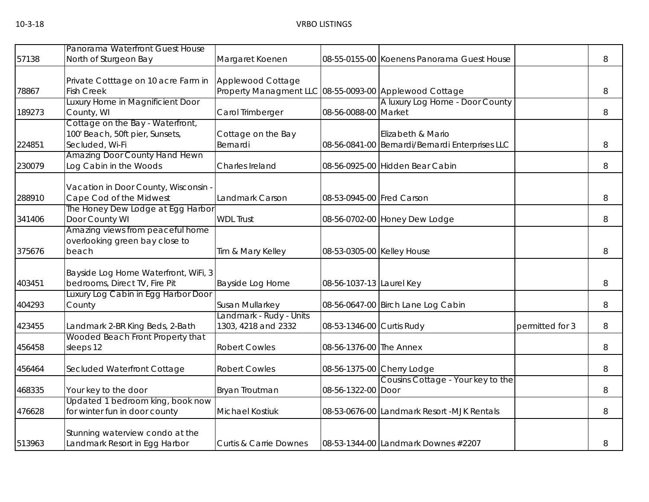| 57138  | Panorama Waterfront Guest House<br>North of Sturgeon Bay                                     | Margaret Koenen                                                             |                            | 08-55-0155-00 Koenens Panorama Guest House                           |                 | 8 |
|--------|----------------------------------------------------------------------------------------------|-----------------------------------------------------------------------------|----------------------------|----------------------------------------------------------------------|-----------------|---|
| 78867  | Private Cotttage on 10 acre Farm in<br><b>Fish Creek</b><br>Luxury Home in Magnificient Door | Applewood Cottage<br>Property Managment LLC 08-55-0093-00 Applewood Cottage |                            | A luxury Log Home - Door County                                      |                 | 8 |
| 189273 | County, WI                                                                                   | Carol Trimberger                                                            | 08-56-0088-00 Market       |                                                                      |                 | 8 |
| 224851 | Cottage on the Bay - Waterfront,<br>100' Beach, 50ft pier, Sunsets,<br>Secluded, Wi-Fi       | Cottage on the Bay<br>Bernardi                                              |                            | Elizabeth & Mario<br>08-56-0841-00 Bernardi/Bernardi Enterprises LLC |                 | 8 |
| 230079 | <b>Amazing Door County Hand Hewn</b><br>Log Cabin in the Woods                               | Charles Ireland                                                             |                            | 08-56-0925-00 Hidden Bear Cabin                                      |                 | 8 |
| 288910 | Vacation in Door County, Wisconsin<br>Cape Cod of the Midwest                                | Landmark Carson                                                             | 08-53-0945-00 Fred Carson  |                                                                      |                 | 8 |
| 341406 | The Honey Dew Lodge at Egg Harbor<br>Door County WI                                          | <b>WDL Trust</b>                                                            |                            | 08-56-0702-00 Honey Dew Lodge                                        |                 | 8 |
| 375676 | Amazing views from peaceful home<br>overlooking green bay close to<br>beach                  | Tim & Mary Kelley                                                           | 08-53-0305-00 Kelley House |                                                                      |                 | 8 |
| 403451 | Bayside Log Home Waterfront, WiFi, 3<br>bedrooms, Direct TV, Fire Pit                        | <b>Bayside Log Home</b>                                                     | 08-56-1037-13 Laurel Key   |                                                                      |                 | 8 |
| 404293 | Luxury Log Cabin in Egg Harbor Door<br>County                                                | Susan Mullarkey                                                             |                            | 08-56-0647-00 Birch Lane Log Cabin                                   |                 | 8 |
| 423455 | Landmark 2-BR King Beds, 2-Bath                                                              | Landmark - Rudy - Units<br>1303, 4218 and 2332                              | 08-53-1346-00 Curtis Rudy  |                                                                      | permitted for 3 | 8 |
| 456458 | Wooded Beach Front Property that<br>sleeps 12                                                | <b>Robert Cowles</b>                                                        | 08-56-1376-00 The Annex    |                                                                      |                 | 8 |
| 456464 | Secluded Waterfront Cottage                                                                  | <b>Robert Cowles</b>                                                        |                            | 08-56-1375-00 Cherry Lodge                                           |                 | 8 |
| 468335 | Your key to the door                                                                         | Bryan Troutman                                                              | 08-56-1322-00 Door         | Cousins Cottage - Your key to the                                    |                 | 8 |
| 476628 | Updated 1 bedroom king, book now<br>for winter fun in door county                            | <b>Michael Kostiuk</b>                                                      |                            | 08-53-0676-00 Landmark Resort -MJK Rentals                           |                 | 8 |
| 513963 | Stunning waterview condo at the<br>Landmark Resort in Egg Harbor                             | <b>Curtis &amp; Carrie Downes</b>                                           |                            | 08-53-1344-00 Landmark Downes #2207                                  |                 | 8 |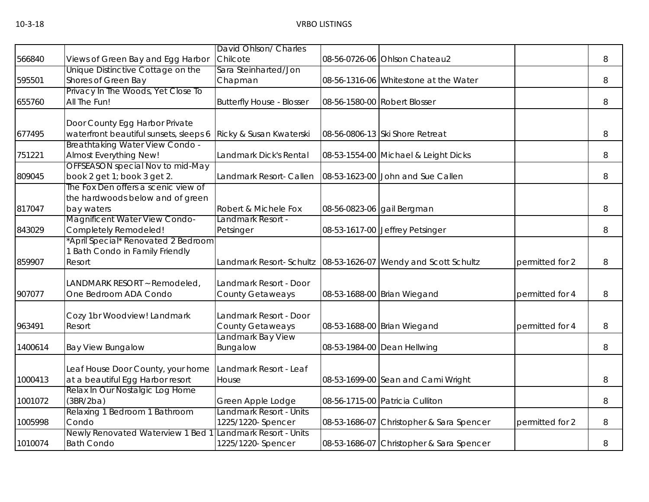|         |                                                                 | David Ohlson/ Charles                        |                                          |                 |   |
|---------|-----------------------------------------------------------------|----------------------------------------------|------------------------------------------|-----------------|---|
| 566840  | Views of Green Bay and Egg Harbor                               | Chilcote                                     | 08-56-0726-06 Ohlson Chateau2            |                 | 8 |
|         | Unique Distinctive Cottage on the                               | Sara Steinharted/Jon                         |                                          |                 |   |
| 595501  | Shores of Green Bay                                             | Chapman                                      | 08-56-1316-06 Whitestone at the Water    |                 | 8 |
|         | Privacy In The Woods, Yet Close To                              |                                              |                                          |                 |   |
| 655760  | All The Fun!                                                    | <b>Butterfly House - Blosser</b>             | 08-56-1580-00 Robert Blosser             |                 | 8 |
|         | Door County Egg Harbor Private                                  |                                              |                                          |                 |   |
| 677495  | waterfront beautiful sunsets, sleeps 6                          | Ricky & Susan Kwaterski                      | 08-56-0806-13 Ski Shore Retreat          |                 | 8 |
|         | <b>Breathtaking Water View Condo -</b>                          |                                              |                                          |                 |   |
| 751221  | Almost Everything New!                                          | Landmark Dick's Rental                       | 08-53-1554-00 Michael & Leight Dicks     |                 | 8 |
| 809045  | OFFSEASON special Nov to mid-May<br>book 2 get 1; book 3 get 2. | Landmark Resort- Callen                      | 08-53-1623-00 John and Sue Callen        |                 | 8 |
|         | The Fox Den offers a scenic view of                             |                                              |                                          |                 |   |
|         | the hardwoods below and of green                                |                                              |                                          |                 |   |
| 817047  | bay waters                                                      | Robert & Michele Fox                         | 08-56-0823-06 gail Bergman               |                 | 8 |
|         | <b>Magnificent Water View Condo-</b>                            | Landmark Resort -                            |                                          |                 |   |
| 843029  | Completely Remodeled!                                           | Petsinger                                    | 08-53-1617-00 Jeffrey Petsinger          |                 | 8 |
|         | April Special* Renovated 2 Bedroom                              |                                              |                                          |                 |   |
|         | 1 Bath Condo in Family Friendly                                 |                                              |                                          |                 |   |
| 859907  | Resort                                                          | Landmark Resort- Schultz                     | 08-53-1626-07 Wendy and Scott Schultz    | permitted for 2 | 8 |
|         | ANDMARK RESORT ~ Remodeled,                                     | Landmark Resort - Door                       |                                          |                 |   |
| 907077  | One Bedroom ADA Condo                                           | <b>County Getaweays</b>                      | 08-53-1688-00 Brian Wiegand              | permitted for 4 | 8 |
|         |                                                                 |                                              |                                          |                 |   |
|         | Cozy 1br Woodview! Landmark                                     | Landmark Resort - Door                       |                                          |                 |   |
| 963491  | Resort                                                          | <b>County Getaweays</b>                      | 08-53-1688-00 Brian Wiegand              | permitted for 4 | 8 |
|         |                                                                 | Landmark Bay View                            |                                          |                 |   |
| 1400614 | <b>Bay View Bungalow</b>                                        | Bungalow                                     | 08-53-1984-00 Dean Hellwing              |                 | 8 |
|         |                                                                 |                                              |                                          |                 |   |
|         | eaf House Door County, your home                                | Landmark Resort - Leaf                       |                                          |                 |   |
| 1000413 | at a beautiful Egg Harbor resort                                | House                                        | 08-53-1699-00 Sean and Cami Wright       |                 | 8 |
|         | Relax In Our Nostalgic Log Home                                 |                                              |                                          |                 |   |
| 1001072 | (3BR/2ba)                                                       | Green Apple Lodge                            | 08-56-1715-00 Patricia Culliton          |                 | 8 |
| 1005998 | Relaxing 1 Bedroom 1 Bathroom<br>Condo                          | Landmark Resort - Units                      |                                          |                 |   |
|         | Newly Renovated Waterview 1 Bed                                 | 1225/1220-Spencer<br>Landmark Resort - Units | 08-53-1686-07 Christopher & Sara Spencer | permitted for 2 | 8 |
| 1010074 | <b>Bath Condo</b>                                               | 1225/1220-Spencer                            | 08-53-1686-07 Christopher & Sara Spencer |                 | 8 |
|         |                                                                 |                                              |                                          |                 |   |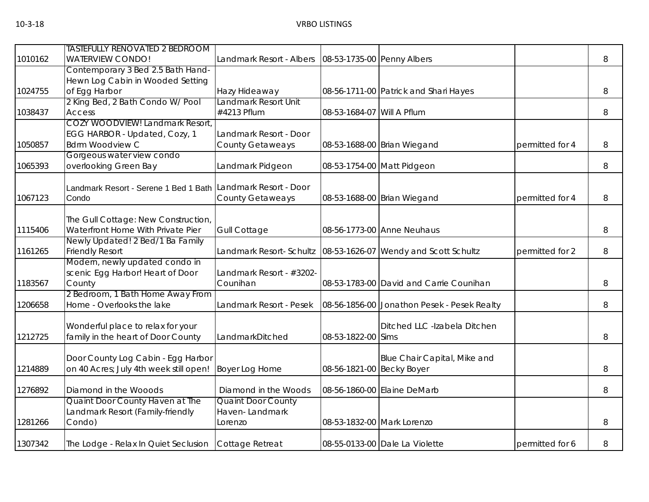|         | <b>TASTEFULLY RENOVATED 2 BEDROOM</b>                        |                           |                            |                                             |                 |   |
|---------|--------------------------------------------------------------|---------------------------|----------------------------|---------------------------------------------|-----------------|---|
| 1010162 | <b>WATERVIEW CONDO!</b>                                      | Landmark Resort - Albers  | 08-53-1735-00 Penny Albers |                                             |                 | 8 |
|         | Contemporary 3 Bed 2.5 Bath Hand-                            |                           |                            |                                             |                 |   |
|         | Hewn Log Cabin in Wooded Setting                             |                           |                            |                                             |                 |   |
| 1024755 | of Egg Harbor                                                | Hazy Hideaway             |                            | 08-56-1711-00 Patrick and Shari Hayes       |                 | 8 |
|         | 2 King Bed, 2 Bath Condo W/ Pool                             | Landmark Resort Unit      |                            |                                             |                 |   |
| 1038437 | Access                                                       | #4213 Pflum               | 08-53-1684-07              | Will A Pflum                                |                 | 8 |
|         | COZY WOODVIEW! Landmark Resort,                              |                           |                            |                                             |                 |   |
|         | EGG HARBOR - Updated, Cozy, 1                                | Landmark Resort - Door    |                            |                                             |                 |   |
| 1050857 | <b>Bdrm Woodview C</b>                                       | <b>County Getaweays</b>   |                            | 08-53-1688-00 Brian Wiegand                 | permitted for 4 | 8 |
|         | Gorgeous water view condo                                    |                           |                            |                                             |                 |   |
| 1065393 | overlooking Green Bay                                        | Landmark Pidgeon          |                            | 08-53-1754-00 Matt Pidgeon                  |                 | 8 |
|         | Landmark Resort - Serene 1 Bed 1 Bath Landmark Resort - Door |                           |                            |                                             |                 |   |
| 1067123 | Condo                                                        | <b>County Getaweays</b>   |                            | 08-53-1688-00 Brian Wiegand                 | permitted for 4 | 8 |
|         |                                                              |                           |                            |                                             |                 |   |
|         | The Gull Cottage: New Construction,                          |                           |                            |                                             |                 |   |
| 1115406 | Waterfront Home With Private Pier                            | <b>Gull Cottage</b>       |                            | 08-56-1773-00 Anne Neuhaus                  |                 | 8 |
|         | Newly Updated! 2 Bed/1 Ba Family                             |                           |                            |                                             |                 |   |
| 1161265 | <b>Friendly Resort</b>                                       | Landmark Resort- Schultz  |                            | 08-53-1626-07 Wendy and Scott Schultz       | permitted for 2 | 8 |
|         | Modern, newly updated condo in                               |                           |                            |                                             |                 |   |
|         | scenic Egg Harbor! Heart of Door                             | Landmark Resort - #3202-  |                            |                                             |                 |   |
| 1183567 | County                                                       | Counihan                  |                            | 08-53-1783-00 David and Carrie Counihan     |                 | 8 |
|         | 2 Bedroom, 1 Bath Home Away From                             |                           |                            |                                             |                 |   |
| 1206658 | Home - Overlooks the lake                                    | Landmark Resort - Pesek   |                            | 08-56-1856-00 Jonathon Pesek - Pesek Realty |                 | 8 |
|         |                                                              |                           |                            |                                             |                 |   |
|         | Wonderful place to relax for your                            |                           |                            | Ditched LLC -Izabela Ditchen                |                 |   |
| 1212725 | family in the heart of Door County                           | LandmarkDitched           | 08-53-1822-00 Sims         |                                             |                 | 8 |
|         |                                                              |                           |                            |                                             |                 |   |
|         | Door County Log Cabin - Egg Harbor                           |                           |                            | Blue Chair Capital, Mike and                |                 |   |
| 1214889 | on 40 Acres; July 4th week still open!                       | Boyer Log Home            | 08-56-1821-00 Becky Boyer  |                                             |                 | 8 |
|         |                                                              |                           |                            |                                             |                 |   |
| 1276892 | Diamond in the Wooods                                        | Diamond in the Woods      |                            | 08-56-1860-00 Elaine DeMarb                 |                 | 8 |
|         | Quaint Door County Haven at The                              | <b>Quaint Door County</b> |                            |                                             |                 |   |
|         | Landmark Resort (Family-friendly                             | Haven-Landmark            |                            |                                             |                 |   |
| 1281266 | Condo)                                                       | Lorenzo                   | 08-53-1832-00 Mark Lorenzo |                                             |                 | 8 |
| 1307342 | The Lodge - Relax In Quiet Seclusion                         | Cottage Retreat           |                            | 08-55-0133-00 Dale La Violette              | permitted for 6 | 8 |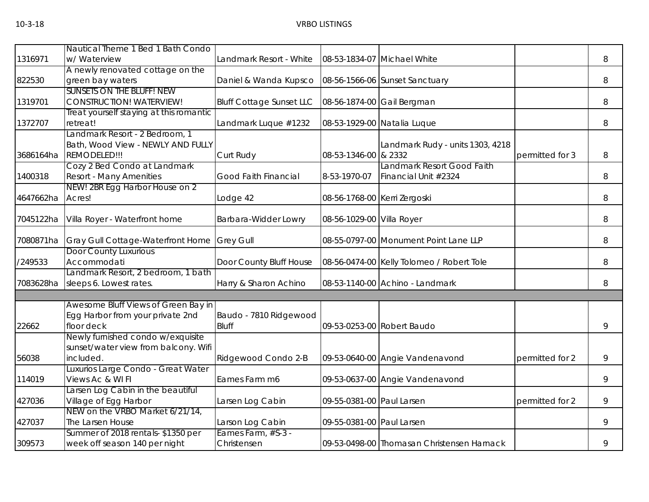|           | Nautical Theme 1 Bed 1 Bath Condo                                 |                                 |                              |                                            |                 |   |
|-----------|-------------------------------------------------------------------|---------------------------------|------------------------------|--------------------------------------------|-----------------|---|
| 1316971   | w/ Waterview                                                      | Landmark Resort - White         |                              | 08-53-1834-07 Michael White                |                 | 8 |
|           | A newly renovated cottage on the                                  |                                 |                              |                                            |                 |   |
| 822530    | green bay waters                                                  | Daniel & Wanda Kupsco           |                              | 08-56-1566-06 Sunset Sanctuary             |                 | 8 |
|           | <b>SUNSETS ON THE BLUFF! NEW</b>                                  |                                 |                              |                                            |                 |   |
| 1319701   | <b>CONSTRUCTION! WATERVIEW!</b>                                   | <b>Bluff Cottage Sunset LLC</b> | 08-56-1874-00 Gail Bergman   |                                            |                 | 8 |
|           | Treat yourself staying at this romantic                           |                                 |                              |                                            |                 |   |
| 1372707   | retreat!                                                          | Landmark Luque #1232            |                              | 08-53-1929-00 Natalia Luque                |                 | 8 |
|           | Landmark Resort - 2 Bedroom, 1                                    |                                 |                              |                                            |                 |   |
|           | Bath, Wood View - NEWLY AND FULLY                                 |                                 |                              | Landmark Rudy - units 1303, 4218           |                 |   |
| 3686164ha | REMODELED!!!                                                      | Curt Rudy                       | 08-53-1346-00 & 2332         |                                            | permitted for 3 | 8 |
|           | Cozy 2 Bed Condo at Landmark                                      |                                 |                              | Landmark Resort Good Faith                 |                 |   |
| 1400318   | <b>Resort - Many Amenities</b>                                    | <b>Good Faith Financial</b>     | 8-53-1970-07                 | Financial Unit #2324                       |                 | 8 |
|           | NEW! 2BR Egg Harbor House on 2                                    |                                 |                              |                                            |                 |   |
| 4647662ha | Acres!                                                            | Lodge 42                        | 08-56-1768-00 Kerri Zergoski |                                            |                 | 8 |
|           |                                                                   |                                 |                              |                                            |                 |   |
| 7045122ha | Villa Royer - Waterfront home                                     | Barbara-Widder Lowry            | 08-56-1029-00 Villa Royer    |                                            |                 | 8 |
|           |                                                                   |                                 |                              |                                            |                 |   |
| 7080871ha | Gray Gull Cottage-Waterfront Home<br><b>Door County Luxurious</b> | <b>Grey Gull</b>                |                              | 08-55-0797-00 Monument Point Lane LLP      |                 | 8 |
| /249533   | Accommodati                                                       |                                 |                              |                                            |                 | 8 |
|           | Landmark Resort, 2 bedroom, 1 bath                                | Door County Bluff House         |                              | 08-56-0474-00 Kelly Tolomeo / Robert Tole  |                 |   |
| 7083628ha | sleeps 6. Lowest rates.                                           | Harry & Sharon Achino           |                              | 08-53-1140-00 Achino - Landmark            |                 | 8 |
|           |                                                                   |                                 |                              |                                            |                 |   |
|           | Awesome Bluff Views of Green Bay in                               |                                 |                              |                                            |                 |   |
|           | Egg Harbor from your private 2nd                                  | Baudo - 7810 Ridgewood          |                              |                                            |                 |   |
| 22662     | floor deck                                                        | <b>Bluff</b>                    |                              | 09-53-0253-00 Robert Baudo                 |                 | 9 |
|           | Newly furnished condo w/exquisite                                 |                                 |                              |                                            |                 |   |
|           | sunset/water view from balcony. Wifi                              |                                 |                              |                                            |                 |   |
| 56038     | included.                                                         | Ridgewood Condo 2-B             |                              | 09-53-0640-00 Angie Vandenavond            | permitted for 2 | 9 |
|           | Luxurios Large Condo - Great Water                                |                                 |                              |                                            |                 |   |
| 114019    | Views Ac & WI FI                                                  | Eames Farm m6                   |                              | 09-53-0637-00 Angie Vandenavond            |                 | 9 |
|           | Larsen Log Cabin in the beautiful                                 |                                 |                              |                                            |                 |   |
| 427036    | Village of Egg Harbor                                             | Larsen Log Cabin                | 09-55-0381-00 Paul Larsen    |                                            | permitted for 2 | 9 |
|           | NEW on the VRBO Market 6/21/14,                                   |                                 |                              |                                            |                 |   |
| 427037    | The Larsen House                                                  | Larson Log Cabin                | 09-55-0381-00 Paul Larsen    |                                            |                 | 9 |
|           | Summer of 2018 rentals- \$1350 per                                | Eames Farm, #S-3 -              |                              |                                            |                 |   |
| 309573    | week off season 140 per night                                     | Christensen                     |                              | 09-53-0498-00 Thomasan Christensen Harnack |                 | 9 |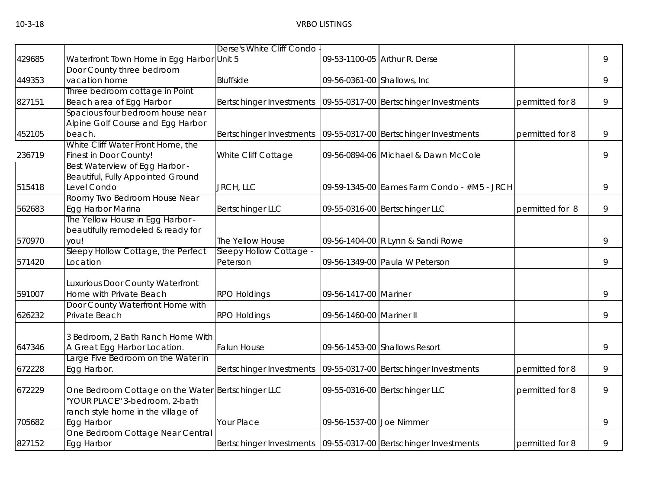|        |                                                | Derse's White Cliff Condo           |                              |                                                                     |                 |   |
|--------|------------------------------------------------|-------------------------------------|------------------------------|---------------------------------------------------------------------|-----------------|---|
| 429685 | Waterfront Town Home in Egg Harbor Unit 5      |                                     |                              | 09-53-1100-05 Arthur R. Derse                                       |                 | 9 |
|        | Door County three bedroom                      |                                     |                              |                                                                     |                 |   |
| 449353 | vacation home                                  | Bluffside                           | 09-56-0361-00 Shallows, Inc. |                                                                     |                 | 9 |
|        | Three bedroom cottage in Point                 |                                     |                              |                                                                     |                 |   |
| 827151 | Beach area of Egg Harbor                       | Bertschinger Investments            |                              | 09-55-0317-00 Bertschinger Investments                              | permitted for 8 | 9 |
|        | Spacious four bedroom house near               |                                     |                              |                                                                     |                 |   |
|        | Alpine Golf Course and Egg Harbor              |                                     |                              |                                                                     |                 |   |
| 452105 | beach.                                         | Bertschinger Investments            |                              | 09-55-0317-00 Bertschinger Investments                              | permitted for 8 | 9 |
|        | White Cliff Water Front Home, the              |                                     |                              |                                                                     |                 |   |
| 236719 | Finest in Door County!                         | White Cliff Cottage                 |                              | 09-56-0894-06 Michael & Dawn McCole                                 |                 | 9 |
|        | Best Waterview of Egg Harbor -                 |                                     |                              |                                                                     |                 |   |
|        | Beautiful, Fully Appointed Ground              |                                     |                              |                                                                     |                 |   |
| 515418 | Level Condo                                    | JRCH, LLC                           |                              | 09-59-1345-00 Eames Farm Condo - #M5 - JRCH                         |                 | 9 |
|        | Roomy Two Bedroom House Near                   |                                     |                              |                                                                     |                 |   |
| 562683 | Egg Harbor Marina                              | <b>Bertschinger LLC</b>             |                              | 09-55-0316-00 Bertschinger LLC                                      | permitted for 8 | 9 |
|        | The Yellow House in Egg Harbor -               |                                     |                              |                                                                     |                 |   |
| 570970 | beautifully remodeled & ready for              |                                     |                              |                                                                     |                 |   |
|        | you!                                           | The Yellow House                    |                              | 09-56-1404-00 R Lynn & Sandi Rowe                                   |                 | 9 |
|        | Sleepy Hollow Cottage, the Perfect<br>Location | Sleepy Hollow Cottage -<br>Peterson |                              | 09-56-1349-00 Paula W Peterson                                      |                 | 9 |
| 571420 |                                                |                                     |                              |                                                                     |                 |   |
|        | Luxurious Door County Waterfront               |                                     |                              |                                                                     |                 |   |
| 591007 | Home with Private Beach                        | <b>RPO Holdings</b>                 | 09-56-1417-00 Mariner        |                                                                     |                 | 9 |
|        | Door County Waterfront Home with               |                                     |                              |                                                                     |                 |   |
| 626232 | Private Beach                                  | <b>RPO Holdings</b>                 | 09-56-1460-00 Mariner II     |                                                                     |                 | 9 |
|        |                                                |                                     |                              |                                                                     |                 |   |
|        | 3 Bedroom, 2 Bath Ranch Home With              |                                     |                              |                                                                     |                 |   |
| 647346 | A Great Egg Harbor Location.                   | <b>Falun House</b>                  |                              | 09-56-1453-00 Shallows Resort                                       |                 | 9 |
|        | arge Five Bedroom on the Water in              |                                     |                              |                                                                     |                 |   |
| 672228 | Egg Harbor.                                    | Bertschinger Investments            |                              | 09-55-0317-00 Bertschinger Investments                              | permitted for 8 | 9 |
|        |                                                |                                     |                              |                                                                     |                 |   |
| 672229 | One Bedroom Cottage on the Water               | <b>Bertschinger LLC</b>             |                              | 09-55-0316-00 Bertschinger LLC                                      | permitted for 8 | 9 |
|        | 'YOUR PLACE" 3-bedroom, 2-bath                 |                                     |                              |                                                                     |                 |   |
|        | ranch style home in the village of             |                                     |                              |                                                                     |                 |   |
| 705682 | Egg Harbor                                     | Your Place                          | 09-56-1537-00 Joe Nimmer     |                                                                     |                 | 9 |
|        | One Bedroom Cottage Near Central               |                                     |                              |                                                                     |                 |   |
| 827152 | Egg Harbor                                     |                                     |                              | Bertschinger Investments   09-55-0317-00   Bertschinger Investments | permitted for 8 | 9 |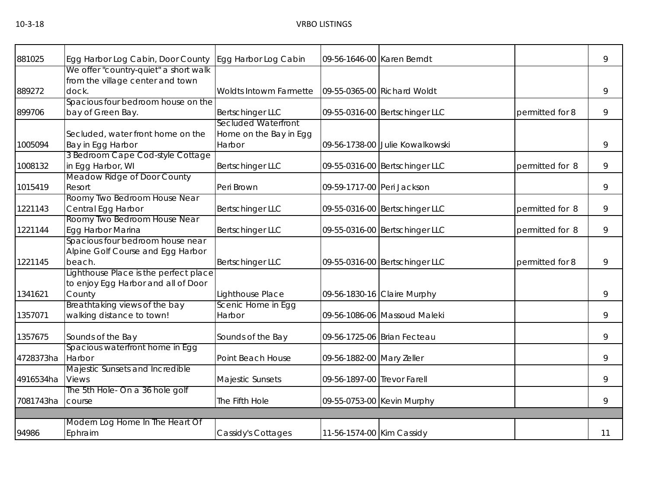| 881025    | Egg Harbor Log Cabin, Door County     | Egg Harbor Log Cabin       | 09-56-1646-00 Karen Berndt  |                                 |                 | 9  |
|-----------|---------------------------------------|----------------------------|-----------------------------|---------------------------------|-----------------|----|
|           | We offer "country-quiet" a short walk |                            |                             |                                 |                 |    |
|           | from the village center and town      |                            |                             |                                 |                 |    |
| 889272    | dock.                                 | Woldts Intowm Farmette     |                             | 09-55-0365-00 Richard Woldt     |                 | 9  |
|           | Spacious four bedroom house on the    |                            |                             |                                 |                 |    |
| 899706    | bay of Green Bay.                     | Bertschinger LLC           |                             | 09-55-0316-00 Bertschinger LLC  | permitted for 8 | 9  |
|           |                                       | <b>Secluded Waterfront</b> |                             |                                 |                 |    |
|           | Secluded, water front home on the     | Home on the Bay in Egg     |                             |                                 |                 |    |
| 1005094   | Bay in Egg Harbor                     | Harbor                     |                             | 09-56-1738-00 Julie Kowalkowski |                 | 9  |
|           | 3 Bedroom Cape Cod-style Cottage      |                            |                             |                                 |                 |    |
| 1008132   | in Egg Harbor, WI                     | <b>Bertschinger LLC</b>    |                             | 09-55-0316-00 Bertschinger LLC  | permitted for 8 | 9  |
|           | Meadow Ridge of Door County           |                            |                             |                                 |                 |    |
| 1015419   | Resort                                | Peri Brown                 | 09-59-1717-00 Peri Jackson  |                                 |                 | 9  |
|           | Roomy Two Bedroom House Near          |                            |                             |                                 |                 |    |
| 1221143   | Central Egg Harbor                    | <b>Bertschinger LLC</b>    |                             | 09-55-0316-00 Bertschinger LLC  | permitted for 8 | 9  |
|           | Roomy Two Bedroom House Near          |                            |                             |                                 |                 |    |
| 1221144   | Egg Harbor Marina                     | Bertschinger LLC           |                             | 09-55-0316-00 Bertschinger LLC  | permitted for 8 | 9  |
|           | Spacious four bedroom house near      |                            |                             |                                 |                 |    |
|           | Alpine Golf Course and Egg Harbor     |                            |                             |                                 |                 |    |
| 1221145   | beach.                                | <b>Bertschinger LLC</b>    |                             | 09-55-0316-00 Bertschinger LLC  | permitted for 8 | 9  |
|           | Lighthouse Place is the perfect place |                            |                             |                                 |                 |    |
|           | to enjoy Egg Harbor and all of Door   |                            |                             |                                 |                 |    |
| 1341621   | County                                | Lighthouse Place           |                             | 09-56-1830-16 Claire Murphy     |                 | 9  |
|           | Breathtaking views of the bay         | Scenic Home in Egg         |                             |                                 |                 |    |
| 1357071   | walking distance to town!             | Harbor                     |                             | 09-56-1086-06 Massoud Maleki    |                 | 9  |
| 1357675   | Sounds of the Bay                     | Sounds of the Bay          |                             | 09-56-1725-06 Brian Fecteau     |                 | 9  |
|           | Spacious waterfront home in Egg       |                            |                             |                                 |                 |    |
| 4728373ha | Harbor                                | Point Beach House          | 09-56-1882-00 Mary Zeller   |                                 |                 | 9  |
|           | Majestic Sunsets and Incredible       |                            |                             |                                 |                 |    |
| 4916534ha | <b>Views</b>                          | Majestic Sunsets           | 09-56-1897-00 Trevor Farell |                                 |                 | 9  |
|           | The 5th Hole- On a 36 hole golf       |                            |                             |                                 |                 |    |
| 7081743ha | course                                | The Fifth Hole             |                             | 09-55-0753-00 Kevin Murphy      |                 | 9  |
|           |                                       |                            |                             |                                 |                 |    |
|           | Modern Log Home In The Heart Of       |                            |                             |                                 |                 |    |
| 94986     | Ephraim                               | Cassidy's Cottages         | 11-56-1574-00 Kim Cassidy   |                                 |                 | 11 |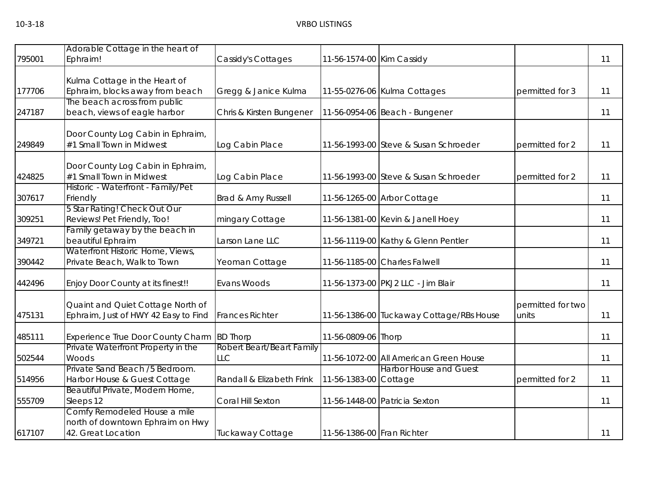| 795001 | Adorable Cottage in the heart of<br>Ephraim!                     | Cassidy's Cottages        | 11-56-1574-00 Kim Cassidy  |                                          |                   | 11 |
|--------|------------------------------------------------------------------|---------------------------|----------------------------|------------------------------------------|-------------------|----|
|        |                                                                  |                           |                            |                                          |                   |    |
| 177706 | Kulma Cottage in the Heart of<br>Ephraim, blocks away from beach | Gregg & Janice Kulma      |                            | 11-55-0276-06 Kulma Cottages             | permitted for 3   | 11 |
|        | The beach across from public                                     |                           |                            |                                          |                   |    |
| 247187 | beach, views of eagle harbor                                     | Chris & Kirsten Bungener  |                            | 11-56-0954-06 Beach - Bungener           |                   | 11 |
|        | Door County Log Cabin in Ephraim,                                |                           |                            |                                          |                   |    |
| 249849 | #1 Small Town in Midwest                                         | Log Cabin Place           |                            | 11-56-1993-00 Steve & Susan Schroeder    | permitted for 2   | 11 |
|        | Door County Log Cabin in Ephraim,                                |                           |                            |                                          |                   |    |
| 424825 | #1 Small Town in Midwest                                         | Log Cabin Place           |                            | 11-56-1993-00 Steve & Susan Schroeder    | permitted for 2   | 11 |
| 307617 | Historic - Waterfront - Family/Pet<br>Friendly                   | Brad & Amy Russell        |                            | 11-56-1265-00 Arbor Cottage              |                   | 11 |
|        | 5 Star Rating! Check Out Our                                     |                           |                            |                                          |                   |    |
| 309251 | Reviews! Pet Friendly, Too!                                      | mingary Cottage           |                            | 11-56-1381-00 Kevin & Janell Hoey        |                   | 11 |
|        | Family getaway by the beach in                                   |                           |                            |                                          |                   |    |
| 349721 | beautiful Ephraim<br>Waterfront Historic Home, Views,            | Larson Lane LLC           |                            | 11-56-1119-00 Kathy & Glenn Pentler      |                   | 11 |
| 390442 | Private Beach, Walk to Town                                      | Yeoman Cottage            |                            | 11-56-1185-00 Charles Falwell            |                   | 11 |
| 442496 | Enjoy Door County at its finest!!                                | Evans Woods               |                            | 11-56-1373-00 PKJ2 LLC - Jim Blair       |                   | 11 |
|        | Quaint and Quiet Cottage North of                                |                           |                            |                                          | permitted for two |    |
| 475131 | Ephraim, Just of HWY 42 Easy to Find                             | <b>Frances Richter</b>    |                            | 11-56-1386-00 Tuckaway Cottage/RBs House | units             | 11 |
| 485111 | Experience True Door County Charm                                | <b>BD Thorp</b>           | 11-56-0809-06 Thorp        |                                          |                   | 11 |
|        | Private Waterfront Property in the                               | Robert Beart/Beart Family |                            |                                          |                   |    |
| 502544 | Woods                                                            | <b>LLC</b>                |                            | 11-56-1072-00 All American Green House   |                   | 11 |
|        | Private Sand Beach /5 Bedroom.                                   |                           |                            | <b>Harbor House and Guest</b>            |                   |    |
| 514956 | Harbor House & Guest Cottage                                     | Randall & Elizabeth Frink | 11-56-1383-00 Cottage      |                                          | permitted for 2   | 11 |
|        | Beautiful Private, Modern Home,                                  |                           |                            |                                          |                   |    |
| 555709 | Sleeps 12                                                        | Coral Hill Sexton         |                            | 11-56-1448-00 Patricia Sexton            |                   | 11 |
|        | Comfy Remodeled House a mile                                     |                           |                            |                                          |                   |    |
| 617107 | north of downtown Ephraim on Hwy<br>42. Great Location           | Tuckaway Cottage          | 11-56-1386-00 Fran Richter |                                          |                   | 11 |
|        |                                                                  |                           |                            |                                          |                   |    |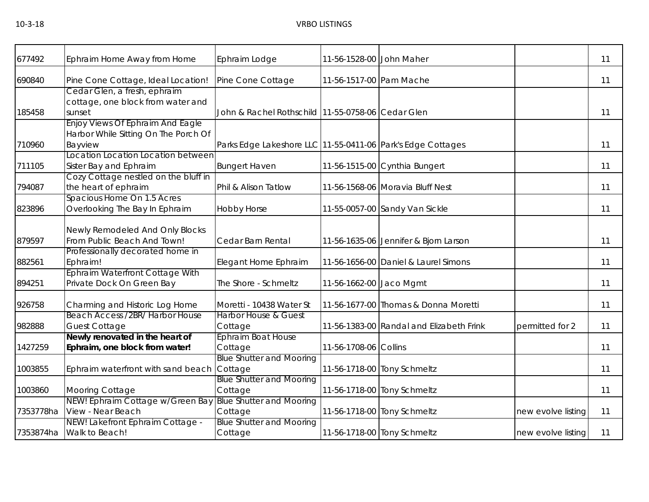| 677492    | Ephraim Home Away from Home                                    | Ephraim Lodge                                               | 11-56-1528-00 John Maher |                                          |                    | 11 |
|-----------|----------------------------------------------------------------|-------------------------------------------------------------|--------------------------|------------------------------------------|--------------------|----|
| 690840    | Pine Cone Cottage, Ideal Location!                             | Pine Cone Cottage                                           | 11-56-1517-00 Pam Mache  |                                          |                    | 11 |
|           | Cedar Glen, a fresh, ephraim                                   |                                                             |                          |                                          |                    |    |
|           | cottage, one block from water and                              |                                                             |                          |                                          |                    |    |
| 185458    | sunset                                                         | John & Rachel Rothschild 11-55-0758-06 Cedar Glen           |                          |                                          |                    | 11 |
|           | Enjoy Views Of Ephraim And Eagle                               |                                                             |                          |                                          |                    |    |
|           | Harbor While Sitting On The Porch Of                           |                                                             |                          |                                          |                    |    |
| 710960    | Bayview                                                        | Parks Edge Lakeshore LLC 11-55-0411-06 Park's Edge Cottages |                          |                                          |                    | 11 |
|           | Location Location Location between                             |                                                             |                          |                                          |                    |    |
| 711105    | Sister Bay and Ephraim<br>Cozy Cottage nestled on the bluff in | <b>Bungert Haven</b>                                        |                          | 11-56-1515-00 Cynthia Bungert            |                    | 11 |
| 794087    | the heart of ephraim                                           | Phil & Alison Tatlow                                        |                          | 11-56-1568-06 Moravia Bluff Nest         |                    | 11 |
|           | Spacious Home On 1.5 Acres                                     |                                                             |                          |                                          |                    |    |
| 823896    | Overlooking The Bay In Ephraim                                 | <b>Hobby Horse</b>                                          |                          | 11-55-0057-00 Sandy Van Sickle           |                    | 11 |
|           |                                                                |                                                             |                          |                                          |                    |    |
|           | Newly Remodeled And Only Blocks                                |                                                             |                          |                                          |                    |    |
| 879597    | From Public Beach And Town!                                    | Cedar Barn Rental                                           |                          | 11-56-1635-06 Jennifer & Bjorn Larson    |                    | 11 |
|           | Professionally decorated home in                               |                                                             |                          |                                          |                    |    |
| 882561    | Ephraim!                                                       | Elegant Home Ephraim                                        |                          | 11-56-1656-00 Daniel & Laurel Simons     |                    | 11 |
|           | Ephraim Waterfront Cottage With                                |                                                             |                          |                                          |                    |    |
| 894251    | Private Dock On Green Bay                                      | The Shore - Schmeltz                                        | 11-56-1662-00 Jaco Mgmt  |                                          |                    | 11 |
| 926758    | Charming and Historic Log Home                                 | Moretti - 10438 Water St                                    |                          | 11-56-1677-00 Thomas & Donna Moretti     |                    | 11 |
|           | Beach Access /2BR/ Harbor House                                | <b>Harbor House &amp; Guest</b>                             |                          |                                          |                    |    |
| 982888    | <b>Guest Cottage</b>                                           | Cottage                                                     |                          | 11-56-1383-00 Randal and Elizabeth Frink | permitted for 2    | 11 |
|           | Newly renovated in the heart of                                | <b>Ephraim Boat House</b>                                   |                          |                                          |                    |    |
| 1427259   | Ephraim, one block from water!                                 | Cottage                                                     | 11-56-1708-06 Collins    |                                          |                    | 11 |
|           |                                                                | <b>Blue Shutter and Mooring</b>                             |                          |                                          |                    |    |
| 1003855   | Ephraim waterfront with sand beach                             | Cottage                                                     |                          | 11-56-1718-00 Tony Schmeltz              |                    | 11 |
|           |                                                                | <b>Blue Shutter and Mooring</b>                             |                          |                                          |                    |    |
| 1003860   | <b>Mooring Cottage</b>                                         | Cottage                                                     |                          | 11-56-1718-00 Tony Schmeltz              |                    | 11 |
|           | NEW! Ephraim Cottage w/Green Bay                               | <b>Blue Shutter and Mooring</b>                             |                          |                                          |                    |    |
| 7353778ha | View - Near Beach                                              | Cottage                                                     |                          | 11-56-1718-00 Tony Schmeltz              | new evolve listing | 11 |
|           | NEW! Lakefront Ephraim Cottage -                               | <b>Blue Shutter and Mooring</b>                             |                          |                                          |                    |    |
|           | 7353874ha Walk to Beach!                                       | Cottage                                                     |                          | 11-56-1718-00 Tony Schmeltz              | new evolve listing | 11 |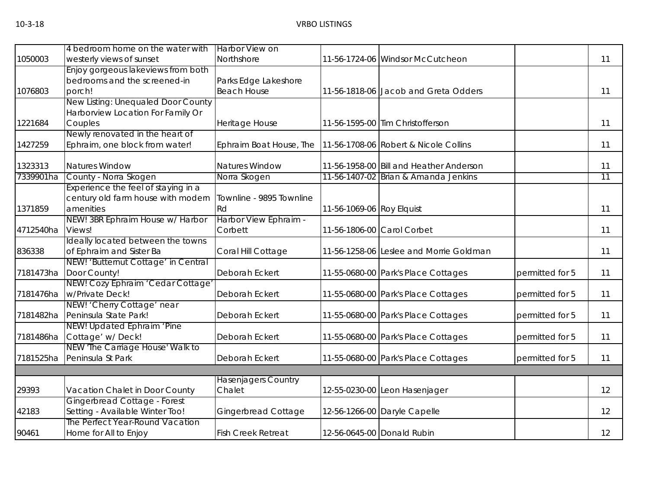|           | 4 bedroom home on the water with    | <b>Harbor View on</b>      |                           |                                         |                 |    |
|-----------|-------------------------------------|----------------------------|---------------------------|-----------------------------------------|-----------------|----|
| 1050003   | westerly views of sunset            | Northshore                 |                           | 11-56-1724-06 Windsor McCutcheon        |                 | 11 |
|           | Enjoy gorgeous lakeviews from both  |                            |                           |                                         |                 |    |
|           | bedrooms and the screened-in        | Parks Edge Lakeshore       |                           |                                         |                 |    |
| 1076803   | porch!                              | <b>Beach House</b>         |                           | 11-56-1818-06 Jacob and Greta Odders    |                 | 11 |
|           | New Listing: Unequaled Door County  |                            |                           |                                         |                 |    |
|           | Harborview Location For Family Or   |                            |                           |                                         |                 |    |
| 1221684   | Couples                             | Heritage House             |                           | 11-56-1595-00 Tim Christofferson        |                 | 11 |
|           | Newly renovated in the heart of     |                            |                           |                                         |                 |    |
| 1427259   | Ephraim, one block from water!      | Ephraim Boat House, The    |                           | 11-56-1708-06 Robert & Nicole Collins   |                 | 11 |
| 1323313   | Natures Window                      | <b>Natures Window</b>      |                           | 11-56-1958-00 Bill and Heather Anderson |                 | 11 |
| 7339901ha | County - Norra Skogen               | Norra Skogen               |                           | 11-56-1407-02 Brian & Amanda Jenkins    |                 | 11 |
|           | Experience the feel of staying in a |                            |                           |                                         |                 |    |
|           | century old farm house with modern  | Townline - 9895 Townline   |                           |                                         |                 |    |
| 1371859   | amenities                           | Rd                         | 11-56-1069-06 Roy Elquist |                                         |                 | 11 |
|           | NEW! 3BR Ephraim House w/ Harbor    | Harbor View Ephraim -      |                           |                                         |                 |    |
| 4712540ha | Views!                              | Corbett                    |                           | 11-56-1806-00 Carol Corbet              |                 | 11 |
|           | Ideally located between the towns   |                            |                           |                                         |                 |    |
| 836338    | of Ephraim and Sister Ba            | Coral Hill Cottage         |                           | 11-56-1258-06 Leslee and Morrie Goldman |                 | 11 |
|           | NEW! 'Butternut Cottage' in Central |                            |                           |                                         |                 |    |
| 7181473ha | Door County!                        | Deborah Eckert             |                           | 11-55-0680-00 Park's Place Cottages     | permitted for 5 | 11 |
|           | NEW! Cozy Ephraim 'Cedar Cottage'   |                            |                           |                                         |                 |    |
| 7181476ha | w/Private Deck!                     | Deborah Eckert             |                           | 11-55-0680-00 Park's Place Cottages     | permitted for 5 | 11 |
|           | NEW! 'Cherry Cottage' near          |                            |                           |                                         |                 |    |
| 7181482ha | Peninsula State Park!               | Deborah Eckert             |                           | 11-55-0680-00 Park's Place Cottages     | permitted for 5 | 11 |
|           | NEW! Updated Ephraim 'Pine          |                            |                           |                                         |                 |    |
| 7181486ha | Cottage' w/Deck!                    | Deborah Eckert             |                           | 11-55-0680-00 Park's Place Cottages     | permitted for 5 | 11 |
|           | NEW 'The Carriage House' Walk to    |                            |                           |                                         |                 |    |
| 7181525ha | Peninsula St Park                   | Deborah Eckert             |                           | 11-55-0680-00 Park's Place Cottages     | permitted for 5 | 11 |
|           |                                     |                            |                           |                                         |                 |    |
|           |                                     | <b>Hasenjagers Country</b> |                           |                                         |                 |    |
| 29393     | Vacation Chalet in Door County      | Chalet                     |                           | 12-55-0230-00 Leon Hasenjager           |                 | 12 |
|           | Gingerbread Cottage - Forest        |                            |                           |                                         |                 |    |
| 42183     | Setting - Available Winter Too!     | <b>Gingerbread Cottage</b> |                           | 12-56-1266-00 Daryle Capelle            |                 | 12 |
|           | The Perfect Year-Round Vacation     |                            |                           |                                         |                 |    |
| 90461     | Home for All to Enjoy               | <b>Fish Creek Retreat</b>  |                           | 12-56-0645-00 Donald Rubin              |                 | 12 |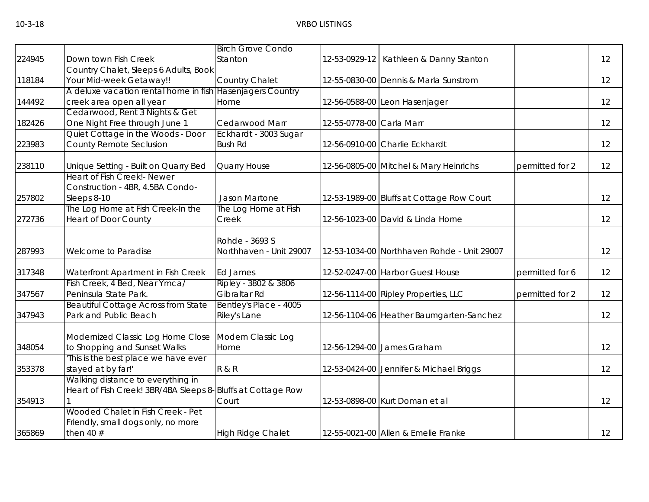|        |                                                             | <b>Birch Grove Condo</b>   |                          |                                             |                 |    |
|--------|-------------------------------------------------------------|----------------------------|--------------------------|---------------------------------------------|-----------------|----|
| 224945 | Down town Fish Creek                                        | Stanton                    | 12-53-0929-12            | Kathleen & Danny Stanton                    |                 | 12 |
|        | Country Chalet, Sleeps 6 Adults, Book                       |                            |                          |                                             |                 |    |
| 118184 | Your Mid-week Getaway!!                                     | Country Chalet             |                          | 12-55-0830-00 Dennis & Marla Sunstrom       |                 | 12 |
|        | A deluxe vacation rental home in fish                       | <b>Hasenjagers Country</b> |                          |                                             |                 |    |
| 144492 | creek area open all year                                    | Home                       |                          | 12-56-0588-00 Leon Hasenjager               |                 | 12 |
|        | Cedarwood, Rent 3 Nights & Get                              |                            |                          |                                             |                 |    |
| 182426 | One Night Free through June 1                               | Cedarwood Marr             | 12-55-0778-00 Carla Marr |                                             |                 | 12 |
|        | Quiet Cottage in the Woods - Door                           | Eckhardt - 3003 Sugar      |                          |                                             |                 |    |
| 223983 | County Remote Seclusion                                     | <b>Bush Rd</b>             |                          | 12-56-0910-00 Charlie Eckhardt              |                 | 12 |
| 238110 | Unique Setting - Built on Quarry Bed                        | Quarry House               |                          | 12-56-0805-00 Mitchel & Mary Heinrichs      | permitted for 2 | 12 |
|        | <b>Heart of Fish Creek! Newer</b>                           |                            |                          |                                             |                 |    |
|        | Construction - 4BR, 4.5BA Condo-                            |                            |                          |                                             |                 |    |
| 257802 | Sleeps 8-10                                                 | Jason Martone              |                          | 12-53-1989-00 Bluffs at Cottage Row Court   |                 | 12 |
|        | The Log Home at Fish Creek-In the                           | The Log Home at Fish       |                          |                                             |                 |    |
| 272736 | <b>Heart of Door County</b>                                 | Creek                      |                          | 12-56-1023-00 David & Linda Horne           |                 | 12 |
|        |                                                             |                            |                          |                                             |                 |    |
|        |                                                             | Rohde - 3693 S             |                          |                                             |                 |    |
| 287993 | Welcome to Paradise                                         | Northhaven - Unit 29007    |                          | 12-53-1034-00 Northhaven Rohde - Unit 29007 |                 | 12 |
| 317348 | Waterfront Apartment in Fish Creek                          | <b>Ed James</b>            |                          | 12-52-0247-00 Harbor Guest House            | permitted for 6 | 12 |
|        | Fish Creek, 4 Bed, Near Ymca/                               | Ripley - 3802 & 3806       |                          |                                             |                 |    |
| 347567 | Peninsula State Park.                                       | Gibraltar Rd               |                          | 12-56-1114-00 Ripley Properties, LLC        | permitted for 2 | 12 |
|        | <b>Beautiful Cottage Across from State</b>                  | Bentley's Place - 4005     |                          |                                             |                 |    |
| 347943 | Park and Public Beach                                       | Riley's Lane               |                          | 12-56-1104-06 Heather Baumgarten-Sanchez    |                 | 12 |
|        | Modernized Classic Log Home Close                           | Modern Classic Log         |                          |                                             |                 |    |
| 348054 | to Shopping and Sunset Walks                                | Home                       |                          | 12-56-1294-00 James Graham                  |                 | 12 |
|        | This is the best place we have ever                         |                            |                          |                                             |                 |    |
| 353378 | stayed at by far!'                                          | <b>R &amp; R</b>           |                          | 12-53-0424-00 Jennifer & Michael Briggs     |                 | 12 |
|        | Walking distance to everything in                           |                            |                          |                                             |                 |    |
|        | Heart of Fish Creek! 3BR/4BA Sleeps 8-Bluffs at Cottage Row |                            |                          |                                             |                 |    |
| 354913 |                                                             | Court                      |                          | 12-53-0898-00 Kurt Doman et al              |                 | 12 |
|        | Wooded Chalet in Fish Creek - Pet                           |                            |                          |                                             |                 |    |
|        | Friendly, small dogs only, no more                          |                            |                          |                                             |                 |    |
| 365869 | then 40 $#$                                                 | <b>High Ridge Chalet</b>   |                          | 12-55-0021-00 Allen & Emelie Franke         |                 | 12 |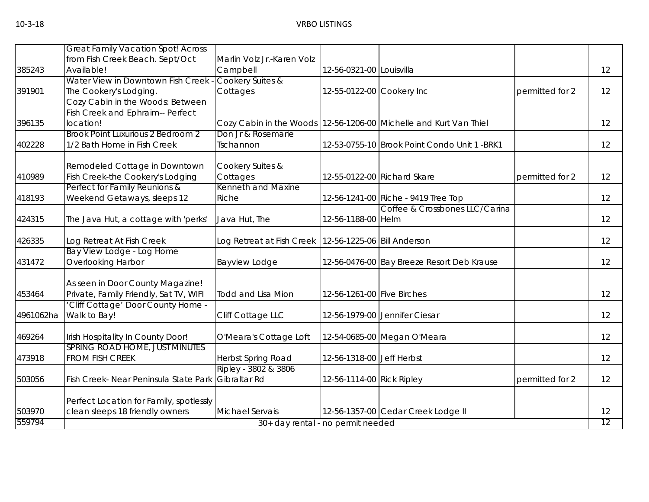|           | <b>Great Family Vacation Spot! Across</b> |                                                           |                            |                                                                   |                 |    |
|-----------|-------------------------------------------|-----------------------------------------------------------|----------------------------|-------------------------------------------------------------------|-----------------|----|
|           | from Fish Creek Beach. Sept/Oct           | Marlin Volz Jr.-Karen Volz                                |                            |                                                                   |                 |    |
| 385243    | Available!                                | Campbell                                                  | 12-56-0321-00 Louisvilla   |                                                                   |                 | 12 |
|           | Water View in Downtown Fish Creek         | Cookery Suites &                                          |                            |                                                                   |                 |    |
| 391901    | The Cookery's Lodging.                    | Cottages                                                  | 12-55-0122-00 Cookery Inc  |                                                                   | permitted for 2 | 12 |
|           | Cozy Cabin in the Woods: Between          |                                                           |                            |                                                                   |                 |    |
|           | Fish Creek and Ephraim-- Perfect          |                                                           |                            |                                                                   |                 |    |
| 396135    | location!                                 |                                                           |                            | Cozy Cabin in the Woods 12-56-1206-00 Michelle and Kurt Van Thiel |                 | 12 |
|           | Brook Point Luxurious 2 Bedroom 2         | Don Jr & Rosemarie                                        |                            |                                                                   |                 |    |
| 402228    | 1/2 Bath Home in Fish Creek               | Tschannon                                                 |                            | 12-53-0755-10 Brook Point Condo Unit 1 -BRK1                      |                 | 12 |
|           | Remodeled Cottage in Downtown             | Cookery Suites &                                          |                            |                                                                   |                 |    |
| 410989    | Fish Creek-the Cookery's Lodging          | Cottages                                                  |                            | 12-55-0122-00 Richard Skare                                       | permitted for 2 | 12 |
|           | Perfect for Family Reunions &             | Kenneth and Maxine                                        |                            |                                                                   |                 |    |
| 418193    | Weekend Getaways, sleeps 12               | Riche                                                     |                            | 12-56-1241-00 Riche - 9419 Tree Top                               |                 | 12 |
|           |                                           |                                                           |                            | Coffee & Crossbones LLC/Carina                                    |                 |    |
| 424315    | The Java Hut, a cottage with 'perks'      | Java Hut, The                                             | 12-56-1188-00 Helm         |                                                                   |                 | 12 |
| 426335    | Log Retreat At Fish Creek                 | Log Retreat at Fish Creek   12-56-1225-06   Bill Anderson |                            |                                                                   |                 | 12 |
|           | Bay View Lodge - Log Home                 |                                                           |                            |                                                                   |                 |    |
| 431472    | Overlooking Harbor                        | <b>Bayview Lodge</b>                                      |                            | 12-56-0476-00 Bay Breeze Resort Deb Krause                        |                 | 12 |
|           | As seen in Door County Magazine!          |                                                           |                            |                                                                   |                 |    |
| 453464    | Private, Family Friendly, Sat TV, WIFI    | <b>Todd and Lisa Mion</b>                                 | 12-56-1261-00 Five Birches |                                                                   |                 | 12 |
|           | 'Cliff Cottage' Door County Home -        |                                                           |                            |                                                                   |                 |    |
| 4961062ha | Walk to Bay!                              | Cliff Cottage LLC                                         |                            | 12-56-1979-00 Jennifer Ciesar                                     |                 | 12 |
| 469264    | Irish Hospitality In County Door!         | O'Meara's Cottage Loft                                    |                            | 12-54-0685-00 Megan O'Meara                                       |                 | 12 |
|           | SPRING ROAD HOME, JUST MINUTES            |                                                           |                            |                                                                   |                 |    |
| 473918    | FROM FISH CREEK                           | Herbst Spring Road                                        | 12-56-1318-00 Jeff Herbst  |                                                                   |                 | 12 |
|           |                                           | Ripley - 3802 & 3806                                      |                            |                                                                   |                 |    |
| 503056    | Fish Creek- Near Peninsula State Park     | Gibraltar Rd                                              | 12-56-1114-00 Rick Ripley  |                                                                   | permitted for 2 | 12 |
|           | Perfect Location for Family, spotlessly   |                                                           |                            |                                                                   |                 |    |
| 503970    | clean sleeps 18 friendly owners           | <b>Michael Servais</b>                                    |                            | 12-56-1357-00 Cedar Creek Lodge II                                |                 | 12 |
| 559794    |                                           | 30+ day rental - no permit needed                         |                            |                                                                   |                 | 12 |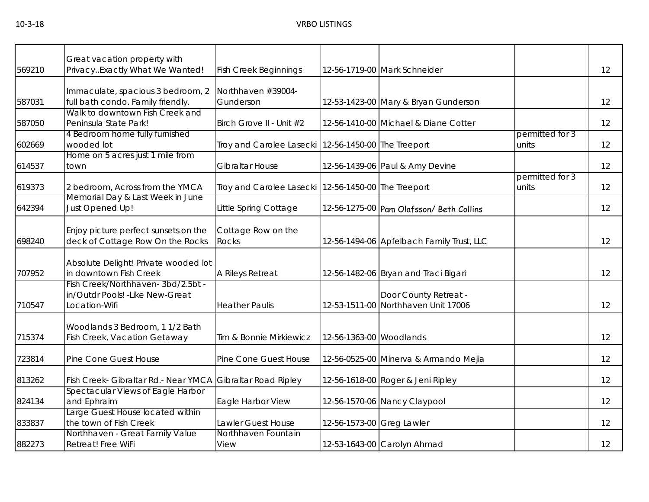| 569210 | Great vacation property with<br>PrivacyExactly What We Wanted!                         | <b>Fish Creek Beginnings</b>                          |                           | 12-56-1719-00 Mark Schneider                                 |                          | 12 |
|--------|----------------------------------------------------------------------------------------|-------------------------------------------------------|---------------------------|--------------------------------------------------------------|--------------------------|----|
| 587031 | Immaculate, spacious 3 bedroom, 2<br>full bath condo. Family friendly.                 | Northhaven #39004-<br>Gunderson                       |                           | 12-53-1423-00 Mary & Bryan Gunderson                         |                          | 12 |
| 587050 | Walk to downtown Fish Creek and<br>Peninsula State Park!                               | Birch Grove II - Unit #2                              |                           | 12-56-1410-00 Michael & Diane Cotter                         |                          | 12 |
| 602669 | 4 Bedroom home fully furnished<br>wooded lot                                           | Troy and Carolee Lasecki 12-56-1450-00 The Treeport   |                           |                                                              | permitted for 3<br>units | 12 |
| 614537 | Home on 5 acres just 1 mile from<br>town                                               | <b>Gibraltar House</b>                                |                           | 12-56-1439-06 Paul & Amy Devine                              |                          | 12 |
| 619373 | 2 bedroom, Across from the YMCA                                                        | Troy and Carolee Lasecki   12-56-1450-00 The Treeport |                           |                                                              | permitted for 3<br>units | 12 |
| 642394 | Memorial Day & Last Week in June<br>Just Opened Up!                                    | Little Spring Cottage                                 |                           | 12-56-1275-00 Pam Olafsson/ Beth Collins                     |                          | 12 |
| 698240 | Enjoy picture perfect sunsets on the<br>deck of Cottage Row On the Rocks               | Cottage Row on the<br><b>Rocks</b>                    |                           | 12-56-1494-06 Apfelbach Family Trust, LLC                    |                          | 12 |
| 707952 | Absolute Delight! Private wooded lot<br>in downtown Fish Creek                         | A Rileys Retreat                                      |                           | 12-56-1482-06 Bryan and Traci Bigari                         |                          | 12 |
| 710547 | Fish Creek/Northhaven-3bd/2.5bt -<br>in/Outdr Pools! - Like New-Great<br>Location-Wifi | <b>Heather Paulis</b>                                 |                           | Door County Retreat -<br>12-53-1511-00 Northhaven Unit 17006 |                          | 12 |
| 715374 | Woodlands 3 Bedroom, 1 1/2 Bath<br>Fish Creek, Vacation Getaway                        | Tim & Bonnie Mirkiewicz                               | 12-56-1363-00 Woodlands   |                                                              |                          | 12 |
| 723814 | Pine Cone Guest House                                                                  | Pine Cone Guest House                                 |                           | 12-56-0525-00 Minerva & Armando Mejia                        |                          | 12 |
| 813262 | Fish Creek- Gibraltar Rd.- Near YMCA                                                   | <b>Gibraltar Road Ripley</b>                          |                           | 12-56-1618-00 Roger & Jeni Ripley                            |                          | 12 |
| 824134 | Spectacular Views of Eagle Harbor<br>and Ephraim                                       | Eagle Harbor View                                     |                           | 12-56-1570-06 Nancy Claypool                                 |                          | 12 |
| 833837 | Large Guest House located within<br>the town of Fish Creek                             | Lawler Guest House                                    | 12-56-1573-00 Greg Lawler |                                                              |                          | 12 |
| 882273 | Northhaven - Great Family Value<br>Retreat! Free WiFi                                  | Northhaven Fountain<br>View                           |                           | 12-53-1643-00 Carolyn Ahmad                                  |                          | 12 |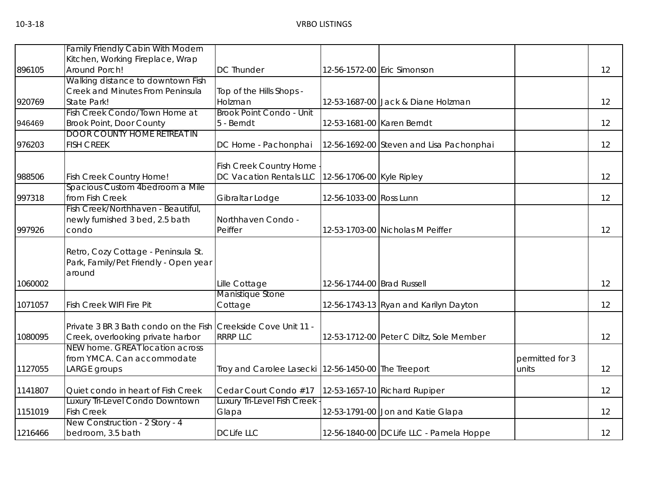|         | <b>Family Friendly Cabin With Modern</b>                                                            |                                                     |                            |                                          |                          |    |
|---------|-----------------------------------------------------------------------------------------------------|-----------------------------------------------------|----------------------------|------------------------------------------|--------------------------|----|
|         | Kitchen, Working Fireplace, Wrap                                                                    |                                                     |                            |                                          |                          |    |
| 896105  | Around Porch!                                                                                       | <b>DC Thunder</b>                                   |                            | 12-56-1572-00 Eric Simonson              |                          | 12 |
|         | Walking distance to downtown Fish                                                                   |                                                     |                            |                                          |                          |    |
|         | Creek and Minutes From Peninsula                                                                    | Top of the Hills Shops -                            |                            |                                          |                          |    |
| 920769  | State Park!                                                                                         | Holzman                                             |                            | 12-53-1687-00 Jack & Diane Holzman       |                          | 12 |
|         | Fish Creek Condo/Town Home at                                                                       | Brook Point Condo - Unit                            |                            |                                          |                          |    |
| 946469  | <b>Brook Point, Door County</b>                                                                     | 5 - Berndt                                          | 12-53-1681-00 Karen Berndt |                                          |                          | 12 |
|         | <b>DOOR COUNTY HOME RETREAT IN</b>                                                                  |                                                     |                            |                                          |                          |    |
| 976203  | <b>FISH CREEK</b>                                                                                   | DC Home - Pachonphai                                |                            | 12-56-1692-00 Steven and Lisa Pachonphai |                          | 12 |
|         |                                                                                                     | Fish Creek Country Home                             |                            |                                          |                          |    |
| 988506  | Fish Creek Country Home!                                                                            | DC Vacation Rentals LLC                             | 12-56-1706-00 Kyle Ripley  |                                          |                          | 12 |
|         | Spacious Custom 4bedroom a Mile                                                                     |                                                     |                            |                                          |                          |    |
| 997318  | from Fish Creek                                                                                     | Gibraltar Lodge                                     | 12-56-1033-00 Ross Lunn    |                                          |                          | 12 |
|         | Fish Creek/Northhaven - Beautiful,                                                                  |                                                     |                            |                                          |                          |    |
|         | newly furnished 3 bed, 2.5 bath                                                                     | Northhaven Condo -                                  |                            |                                          |                          |    |
| 997926  | condo                                                                                               | Peiffer                                             |                            | 12-53-1703-00 Nicholas M Peiffer         |                          | 12 |
|         | Retro, Cozy Cottage - Peninsula St.<br>Park, Family/Pet Friendly - Open year<br>around              |                                                     |                            |                                          |                          |    |
| 1060002 |                                                                                                     | Lille Cottage                                       | 12-56-1744-00 Brad Russell |                                          |                          | 12 |
|         |                                                                                                     | Manistique Stone                                    |                            |                                          |                          |    |
| 1071057 | Fish Creek WIFI Fire Pit                                                                            | Cottage                                             |                            | 12-56-1743-13 Ryan and Karilyn Dayton    |                          | 12 |
| 1080095 | Private 3 BR 3 Bath condo on the Fish Creekside Cove Unit 11 -<br>Creek, overlooking private harbor | <b>RRRP LLC</b>                                     |                            | 12-53-1712-00 Peter C Diltz, Sole Member |                          | 12 |
|         | NEW home. GREAT location across                                                                     |                                                     |                            |                                          |                          |    |
| 1127055 | from YMCA. Can accommodate<br>LARGE groups                                                          | Troy and Carolee Lasecki 12-56-1450-00 The Treeport |                            |                                          | permitted for 3<br>units | 12 |
|         |                                                                                                     |                                                     |                            |                                          |                          |    |
| 1141807 | Quiet condo in heart of Fish Creek                                                                  | Cedar Court Condo #17                               |                            | 12-53-1657-10 Richard Rupiper            |                          | 12 |
|         | Luxury Tri-Level Condo Downtown                                                                     | <b>Luxury Tri-Level Fish Creek</b>                  |                            |                                          |                          |    |
| 1151019 | <b>Fish Creek</b>                                                                                   | Glapa                                               |                            | 12-53-1791-00 Jon and Katie Glapa        |                          | 12 |
| 1216466 | New Construction - 2 Story - 4<br>bedroom, 3.5 bath                                                 | <b>DCLife LLC</b>                                   |                            | 12-56-1840-00 DCLife LLC - Pamela Hoppe  |                          | 12 |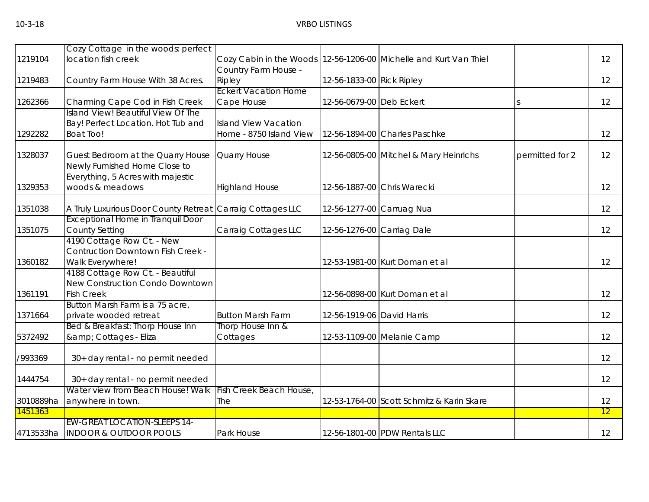|           | Cozy Cottage in the woods: perfect                         |                             |                            |                                           |                 |    |
|-----------|------------------------------------------------------------|-----------------------------|----------------------------|-------------------------------------------|-----------------|----|
| 1219104   | location fish creek                                        | Cozy Cabin in the Woods     |                            | 12-56-1206-00 Michelle and Kurt Van Thiel |                 | 12 |
|           |                                                            | Country Farm House -        |                            |                                           |                 |    |
| 1219483   | Country Farm House With 38 Acres.                          | Ripley                      | 12-56-1833-00 Rick Ripley  |                                           |                 | 12 |
|           |                                                            | <b>Eckert Vacation Home</b> |                            |                                           |                 |    |
| 1262366   | Charming Cape Cod in Fish Creek                            | Cape House                  | 12-56-0679-00 Deb Eckert   |                                           | <sub>S</sub>    | 12 |
|           | Island View! Beautiful View Of The                         |                             |                            |                                           |                 |    |
|           | Bay! Perfect Location. Hot Tub and                         | <b>Island View Vacation</b> |                            |                                           |                 |    |
| 1292282   | <b>Boat Too!</b>                                           | Home - 8750 Island View     |                            | 12-56-1894-00 Charles Paschke             |                 | 12 |
| 1328037   | Guest Bedroom at the Quarry House                          | Quarry House                |                            | 12-56-0805-00 Mitchel & Mary Heinrichs    | permitted for 2 | 12 |
|           | Newly Furnished Home Close to                              |                             |                            |                                           |                 |    |
|           | Everything, 5 Acres with majestic                          |                             |                            |                                           |                 |    |
| 1329353   | woods & meadows                                            | <b>Highland House</b>       |                            | 12-56-1887-00 Chris Warecki               |                 | 12 |
|           |                                                            |                             |                            |                                           |                 |    |
| 1351038   | A Truly Luxurious Door County Retreat Carraig Cottages LLC |                             |                            | 12-56-1277-00 Carruag Nua                 |                 | 12 |
|           | <b>Exceptional Home in Tranquil Door</b>                   |                             |                            |                                           |                 |    |
| 1351075   | <b>County Setting</b>                                      | Carraig Cottages LLC        |                            | 12-56-1276-00 Carriag Dale                |                 | 12 |
|           | 4190 Cottage Row Ct. - New                                 |                             |                            |                                           |                 |    |
|           | <b>Contruction Downtown Fish Creek -</b>                   |                             |                            |                                           |                 |    |
| 1360182   | Walk Everywhere!<br>4188 Cottage Row Ct. - Beautiful       |                             |                            | 12-53-1981-00 Kurt Doman et al            |                 | 12 |
|           | New Construction Condo Downtown                            |                             |                            |                                           |                 |    |
| 1361191   | <b>Fish Creek</b>                                          |                             |                            | 12-56-0898-00 Kurt Doman et al            |                 | 12 |
|           | Button Marsh Farm is a 75 acre,                            |                             |                            |                                           |                 |    |
| 1371664   | private wooded retreat                                     | <b>Button Marsh Farm</b>    | 12-56-1919-06 David Harris |                                           |                 | 12 |
|           | Bed & Breakfast: Thorp House Inn                           | Thorp House Inn &           |                            |                                           |                 |    |
| 5372492   | & Cottages - Eliza                                         | Cottages                    |                            | 12-53-1109-00 Melanie Camp                |                 | 12 |
|           |                                                            |                             |                            |                                           |                 |    |
| /993369   | 30+ day rental - no permit needed                          |                             |                            |                                           |                 | 12 |
| 1444754   | 30+ day rental - no permit needed                          |                             |                            |                                           |                 | 12 |
|           | Water view from Beach House! Walk                          | Fish Creek Beach House,     |                            |                                           |                 |    |
| 3010889ha | anywhere in town.                                          | The                         |                            | 12-53-1764-00 Scott Schmitz & Karin Skare |                 | 12 |
| 1451363   |                                                            |                             |                            |                                           |                 | 12 |
|           | <b>EW-GREAT LOCATION-SLEEPS 14-</b>                        |                             |                            |                                           |                 |    |
| 4713533ha | <b>INDOOR &amp; OUTDOOR POOLS</b>                          | Park House                  |                            | 12-56-1801-00 PDW Rentals LLC             |                 | 12 |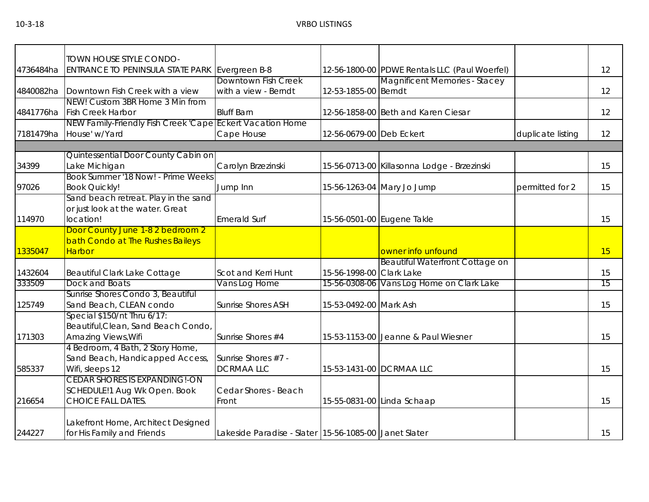|           | TOWN HOUSE STYLE CONDO-                                   |                                                       |                          |                                               |                   |    |
|-----------|-----------------------------------------------------------|-------------------------------------------------------|--------------------------|-----------------------------------------------|-------------------|----|
| 4736484ha | ENTRANCE TO PENINSULA STATE PARK                          | Evergreen B-8                                         |                          | 12-56-1800-00 PDWE Rentals LLC (Paul Woerfel) |                   | 12 |
|           |                                                           | Downtown Fish Creek                                   |                          | <b>Magnificent Memories - Stacey</b>          |                   |    |
| 4840082ha | Downtown Fish Creek with a view                           | with a view - Berndt                                  | 12-53-1855-00 Berndt     |                                               |                   | 12 |
|           | NEW! Custom 3BR Home 3 Min from                           |                                                       |                          |                                               |                   |    |
| 4841776ha | <b>Fish Creek Harbor</b>                                  | <b>Bluff Barn</b>                                     |                          | 12-56-1858-00 Beth and Karen Ciesar           |                   | 12 |
|           | NEW Family-Friendly Fish Creek 'Cape Eckert Vacation Home |                                                       |                          |                                               |                   |    |
| 7181479ha | House' w/Yard                                             | Cape House                                            | 12-56-0679-00 Deb Eckert |                                               | duplicate listing | 12 |
|           |                                                           |                                                       |                          |                                               |                   |    |
|           | Quintessential Door County Cabin on                       |                                                       |                          |                                               |                   |    |
| 34399     | Lake Michigan                                             | Carolyn Brzezinski                                    |                          | 15-56-0713-00 Killasonna Lodge - Brzezinski   |                   | 15 |
|           | Book Summer '18 Now! - Prime Weeks                        |                                                       |                          |                                               |                   |    |
| 97026     | <b>Book Quickly!</b>                                      | Jump Inn                                              |                          | 15-56-1263-04 Mary Jo Jump                    | permitted for 2   | 15 |
|           | Sand beach retreat. Play in the sand                      |                                                       |                          |                                               |                   |    |
|           | or just look at the water. Great                          |                                                       |                          |                                               |                   |    |
| 114970    | location!                                                 | <b>Emerald Surf</b>                                   |                          | 15-56-0501-00 Eugene Takle                    |                   | 15 |
|           | Door County June 1-8 2 bedroom 2                          |                                                       |                          |                                               |                   |    |
|           | bath Condo at The Rushes Baileys                          |                                                       |                          |                                               |                   |    |
| 1335047   | <b>Harbor</b>                                             |                                                       |                          | owner info unfound                            |                   | 15 |
|           |                                                           |                                                       |                          | Beautiful Waterfront Cottage on               |                   |    |
| 1432604   | Beautiful Clark Lake Cottage                              | Scot and Kerri Hunt                                   | 15-56-1998-00 Clark Lake |                                               |                   | 15 |
| 333509    | Dock and Boats                                            | Vans Log Home                                         |                          | 15-56-0308-06 Vans Log Home on Clark Lake     |                   | 15 |
|           | Sunrise Shores Condo 3, Beautiful                         |                                                       |                          |                                               |                   |    |
| 125749    | Sand Beach, CLEAN condo                                   | <b>Sunrise Shores ASH</b>                             | 15-53-0492-00 Mark Ash   |                                               |                   | 15 |
|           | Special \$150/nt Thru 6/17:                               |                                                       |                          |                                               |                   |    |
|           | Beautiful, Clean, Sand Beach Condo,                       |                                                       |                          |                                               |                   |    |
| 171303    | Amazing Views, Wifi                                       | Sunrise Shores #4                                     |                          | 15-53-1153-00 Jeanne & Paul Wiesner           |                   | 15 |
|           | 4 Bedroom, 4 Bath, 2 Story Home,                          |                                                       |                          |                                               |                   |    |
|           | Sand Beach, Handicapped Access,                           | Sunrise Shores #7 -                                   |                          |                                               |                   |    |
| 585337    | Wifi, sleeps 12                                           | <b>DCRMAALLC</b>                                      |                          | 15-53-1431-00 DCRMAA LLC                      |                   | 15 |
|           | <b>CEDAR SHORES IS EXPANDING!-ON</b>                      |                                                       |                          |                                               |                   |    |
|           | SCHEDULE!1 Aug Wk Open. Book                              | Cedar Shores - Beach                                  |                          |                                               |                   |    |
| 216654    | <b>CHOICE FALL DATES.</b>                                 | Front                                                 |                          | 15-55-0831-00 Linda Schaap                    |                   | 15 |
|           |                                                           |                                                       |                          |                                               |                   |    |
|           | Lakefront Home, Architect Designed                        |                                                       |                          |                                               |                   |    |
| 244227    | for His Family and Friends                                | Lakeside Paradise - Slater 15-56-1085-00 Janet Slater |                          |                                               |                   | 15 |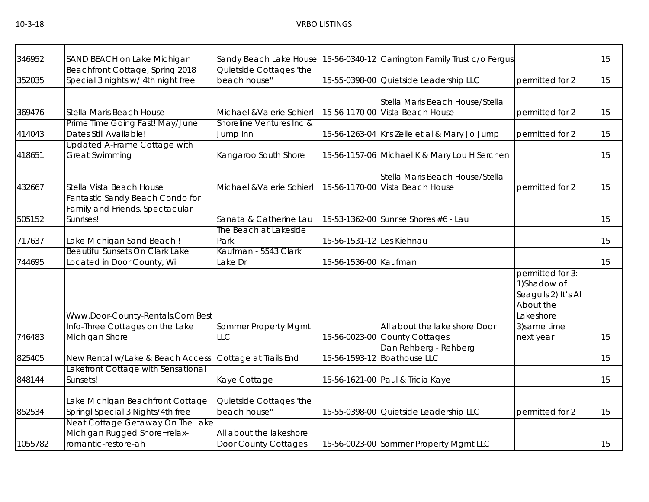| 346952  | SAND BEACH on Lake Michigan                                                             |                                                 |                           | Sandy Beach Lake House 15-56-0340-12 Carrington Family Trust c/o Fergus |                                                                                                                 | 15 |
|---------|-----------------------------------------------------------------------------------------|-------------------------------------------------|---------------------------|-------------------------------------------------------------------------|-----------------------------------------------------------------------------------------------------------------|----|
|         | Beachfront Cottage, Spring 2018                                                         | Quietside Cottages "the                         |                           |                                                                         |                                                                                                                 |    |
| 352035  | Special 3 nights w/ 4th night free                                                      | beach house"                                    |                           | 15-55-0398-00 Quietside Leadership LLC                                  | permitted for 2                                                                                                 | 15 |
| 369476  | Stella Maris Beach House                                                                | Michael & Valerie Schierl                       |                           | Stella Maris Beach House/Stella<br>15-56-1170-00 Vista Beach House      | permitted for 2                                                                                                 | 15 |
| 414043  | Prime Time Going Fast! May/June<br>Dates Still Available!                               | Shoreline Ventures Inc &<br>Jump Inn            |                           | 15-56-1263-04 Kris Zeile et al & Mary Jo Jump                           | permitted for 2                                                                                                 | 15 |
| 418651  | Updated A-Frame Cottage with<br><b>Great Swimming</b>                                   | Kangaroo South Shore                            |                           | 15-56-1157-06 Michael K & Mary Lou H Serchen                            |                                                                                                                 | 15 |
| 432667  | Stella Vista Beach House                                                                | Michael & Valerie Schierl                       |                           | Stella Maris Beach House/Stella<br>15-56-1170-00 Vista Beach House      | permitted for 2                                                                                                 | 15 |
| 505152  | Fantastic Sandy Beach Condo for<br>Family and Friends. Spectacular<br>Sunrises!         | Sanata & Catherine Lau                          |                           | 15-53-1362-00 Sunrise Shores #6 - Lau                                   |                                                                                                                 | 15 |
| 717637  | Lake Michigan Sand Beach!!                                                              | The Beach at Lakeside<br>Park                   | 15-56-1531-12 Les Kiehnau |                                                                         |                                                                                                                 | 15 |
| 744695  | Beautiful Sunsets On Clark Lake<br>Located in Door County, Wi                           | Kaufman - 5543 Clark<br>Lake Dr                 | 15-56-1536-00 Kaufman     |                                                                         |                                                                                                                 | 15 |
| 746483  | Www.Door-County-Rentals.Com Best<br>Info-Three Cottages on the Lake<br>Michigan Shore   | Sommer Property Mgmt<br><b>LLC</b>              |                           | All about the lake shore Door<br>15-56-0023-00 County Cottages          | permitted for 3:<br>1) Shadow of<br>Seagulls 2) It's All<br>About the<br>Lakeshore<br>3) same time<br>next year | 15 |
| 825405  | New Rental w/Lake & Beach Access                                                        | Cottage at Trails End                           |                           | Dan Rehberg - Rehberg<br>15-56-1593-12 Boathouse LLC                    |                                                                                                                 | 15 |
| 848144  | Lakefront Cottage with Sensational<br>Sunsets!                                          | Kaye Cottage                                    |                           | 15-56-1621-00 Paul & Tricia Kaye                                        |                                                                                                                 | 15 |
| 852534  | Lake Michigan Beachfront Cottage<br>Springl Special 3 Nights/4th free                   | Quietside Cottages "the<br>beach house"         |                           | 15-55-0398-00 Quietside Leadership LLC                                  | permitted for 2                                                                                                 | 15 |
| 1055782 | Neat Cottage Getaway On The Lake<br>Michigan Rugged Shore=relax-<br>romantic-restore-ah | All about the lakeshore<br>Door County Cottages |                           | 15-56-0023-00 Sommer Property Mgmt LLC                                  |                                                                                                                 | 15 |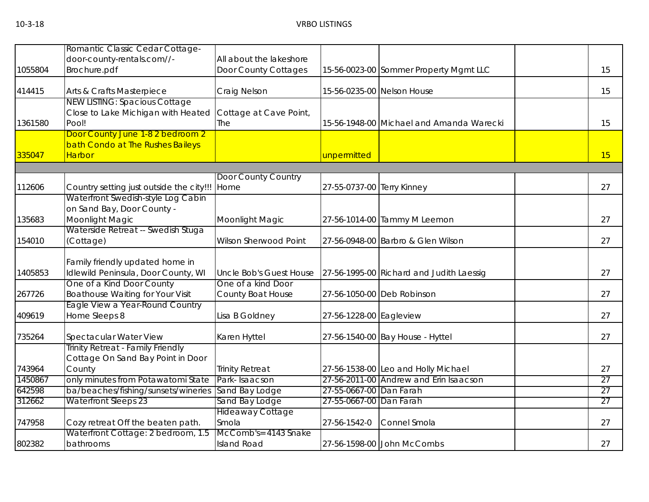|         | Romantic Classic Cedar Cottage-                                        |                                |                            |                                          |    |
|---------|------------------------------------------------------------------------|--------------------------------|----------------------------|------------------------------------------|----|
|         | door-county-rentals.com//-                                             | All about the lakeshore        |                            |                                          |    |
| 1055804 | Brochure.pdf                                                           | Door County Cottages           |                            | 15-56-0023-00 Sommer Property Mgmt LLC   | 15 |
| 414415  | Arts & Crafts Masterpiece                                              | Craig Nelson                   |                            | 15-56-0235-00 Nelson House               | 15 |
|         | <b>NEW LISTING: Spacious Cottage</b>                                   |                                |                            |                                          |    |
|         | Close to Lake Michigan with Heated                                     | Cottage at Cave Point,         |                            |                                          |    |
| 1361580 | Pool!                                                                  | The                            |                            | 15-56-1948-00 Michael and Amanda Warecki | 15 |
|         | Door County June 1-8 2 bedroom 2                                       |                                |                            |                                          |    |
|         | bath Condo at The Rushes Baileys                                       |                                |                            |                                          |    |
| 335047  | <b>Harbor</b>                                                          |                                | unpermitted                |                                          | 15 |
|         |                                                                        | Door County Country            |                            |                                          |    |
| 112606  | Country setting just outside the city!!!                               | Home                           | 27-55-0737-00 Terry Kinney |                                          | 27 |
|         | Waterfront Swedish-style Log Cabin                                     |                                |                            |                                          |    |
|         | on Sand Bay, Door County -                                             |                                |                            |                                          |    |
| 135683  | Moonlight Magic                                                        | Moonlight Magic                |                            | 27-56-1014-00 Tammy M Leemon             | 27 |
|         | Waterside Retreat -- Swedish Stuga                                     |                                |                            |                                          |    |
| 154010  | (Cottage)                                                              | <b>Wilson Sherwood Point</b>   |                            | 27-56-0948-00 Barbro & Glen Wilson       | 27 |
|         |                                                                        |                                |                            |                                          |    |
| 1405853 | Family friendly updated home in<br>Idlewild Peninsula, Door County, WI | <b>Uncle Bob's Guest House</b> |                            | 27-56-1995-00 Richard and Judith Laessig | 27 |
|         | One of a Kind Door County                                              | One of a kind Door             |                            |                                          |    |
| 267726  | <b>Boathouse Waiting for Your Visit</b>                                | County Boat House              |                            | 27-56-1050-00 Deb Robinson               | 27 |
|         | Eagle View a Year-Round Country                                        |                                |                            |                                          |    |
| 409619  | Home Sleeps 8                                                          | Lisa B Goldney                 | 27-56-1228-00 Eagleview    |                                          | 27 |
|         |                                                                        |                                |                            |                                          |    |
| 735264  | Spectacular Water View                                                 | Karen Hyttel                   |                            | 27-56-1540-00 Bay House - Hyttel         | 27 |
|         | Trinity Retreat - Family Friendly                                      |                                |                            |                                          |    |
|         | Cottage On Sand Bay Point in Door                                      |                                |                            |                                          |    |
| 743964  | County                                                                 | <b>Trinity Retreat</b>         |                            | 27-56-1538-00 Leo and Holly Michael      | 27 |
| 1450867 | only minutes from Potawatomi State                                     | Park-Isaacson                  |                            | 27-56-2011-00 Andrew and Erin Isaacson   | 27 |
| 642598  | ba/beaches/fishing/sunsets/wineries                                    | Sand Bay Lodge                 | 27-55-0667-00 Dan Farah    |                                          | 27 |
| 312662  | <b>Waterfront Sleeps 23</b>                                            | Sand Bay Lodge                 | 27-55-0667-00 Dan Farah    |                                          | 27 |
|         |                                                                        | <b>Hideaway Cottage</b>        |                            |                                          |    |
| 747958  | Cozy retreat Off the beaten path.                                      | Smola                          | 27-56-1542-0               | Connel Smola                             | 27 |
|         | Waterfront Cottage: 2 bedroom, 1.5                                     | McComb's= 4143 Snake           |                            |                                          |    |
| 802382  | bathrooms                                                              | <b>Island Road</b>             |                            | 27-56-1598-00 John McCombs               | 27 |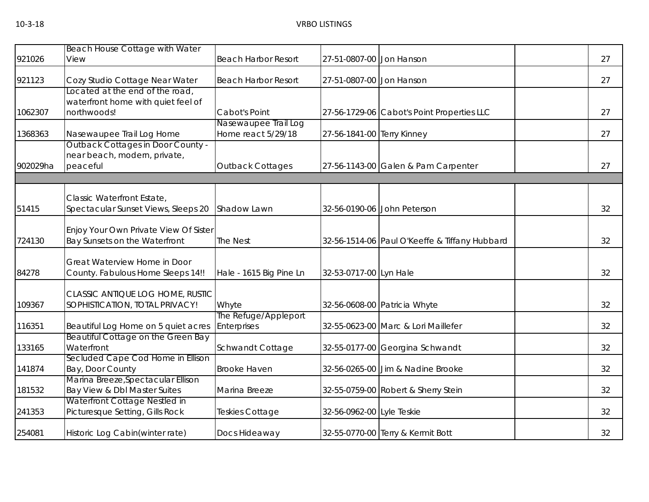|          | Beach House Cottage with Water                                                       |                                            |                            |                                               |    |
|----------|--------------------------------------------------------------------------------------|--------------------------------------------|----------------------------|-----------------------------------------------|----|
| 921026   | View                                                                                 | <b>Beach Harbor Resort</b>                 | 27-51-0807-00 Jon Hanson   |                                               | 27 |
| 921123   | Cozy Studio Cottage Near Water                                                       | <b>Beach Harbor Resort</b>                 | 27-51-0807-00 Jon Hanson   |                                               | 27 |
| 1062307  | Located at the end of the road,<br>waterfront home with quiet feel of<br>northwoods! | Cabot's Point                              |                            | 27-56-1729-06 Cabot's Point Properties LLC    | 27 |
| 1368363  | Nasewaupee Trail Log Home                                                            | Nasewaupee Trail Log<br>Home react 5/29/18 | 27-56-1841-00 Terry Kinney |                                               | 27 |
| 902029ha | <b>Outback Cottages in Door County -</b><br>near beach, modern, private,<br>peaceful | <b>Outback Cottages</b>                    |                            | 27-56-1143-00 Galen & Pam Carpenter           | 27 |
|          |                                                                                      |                                            |                            |                                               |    |
| 51415    | Classic Waterfront Estate,<br>Spectacular Sunset Views, Sleeps 20                    | Shadow Lawn                                |                            | 32-56-0190-06 John Peterson                   | 32 |
| 724130   | Enjoy Your Own Private View Of Sister<br>Bay Sunsets on the Waterfront               | <b>The Nest</b>                            |                            | 32-56-1514-06 Paul O'Keeffe & Tiffany Hubbard | 32 |
| 84278    | Great Waterview Home in Door<br>County. Fabulous Home Sleeps 14!!                    | Hale - 1615 Big Pine Ln                    | 32-53-0717-00 Lyn Hale     |                                               | 32 |
| 109367   | CLASSIC ANTIQUE LOG HOME, RUSTIC<br>SOPHISTICATION, TOTAL PRIVACY!                   | Whyte                                      |                            | 32-56-0608-00 Patricia Whyte                  | 32 |
| 116351   | Beautiful Log Home on 5 quiet acres                                                  | The Refuge/Appleport<br>Enterprises        |                            | 32-55-0623-00 Marc & Lori Maillefer           | 32 |
| 133165   | Beautiful Cottage on the Green Bay<br>Waterfront                                     | Schwandt Cottage                           |                            | 32-55-0177-00 Georgina Schwandt               | 32 |
| 141874   | Secluded Cape Cod Home in Ellison<br>Bay, Door County                                | <b>Brooke Haven</b>                        |                            | 32-56-0265-00 Jim & Nadine Brooke             | 32 |
| 181532   | Marina Breeze, Spectacular Ellison<br>Bay View & Dbl Master Suites                   | Marina Breeze                              |                            | 32-55-0759-00 Robert & Sherry Stein           | 32 |
| 241353   | Waterfront Cottage Nestled in<br>Picturesque Setting, Gills Rock                     | <b>Teskies Cottage</b>                     | 32-56-0962-00 Lyle Teskie  |                                               | 32 |
| 254081   | Historic Log Cabin(winter rate)                                                      | Docs Hideaway                              |                            | 32-55-0770-00 Terry & Kermit Bott             | 32 |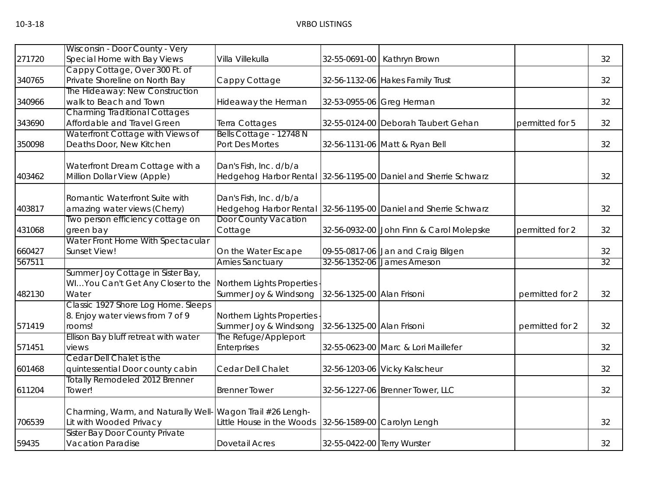|        | Wisconsin - Door County - Very        |                             |                             |                                          |                 |    |
|--------|---------------------------------------|-----------------------------|-----------------------------|------------------------------------------|-----------------|----|
| 271720 | Special Home with Bay Views           | Villa Villekulla            | 32-55-0691-00               | Kathryn Brown                            |                 | 32 |
|        | Cappy Cottage, Over 300 Ft. of        |                             |                             |                                          |                 |    |
| 340765 | Private Shoreline on North Bay        | Cappy Cottage               |                             | 32-56-1132-06 Hakes Family Trust         |                 | 32 |
|        | The Hideaway: New Construction        |                             |                             |                                          |                 |    |
| 340966 | walk to Beach and Town                | Hideaway the Herman         |                             | 32-53-0955-06 Greg Herman                |                 | 32 |
|        | <b>Charming Traditional Cottages</b>  |                             |                             |                                          |                 |    |
| 343690 | Affordable and Travel Green           | Terra Cottages              |                             | 32-55-0124-00 Deborah Taubert Gehan      | permitted for 5 | 32 |
|        | Waterfront Cottage with Views of      | Bells Cottage - 12748 N     |                             |                                          |                 |    |
| 350098 | Deaths Door, New Kitchen              | Port Des Mortes             |                             | 32-56-1131-06 Matt & Ryan Bell           |                 | 32 |
|        | Waterfront Dream Cottage with a       | Dan's Fish, Inc. d/b/a      |                             |                                          |                 |    |
| 403462 | Million Dollar View (Apple)           | Hedgehog Harbor Rental      |                             | 32-56-1195-00 Daniel and Sherrie Schwarz |                 | 32 |
|        |                                       |                             |                             |                                          |                 |    |
|        | Romantic Waterfront Suite with        | Dan's Fish, Inc. d/b/a      |                             |                                          |                 |    |
| 403817 | amazing water views (Cherry)          | Hedgehog Harbor Rental      |                             | 32-56-1195-00 Daniel and Sherrie Schwarz |                 | 32 |
|        | Two person efficiency cottage on      | <b>Door County Vacation</b> |                             |                                          |                 |    |
| 431068 | green bay                             | Cottage                     |                             | 32-56-0932-00 John Finn & Carol Molepske | permitted for 2 | 32 |
|        | Water Front Home With Spectacular     |                             |                             |                                          |                 |    |
| 660427 | Sunset View!                          | On the Water Escape         |                             | 09-55-0817-06 Jan and Craig Bilgen       |                 | 32 |
| 567511 |                                       | <b>Arnies Sanctuary</b>     |                             | 32-56-1352-06 James Arneson              |                 | 32 |
|        | Summer Joy Cottage in Sister Bay,     |                             |                             |                                          |                 |    |
|        | WIYou Can't Get Any Closer to the     | Northern Lights Properties  |                             |                                          |                 |    |
| 482130 | Water                                 | Summer Joy & Windsong       | 32-56-1325-00 Alan Frisoni  |                                          | permitted for 2 | 32 |
|        | Classic 1927 Shore Log Home. Sleeps   |                             |                             |                                          |                 |    |
|        | 8. Enjoy water views from 7 of 9      | Northern Lights Properties  |                             |                                          |                 |    |
| 571419 | rooms!                                | Summer Joy & Windsong       | 32-56-1325-00 Alan Frisoni  |                                          | permitted for 2 | 32 |
|        | Ellison Bay bluff retreat with water  | The Refuge/Appleport        |                             |                                          |                 |    |
| 571451 | views                                 | Enterprises                 |                             | 32-55-0623-00 Marc & Lori Maillefer      |                 | 32 |
|        | Cedar Dell Chalet is the              |                             |                             |                                          |                 |    |
| 601468 | quintessential Door county cabin      | Cedar Dell Chalet           |                             | 32-56-1203-06 Vicky Kalscheur            |                 | 32 |
|        | <b>Totally Remodeled 2012 Brenner</b> |                             |                             |                                          |                 |    |
| 611204 | Tower!                                | <b>Brenner Tower</b>        |                             | 32-56-1227-06 Brenner Tower, LLC         |                 | 32 |
|        | Charming, Warm, and Naturally Well-   | Wagon Trail #26 Lengh-      |                             |                                          |                 |    |
| 706539 | Lit with Wooded Privacy               | Little House in the Woods   |                             | 32-56-1589-00 Carolyn Lengh              |                 | 32 |
|        | <b>Sister Bay Door County Private</b> |                             |                             |                                          |                 |    |
| 59435  | <b>Vacation Paradise</b>              | <b>Dovetail Acres</b>       | 32-55-0422-00 Terry Wurster |                                          |                 | 32 |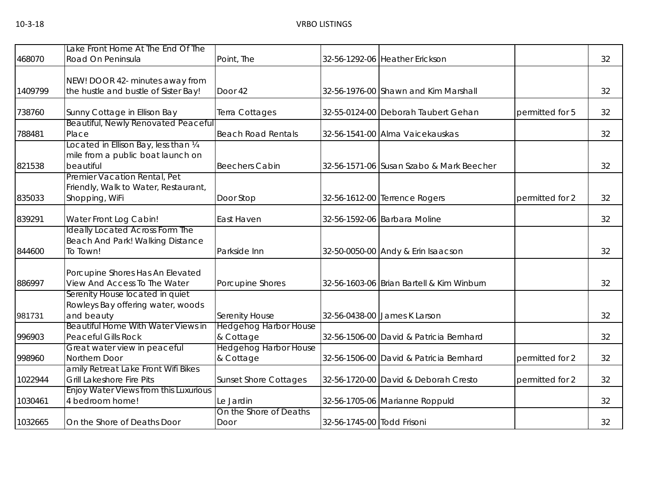| 468070  | Lake Front Home At The End Of The<br>Road On Peninsula                                  | Point, The                                |                            | 32-56-1292-06 Heather Erickson            |                 | 32 |
|---------|-----------------------------------------------------------------------------------------|-------------------------------------------|----------------------------|-------------------------------------------|-----------------|----|
| 1409799 | NEW! DOOR 42- minutes away from<br>the hustle and bustle of Sister Bay!                 | Door 42                                   |                            | 32-56-1976-00 Shawn and Kim Marshall      |                 | 32 |
| 738760  | Sunny Cottage in Ellison Bay                                                            | Terra Cottages                            |                            | 32-55-0124-00 Deborah Taubert Gehan       | permitted for 5 | 32 |
| 788481  | Beautiful, Newly Renovated Peaceful<br>Place                                            | <b>Beach Road Rentals</b>                 |                            | 32-56-1541-00 Alma Vaicekauskas           |                 | 32 |
| 821538  | Located in Ellison Bay, less than 1/4<br>mile from a public boat launch on<br>beautiful | <b>Beechers Cabin</b>                     |                            | 32-56-1571-06 Susan Szabo & Mark Beecher  |                 | 32 |
| 835033  | Premier Vacation Rental, Pet<br>Friendly, Walk to Water, Restaurant,<br>Shopping, WiFi  | Door Stop                                 |                            | 32-56-1612-00 Terrence Rogers             | permitted for 2 | 32 |
| 839291  | Water Front Log Cabin!                                                                  | East Haven                                |                            | 32-56-1592-06 Barbara Moline              |                 | 32 |
| 844600  | <b>Ideally Located Across Form The</b><br>Beach And Park! Walking Distance<br>To Town!  | Parkside Inn                              |                            | 32-50-0050-00 Andy & Erin Isaacson        |                 | 32 |
| 886997  | Porcupine Shores Has An Elevated<br>View And Access To The Water                        | Porcupine Shores                          |                            | 32-56-1603-06 Brian Bartell & Kim Winburn |                 | 32 |
| 981731  | Serenity House located in quiet<br>Rowleys Bay offering water, woods<br>and beauty      | Serenity House                            |                            | 32-56-0438-00 James K Larson              |                 | 32 |
| 996903  | Beautiful Home With Water Views in<br><b>Peaceful Gills Rock</b>                        | <b>Hedgehog Harbor House</b><br>& Cottage |                            | 32-56-1506-00 David & Patricia Bernhard   |                 | 32 |
| 998960  | Great water view in peaceful<br>Northern Door                                           | <b>Hedgehog Harbor House</b><br>& Cottage |                            | 32-56-1506-00 David & Patricia Bernhard   | permitted for 2 | 32 |
| 1022944 | amily Retreat Lake Front Wifi Bikes<br><b>Grill Lakeshore Fire Pits</b>                 | <b>Sunset Shore Cottages</b>              |                            | 32-56-1720-00 David & Deborah Cresto      | permitted for 2 | 32 |
| 1030461 | Enjoy Water Views from this Luxurious<br>4 bedroom home!                                | Le Jardin                                 |                            | 32-56-1705-06 Marianne Roppuld            |                 | 32 |
| 1032665 | On the Shore of Deaths Door                                                             | On the Shore of Deaths<br>Door            | 32-56-1745-00 Todd Frisoni |                                           |                 | 32 |
|         |                                                                                         |                                           |                            |                                           |                 |    |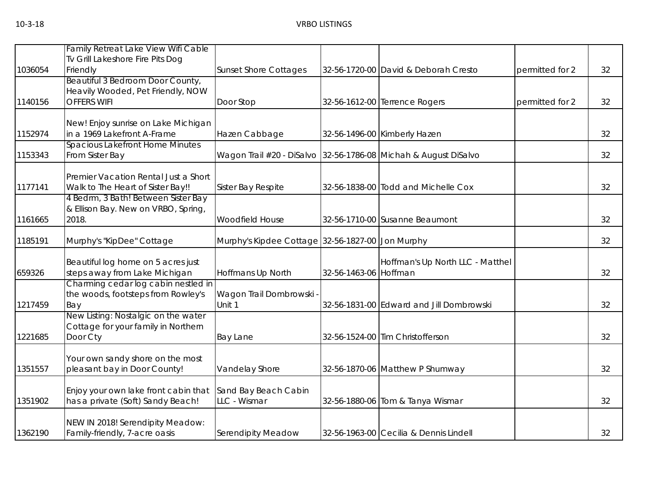|         | Family Retreat Lake View Wifi Cable                                       |                                                  |                       |                                                                 |                 |    |
|---------|---------------------------------------------------------------------------|--------------------------------------------------|-----------------------|-----------------------------------------------------------------|-----------------|----|
|         | Tv Grill Lakeshore Fire Pits Dog                                          |                                                  |                       |                                                                 |                 |    |
| 1036054 | Friendly                                                                  | <b>Sunset Shore Cottages</b>                     |                       | 32-56-1720-00 David & Deborah Cresto                            | permitted for 2 | 32 |
|         | Beautiful 3 Bedroom Door County,                                          |                                                  |                       |                                                                 |                 |    |
|         | Heavily Wooded, Pet Friendly, NOW                                         |                                                  |                       |                                                                 |                 |    |
| 1140156 | <b>OFFERS WIFI</b>                                                        | Door Stop                                        |                       | 32-56-1612-00 Terrence Rogers                                   | permitted for 2 | 32 |
|         |                                                                           |                                                  |                       |                                                                 |                 |    |
|         | New! Enjoy sunrise on Lake Michigan                                       |                                                  |                       |                                                                 |                 |    |
| 1152974 | in a 1969 Lakefront A-Frame                                               | Hazen Cabbage                                    |                       | 32-56-1496-00 Kimberly Hazen                                    |                 | 32 |
|         | <b>Spacious Lakefront Home Minutes</b>                                    |                                                  |                       |                                                                 |                 |    |
| 1153343 | From Sister Bay                                                           |                                                  |                       | Wagon Trail #20 - DiSalvo 32-56-1786-08 Michah & August DiSalvo |                 | 32 |
|         |                                                                           |                                                  |                       |                                                                 |                 |    |
| 1177141 | Premier Vacation Rental Just a Short<br>Walk to The Heart of Sister Bay!! | Sister Bay Respite                               |                       | 32-56-1838-00 Todd and Michelle Cox                             |                 | 32 |
|         | 4 Bedrm, 3 Bath! Between Sister Bay                                       |                                                  |                       |                                                                 |                 |    |
|         | & Ellison Bay. New on VRBO, Spring,                                       |                                                  |                       |                                                                 |                 |    |
| 1161665 | 2018.                                                                     | Woodfield House                                  |                       | 32-56-1710-00 Susanne Beaumont                                  |                 | 32 |
|         |                                                                           |                                                  |                       |                                                                 |                 |    |
| 1185191 | Murphy's "KipDee" Cottage                                                 | Murphy's Kipdee Cottage 32-56-1827-00 Jon Murphy |                       |                                                                 |                 | 32 |
|         |                                                                           |                                                  |                       |                                                                 |                 |    |
|         | Beautiful log home on 5 acres just                                        |                                                  |                       | Hoffman's Up North LLC - Matthel                                |                 |    |
| 659326  | steps away from Lake Michigan                                             | Hoffmans Up North                                | 32-56-1463-06 Hoffman |                                                                 |                 | 32 |
|         | Charming cedar log cabin nestled in                                       |                                                  |                       |                                                                 |                 |    |
|         | the woods, footsteps from Rowley's                                        | Wagon Trail Dombrowski                           |                       |                                                                 |                 |    |
| 1217459 | Bay                                                                       | Unit 1                                           |                       | 32-56-1831-00 Edward and Jill Dombrowski                        |                 | 32 |
|         | New Listing: Nostalgic on the water                                       |                                                  |                       |                                                                 |                 |    |
|         | Cottage for your family in Northern                                       |                                                  |                       |                                                                 |                 |    |
| 1221685 | Door Cty                                                                  | <b>Bay Lane</b>                                  |                       | 32-56-1524-00 Tim Christofferson                                |                 | 32 |
|         |                                                                           |                                                  |                       |                                                                 |                 |    |
|         | Your own sandy shore on the most                                          |                                                  |                       |                                                                 |                 |    |
| 1351557 | pleasant bay in Door County!                                              | Vandelay Shore                                   |                       | 32-56-1870-06 Matthew P Shumway                                 |                 | 32 |
|         |                                                                           |                                                  |                       |                                                                 |                 |    |
|         | Enjoy your own lake front cabin that                                      | Sand Bay Beach Cabin                             |                       |                                                                 |                 |    |
| 1351902 | has a private (Soft) Sandy Beach!                                         | LLC - Wismar                                     |                       | 32-56-1880-06 Tom & Tanya Wismar                                |                 | 32 |
|         |                                                                           |                                                  |                       |                                                                 |                 |    |
|         | NEW IN 2018! Serendipity Meadow:                                          |                                                  |                       |                                                                 |                 |    |
| 1362190 | Family-friendly, 7-acre oasis                                             | Serendipity Meadow                               |                       | 32-56-1963-00 Cecilia & Dennis Lindell                          |                 | 32 |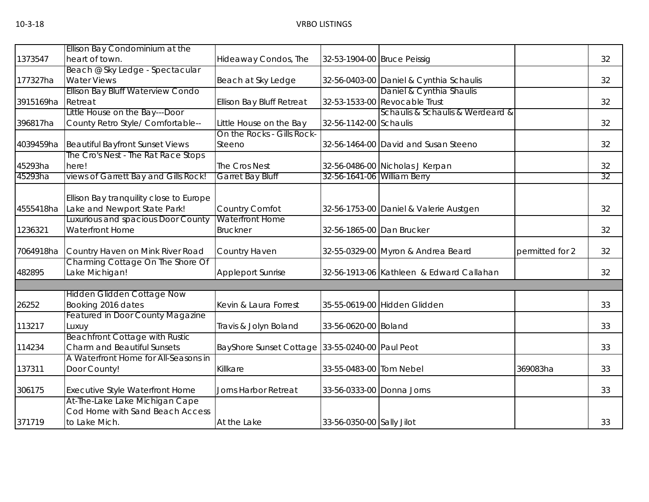|           | Ellison Bay Condominium at the          |                                                 |                             |                                          |                 |    |
|-----------|-----------------------------------------|-------------------------------------------------|-----------------------------|------------------------------------------|-----------------|----|
| 1373547   | heart of town.                          | Hideaway Condos, The                            | 32-53-1904-00 Bruce Peissig |                                          |                 | 32 |
|           | Beach @ Sky Ledge - Spectacular         |                                                 |                             |                                          |                 |    |
| 177327ha  | <b>Water Views</b>                      | Beach at Sky Ledge                              |                             | 32-56-0403-00 Daniel & Cynthia Schaulis  |                 | 32 |
|           | Ellison Bay Bluff Waterview Condo       |                                                 |                             | Daniel & Cynthia Shaulis                 |                 |    |
| 3915169ha | Retreat                                 | Ellison Bay Bluff Retreat                       |                             | 32-53-1533-00 Revocable Trust            |                 | 32 |
|           | Little House on the Bay---Door          |                                                 |                             | Schaulis & Schaulis & Werdeard &         |                 |    |
| 396817ha  | County Retro Style/ Comfortable--       | Little House on the Bay                         | 32-56-1142-00 Schaulis      |                                          |                 | 32 |
|           |                                         | On the Rocks - Gills Rock-                      |                             |                                          |                 |    |
| 4039459ha | <b>Beautiful Bayfront Sunset Views</b>  | Steeno                                          |                             | 32-56-1464-00 David and Susan Steeno     |                 | 32 |
|           | The Cro's Nest - The Rat Race Stops     |                                                 |                             |                                          |                 |    |
| 45293ha   | here!                                   | The Cros Nest                                   |                             | 32-56-0486-00 Nicholas J Kerpan          |                 | 32 |
| 45293ha   | views of Garrett Bay and Gills Rock!    | <b>Garret Bay Bluff</b>                         | 32-56-1641-06 William Berry |                                          |                 | 32 |
|           |                                         |                                                 |                             |                                          |                 |    |
|           | Ellison Bay tranquility close to Europe |                                                 |                             |                                          |                 |    |
| 4555418ha | Lake and Newport State Park!            | Country Comfot                                  |                             | 32-56-1753-00 Daniel & Valerie Austgen   |                 | 32 |
|           | Luxurious and spacious Door County      | <b>Waterfront Home</b>                          |                             |                                          |                 |    |
| 1236321   | Waterfront Home                         | <b>Bruckner</b>                                 | 32-56-1865-00 Dan Brucker   |                                          |                 | 32 |
| 7064918ha | Country Haven on Mink River Road        | Country Haven                                   |                             | 32-55-0329-00 Myron & Andrea Beard       | permitted for 2 | 32 |
|           | Charming Cottage On The Shore Of        |                                                 |                             |                                          |                 |    |
| 482895    | Lake Michigan!                          | <b>Appleport Sunrise</b>                        |                             | 32-56-1913-06 Kathleen & Edward Callahan |                 | 32 |
|           |                                         |                                                 |                             |                                          |                 |    |
|           | <b>Hidden Glidden Cottage Now</b>       |                                                 |                             |                                          |                 |    |
| 26252     | Booking 2016 dates                      | Kevin & Laura Forrest                           |                             | 35-55-0619-00 Hidden Glidden             |                 | 33 |
|           | <b>Featured in Door County Magazine</b> |                                                 |                             |                                          |                 |    |
| 113217    | Luxuy                                   | Travis & Jolyn Boland                           | 33-56-0620-00 Boland        |                                          |                 | 33 |
|           | <b>Beachfront Cottage with Rustic</b>   |                                                 |                             |                                          |                 |    |
| 114234    | Charm and Beautiful Sunsets             | BayShore Sunset Cottage 33-55-0240-00 Paul Peot |                             |                                          |                 | 33 |
|           | A Waterfront Home for All-Seasons in    |                                                 |                             |                                          |                 |    |
| 137311    | Door County!                            | Killkare                                        | 33-55-0483-00 Tom Nebel     |                                          | 369083ha        | 33 |
| 306175    | Executive Style Waterfront Home         | Jorns Harbor Retreat                            | 33-56-0333-00 Donna Jorns   |                                          |                 | 33 |
|           | At-The-Lake Lake Michigan Cape          |                                                 |                             |                                          |                 |    |
|           | Cod Home with Sand Beach Access         |                                                 |                             |                                          |                 |    |
| 371719    | to Lake Mich.                           | At the Lake                                     | 33-56-0350-00 Sally Jilot   |                                          |                 | 33 |
|           |                                         |                                                 |                             |                                          |                 |    |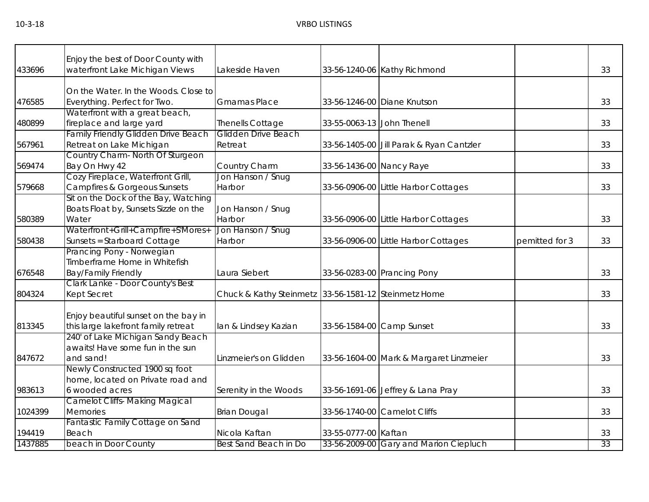# 10-3-18 VRBO LISTINGS

| 33<br>433696<br>waterfront Lake Michigan Views<br>Lakeside Haven<br>33-56-1240-06 Kathy Richmond<br>On the Water. In the Woods. Close to<br>Everything. Perfect for Two.<br><b>Gmamas Place</b><br>33-56-1246-00 Diane Knutson<br>33<br>476585<br>Waterfront with a great beach,<br>fireplace and large yard<br>480899<br>33<br><b>Thenells Cottage</b><br>33-55-0063-13 John Thenell<br>Family Friendly Glidden Drive Beach<br>Glidden Drive Beach<br>Retreat on Lake Michigan<br>Retreat<br>33-56-1405-00 Jill Parak & Ryan Cantzler<br>33<br>567961<br>Country Charm- North Of Sturgeon<br>Bay On Hwy 42<br>569474<br>Country Charm<br>33-56-1436-00 Nancy Raye<br>33<br>Cozy Fireplace, Waterfront Grill,<br>Jon Hanson / Snug<br>Campfires & Gorgeous Sunsets<br>Harbor<br>33<br>579668<br>33-56-0906-00 Little Harbor Cottages<br>Sit on the Dock of the Bay, Watching<br>Boats Float by, Sunsets Sizzle on the<br>Jon Hanson / Snug<br>Water<br>Harbor<br>33<br>580389<br>33-56-0906-00 Little Harbor Cottages<br>Waterfront+Grill+Campfire+S'Mores+<br>Jon Hanson / Snug<br>Sunsets = Starboard Cottage<br>33<br>580438<br>Harbor<br>33-56-0906-00 Little Harbor Cottages<br>pemitted for 3<br>Prancing Pony - Norwegian<br>Timberframe Home in Whitefish<br><b>Bay/Family Friendly</b><br>Laura Siebert<br>33-56-0283-00 Prancing Pony<br>33<br>676548<br>Clark Lanke - Door County's Best<br>804324<br>Kept Secret<br>Chuck & Kathy Steinmetz 33-56-1581-12 Steinmetz Home<br>33<br>Enjoy beautiful sunset on the bay in<br>this large lakefront family retreat<br>33<br>813345<br>33-56-1584-00 Camp Sunset<br>lan & Lindsey Kazian<br>240' of Lake Michigan Sandy Beach<br>awaits! Have some fun in the sun<br>847672<br>and sand!<br>Linzmeier's on Glidden<br>33<br>33-56-1604-00 Mark & Margaret Linzmeier<br>Newly Constructed 1900 sq foot |                                    |  |  |  |
|-------------------------------------------------------------------------------------------------------------------------------------------------------------------------------------------------------------------------------------------------------------------------------------------------------------------------------------------------------------------------------------------------------------------------------------------------------------------------------------------------------------------------------------------------------------------------------------------------------------------------------------------------------------------------------------------------------------------------------------------------------------------------------------------------------------------------------------------------------------------------------------------------------------------------------------------------------------------------------------------------------------------------------------------------------------------------------------------------------------------------------------------------------------------------------------------------------------------------------------------------------------------------------------------------------------------------------------------------------------------------------------------------------------------------------------------------------------------------------------------------------------------------------------------------------------------------------------------------------------------------------------------------------------------------------------------------------------------------------------------------------------------------------------------------------------------------------------------------------------|------------------------------------|--|--|--|
|                                                                                                                                                                                                                                                                                                                                                                                                                                                                                                                                                                                                                                                                                                                                                                                                                                                                                                                                                                                                                                                                                                                                                                                                                                                                                                                                                                                                                                                                                                                                                                                                                                                                                                                                                                                                                                                             | Enjoy the best of Door County with |  |  |  |
|                                                                                                                                                                                                                                                                                                                                                                                                                                                                                                                                                                                                                                                                                                                                                                                                                                                                                                                                                                                                                                                                                                                                                                                                                                                                                                                                                                                                                                                                                                                                                                                                                                                                                                                                                                                                                                                             |                                    |  |  |  |
|                                                                                                                                                                                                                                                                                                                                                                                                                                                                                                                                                                                                                                                                                                                                                                                                                                                                                                                                                                                                                                                                                                                                                                                                                                                                                                                                                                                                                                                                                                                                                                                                                                                                                                                                                                                                                                                             |                                    |  |  |  |
|                                                                                                                                                                                                                                                                                                                                                                                                                                                                                                                                                                                                                                                                                                                                                                                                                                                                                                                                                                                                                                                                                                                                                                                                                                                                                                                                                                                                                                                                                                                                                                                                                                                                                                                                                                                                                                                             |                                    |  |  |  |
|                                                                                                                                                                                                                                                                                                                                                                                                                                                                                                                                                                                                                                                                                                                                                                                                                                                                                                                                                                                                                                                                                                                                                                                                                                                                                                                                                                                                                                                                                                                                                                                                                                                                                                                                                                                                                                                             |                                    |  |  |  |
|                                                                                                                                                                                                                                                                                                                                                                                                                                                                                                                                                                                                                                                                                                                                                                                                                                                                                                                                                                                                                                                                                                                                                                                                                                                                                                                                                                                                                                                                                                                                                                                                                                                                                                                                                                                                                                                             |                                    |  |  |  |
|                                                                                                                                                                                                                                                                                                                                                                                                                                                                                                                                                                                                                                                                                                                                                                                                                                                                                                                                                                                                                                                                                                                                                                                                                                                                                                                                                                                                                                                                                                                                                                                                                                                                                                                                                                                                                                                             |                                    |  |  |  |
|                                                                                                                                                                                                                                                                                                                                                                                                                                                                                                                                                                                                                                                                                                                                                                                                                                                                                                                                                                                                                                                                                                                                                                                                                                                                                                                                                                                                                                                                                                                                                                                                                                                                                                                                                                                                                                                             |                                    |  |  |  |
|                                                                                                                                                                                                                                                                                                                                                                                                                                                                                                                                                                                                                                                                                                                                                                                                                                                                                                                                                                                                                                                                                                                                                                                                                                                                                                                                                                                                                                                                                                                                                                                                                                                                                                                                                                                                                                                             |                                    |  |  |  |
|                                                                                                                                                                                                                                                                                                                                                                                                                                                                                                                                                                                                                                                                                                                                                                                                                                                                                                                                                                                                                                                                                                                                                                                                                                                                                                                                                                                                                                                                                                                                                                                                                                                                                                                                                                                                                                                             |                                    |  |  |  |
|                                                                                                                                                                                                                                                                                                                                                                                                                                                                                                                                                                                                                                                                                                                                                                                                                                                                                                                                                                                                                                                                                                                                                                                                                                                                                                                                                                                                                                                                                                                                                                                                                                                                                                                                                                                                                                                             |                                    |  |  |  |
|                                                                                                                                                                                                                                                                                                                                                                                                                                                                                                                                                                                                                                                                                                                                                                                                                                                                                                                                                                                                                                                                                                                                                                                                                                                                                                                                                                                                                                                                                                                                                                                                                                                                                                                                                                                                                                                             |                                    |  |  |  |
|                                                                                                                                                                                                                                                                                                                                                                                                                                                                                                                                                                                                                                                                                                                                                                                                                                                                                                                                                                                                                                                                                                                                                                                                                                                                                                                                                                                                                                                                                                                                                                                                                                                                                                                                                                                                                                                             |                                    |  |  |  |
|                                                                                                                                                                                                                                                                                                                                                                                                                                                                                                                                                                                                                                                                                                                                                                                                                                                                                                                                                                                                                                                                                                                                                                                                                                                                                                                                                                                                                                                                                                                                                                                                                                                                                                                                                                                                                                                             |                                    |  |  |  |
|                                                                                                                                                                                                                                                                                                                                                                                                                                                                                                                                                                                                                                                                                                                                                                                                                                                                                                                                                                                                                                                                                                                                                                                                                                                                                                                                                                                                                                                                                                                                                                                                                                                                                                                                                                                                                                                             |                                    |  |  |  |
|                                                                                                                                                                                                                                                                                                                                                                                                                                                                                                                                                                                                                                                                                                                                                                                                                                                                                                                                                                                                                                                                                                                                                                                                                                                                                                                                                                                                                                                                                                                                                                                                                                                                                                                                                                                                                                                             |                                    |  |  |  |
|                                                                                                                                                                                                                                                                                                                                                                                                                                                                                                                                                                                                                                                                                                                                                                                                                                                                                                                                                                                                                                                                                                                                                                                                                                                                                                                                                                                                                                                                                                                                                                                                                                                                                                                                                                                                                                                             |                                    |  |  |  |
|                                                                                                                                                                                                                                                                                                                                                                                                                                                                                                                                                                                                                                                                                                                                                                                                                                                                                                                                                                                                                                                                                                                                                                                                                                                                                                                                                                                                                                                                                                                                                                                                                                                                                                                                                                                                                                                             |                                    |  |  |  |
|                                                                                                                                                                                                                                                                                                                                                                                                                                                                                                                                                                                                                                                                                                                                                                                                                                                                                                                                                                                                                                                                                                                                                                                                                                                                                                                                                                                                                                                                                                                                                                                                                                                                                                                                                                                                                                                             |                                    |  |  |  |
|                                                                                                                                                                                                                                                                                                                                                                                                                                                                                                                                                                                                                                                                                                                                                                                                                                                                                                                                                                                                                                                                                                                                                                                                                                                                                                                                                                                                                                                                                                                                                                                                                                                                                                                                                                                                                                                             |                                    |  |  |  |
|                                                                                                                                                                                                                                                                                                                                                                                                                                                                                                                                                                                                                                                                                                                                                                                                                                                                                                                                                                                                                                                                                                                                                                                                                                                                                                                                                                                                                                                                                                                                                                                                                                                                                                                                                                                                                                                             |                                    |  |  |  |
|                                                                                                                                                                                                                                                                                                                                                                                                                                                                                                                                                                                                                                                                                                                                                                                                                                                                                                                                                                                                                                                                                                                                                                                                                                                                                                                                                                                                                                                                                                                                                                                                                                                                                                                                                                                                                                                             |                                    |  |  |  |
|                                                                                                                                                                                                                                                                                                                                                                                                                                                                                                                                                                                                                                                                                                                                                                                                                                                                                                                                                                                                                                                                                                                                                                                                                                                                                                                                                                                                                                                                                                                                                                                                                                                                                                                                                                                                                                                             |                                    |  |  |  |
|                                                                                                                                                                                                                                                                                                                                                                                                                                                                                                                                                                                                                                                                                                                                                                                                                                                                                                                                                                                                                                                                                                                                                                                                                                                                                                                                                                                                                                                                                                                                                                                                                                                                                                                                                                                                                                                             |                                    |  |  |  |
|                                                                                                                                                                                                                                                                                                                                                                                                                                                                                                                                                                                                                                                                                                                                                                                                                                                                                                                                                                                                                                                                                                                                                                                                                                                                                                                                                                                                                                                                                                                                                                                                                                                                                                                                                                                                                                                             |                                    |  |  |  |
|                                                                                                                                                                                                                                                                                                                                                                                                                                                                                                                                                                                                                                                                                                                                                                                                                                                                                                                                                                                                                                                                                                                                                                                                                                                                                                                                                                                                                                                                                                                                                                                                                                                                                                                                                                                                                                                             | home, located on Private road and  |  |  |  |
| 983613<br>6 wooded acres<br>33-56-1691-06 Jeffrey & Lana Pray<br>33<br>Serenity in the Woods                                                                                                                                                                                                                                                                                                                                                                                                                                                                                                                                                                                                                                                                                                                                                                                                                                                                                                                                                                                                                                                                                                                                                                                                                                                                                                                                                                                                                                                                                                                                                                                                                                                                                                                                                                |                                    |  |  |  |
| <b>Camelot Cliffs- Making Magical</b>                                                                                                                                                                                                                                                                                                                                                                                                                                                                                                                                                                                                                                                                                                                                                                                                                                                                                                                                                                                                                                                                                                                                                                                                                                                                                                                                                                                                                                                                                                                                                                                                                                                                                                                                                                                                                       |                                    |  |  |  |
| <b>Brian Dougal</b><br>33-56-1740-00 Camelot Cliffs<br>1024399<br><b>Memories</b><br>33                                                                                                                                                                                                                                                                                                                                                                                                                                                                                                                                                                                                                                                                                                                                                                                                                                                                                                                                                                                                                                                                                                                                                                                                                                                                                                                                                                                                                                                                                                                                                                                                                                                                                                                                                                     |                                    |  |  |  |
| Fantastic Family Cottage on Sand<br>Nicola Kaftan<br>194419<br>Beach<br>33-55-0777-00 Kaftan<br>33                                                                                                                                                                                                                                                                                                                                                                                                                                                                                                                                                                                                                                                                                                                                                                                                                                                                                                                                                                                                                                                                                                                                                                                                                                                                                                                                                                                                                                                                                                                                                                                                                                                                                                                                                          |                                    |  |  |  |
| 33<br>1437885<br>beach in Door County<br>Best Sand Beach in Do<br>33-56-2009-00 Gary and Marion Ciepluch                                                                                                                                                                                                                                                                                                                                                                                                                                                                                                                                                                                                                                                                                                                                                                                                                                                                                                                                                                                                                                                                                                                                                                                                                                                                                                                                                                                                                                                                                                                                                                                                                                                                                                                                                    |                                    |  |  |  |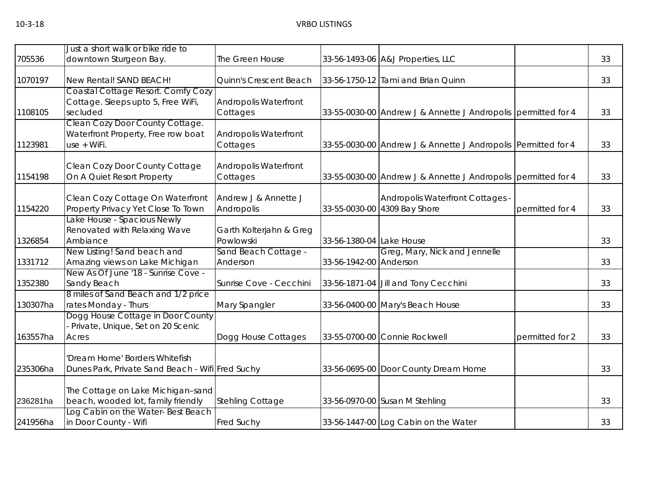| 705536   | Just a short walk or bike ride to<br>downtown Sturgeon Bay.                          | The Green House                      |                          | 33-56-1493-06 A&J Properties, LLC                                |                 | 33 |
|----------|--------------------------------------------------------------------------------------|--------------------------------------|--------------------------|------------------------------------------------------------------|-----------------|----|
| 1070197  | New Rental! SAND BEACH!                                                              | Quinn's Crescent Beach               |                          | 33-56-1750-12 Tami and Brian Quinn                               |                 | 33 |
| 1108105  | Coastal Cottage Resort. Comfy Cozy<br>Cottage. Sleeps upto 5, Free WiFi,<br>secluded | Andropolis Waterfront<br>Cottages    |                          | 33-55-0030-00 Andrew J & Annette J Andropolis permitted for 4    |                 | 33 |
| 1123981  | Clean Cozy Door County Cottage.<br>Waterfront Property, Free row boat<br>use + WiFi. | Andropolis Waterfront<br>Cottages    |                          | 33-55-0030-00 Andrew J & Annette J Andropolis Permitted for 4    |                 | 33 |
| 1154198  | Clean Cozy Door County Cottage<br>On A Quiet Resort Property                         | Andropolis Waterfront<br>Cottages    |                          | 33-55-0030-00 Andrew J & Annette J Andropolis permitted for 4    |                 | 33 |
| 1154220  | Clean Cozy Cottage On Waterfront<br>Property Privacy Yet Close To Town               | Andrew J & Annette J<br>Andropolis   |                          | Andropolis Waterfront Cottages -<br>33-55-0030-00 4309 Bay Shore | permitted for 4 | 33 |
| 1326854  | Lake House - Spacious Newly<br>Renovated with Relaxing Wave<br>Ambiance              | Garth Kolterjahn & Greg<br>Powlowski | 33-56-1380-04 Lake House |                                                                  |                 | 33 |
| 1331712  | New Listing! Sand beach and<br>Amazing views on Lake Michigan                        | Sand Beach Cottage -<br>Anderson     | 33-56-1942-00 Anderson   | Greg, Mary, Nick and Jennelle                                    |                 | 33 |
| 1352380  | New As Of June '18 - Sunrise Cove -<br>Sandy Beach                                   | Sunrise Cove - Cecchini              |                          | 33-56-1871-04 Jill and Tony Cecchini                             |                 | 33 |
| 130307ha | 8 miles of Sand Beach and 1/2 price<br>rates Monday - Thurs                          | Mary Spangler                        |                          | 33-56-0400-00 Mary's Beach House                                 |                 | 33 |
| 163557ha | Dogg House Cottage in Door County<br>Private, Unique, Set on 20 Scenic<br>Acres      | Dogg House Cottages                  |                          | 33-55-0700-00 Connie Rockwell                                    | permitted for 2 | 33 |
| 235306ha | 'Dream Home' Borders Whitefish<br>Dunes Park, Private Sand Beach - Wifi Fred Suchy   |                                      |                          | 33-56-0695-00 Door County Dream Home                             |                 | 33 |
| 236281ha | The Cottage on Lake Michigan-sand<br>beach, wooded lot, family friendly              | Stehling Cottage                     |                          | 33-56-0970-00 Susan M Stehling                                   |                 | 33 |
| 241956ha | Log Cabin on the Water-Best Beach<br>in Door County - Wifi                           | Fred Suchy                           |                          | 33-56-1447-00 Log Cabin on the Water                             |                 | 33 |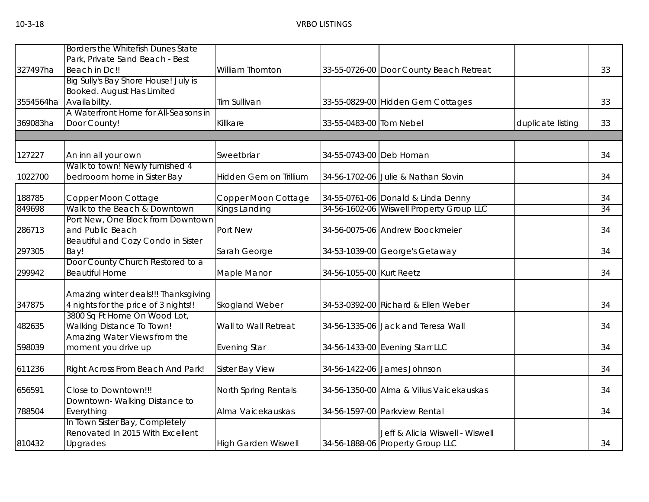|           | Borders the Whitefish Dunes State         |                            |                          |                                          |                   |    |
|-----------|-------------------------------------------|----------------------------|--------------------------|------------------------------------------|-------------------|----|
|           | Park, Private Sand Beach - Best           |                            |                          |                                          |                   |    |
| 327497ha  | Beach in Dc!!                             | William Thornton           |                          | 33-55-0726-00 Door County Beach Retreat  |                   | 33 |
|           | Big Sully's Bay Shore House! July is      |                            |                          |                                          |                   |    |
|           | Booked. August Has Limited                |                            |                          |                                          |                   |    |
| 3554564ha | Availability.                             | Tim Sullivan               |                          | 33-55-0829-00 Hidden Gem Cottages        |                   | 33 |
|           | A Waterfront Home for All-Seasons in      |                            |                          |                                          |                   |    |
| 369083ha  | Door County!                              | Killkare                   | 33-55-0483-00 Tom Nebel  |                                          | duplicate listing | 33 |
|           |                                           |                            |                          |                                          |                   |    |
| 127227    | An inn all your own                       | Sweetbriar                 | 34-55-0743-00 Deb Homan  |                                          |                   | 34 |
|           | Walk to town! Newly furnished 4           |                            |                          |                                          |                   |    |
| 1022700   | bedrooom home in Sister Bay               | Hidden Gem on Trillium     |                          | 34-56-1702-06 Julie & Nathan Slovin      |                   | 34 |
| 188785    | Copper Moon Cottage                       | Copper Moon Cottage        |                          | 34-55-0761-06 Donald & Linda Denny       |                   | 34 |
| 849698    | Walk to the Beach & Downtown              | Kings Landing              |                          | 34-56-1602-06 Wiswell Property Group LLC |                   | 34 |
|           | Port New, One Block from Downtown         |                            |                          |                                          |                   |    |
| 286713    | and Public Beach                          | Port New                   |                          | 34-56-0075-06 Andrew Boockmeier          |                   | 34 |
|           | <b>Beautiful and Cozy Condo in Sister</b> |                            |                          |                                          |                   |    |
| 297305    | Bay!                                      | Sarah George               |                          | 34-53-1039-00 George's Getaway           |                   | 34 |
|           | Door County Church Restored to a          |                            |                          |                                          |                   |    |
| 299942    | <b>Beautiful Home</b>                     | Maple Manor                | 34-56-1055-00 Kurt Reetz |                                          |                   | 34 |
|           | Amazing winter deals!!! Thanksgiving      |                            |                          |                                          |                   |    |
| 347875    | 4 nights for the price of 3 nights!!      | Skogland Weber             |                          | 34-53-0392-00 Richard & Ellen Weber      |                   | 34 |
|           | 3800 Sq Ft Home On Wood Lot,              |                            |                          |                                          |                   |    |
| 482635    | <b>Walking Distance To Town!</b>          | Wall to Wall Retreat       |                          | 34-56-1335-06 Jack and Teresa Wall       |                   | 34 |
|           | Amazing Water Views from the              |                            |                          |                                          |                   |    |
| 598039    | moment you drive up                       | <b>Evening Star</b>        |                          | 34-56-1433-00 Evening Starr LLC          |                   | 34 |
| 611236    | Right Across From Beach And Park!         | Sister Bay View            |                          | 34-56-1422-06 James Johnson              |                   | 34 |
| 656591    | Close to Downtown!!!                      | North Spring Rentals       |                          | 34-56-1350-00 Alma & Vilius Vaicekauskas |                   | 34 |
|           | Downtown-Walking Distance to              |                            |                          |                                          |                   |    |
| 788504    | Everything                                | Alma Vaicekauskas          |                          | 34-56-1597-00 Parkview Rental            |                   | 34 |
|           | In Town Sister Bay, Completely            |                            |                          |                                          |                   |    |
|           | Renovated In 2015 With Excellent          |                            |                          | Jeff & Alicia Wiswell - Wiswell          |                   |    |
| 810432    | Upgrades                                  | <b>High Garden Wiswell</b> |                          | 34-56-1888-06 Property Group LLC         |                   | 34 |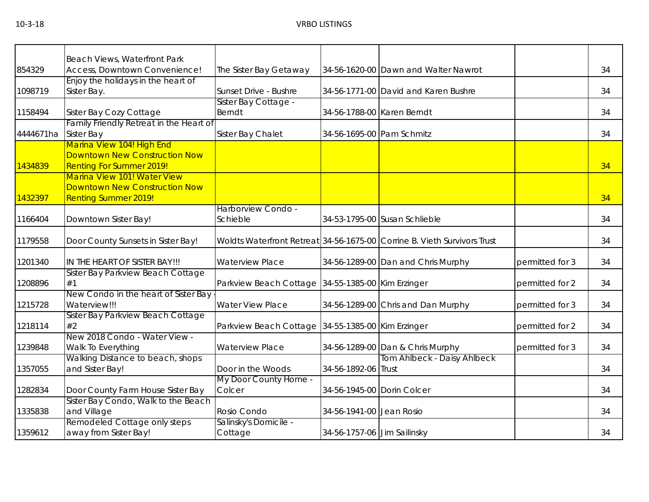| 854329    | Beach Views, Waterfront Park<br>Access, Downtown Convenience!      | The Sister Bay Getaway                            |                             | 34-56-1620-00 Dawn and Walter Nawrot                                     |                 | 34 |
|-----------|--------------------------------------------------------------------|---------------------------------------------------|-----------------------------|--------------------------------------------------------------------------|-----------------|----|
|           | Enjoy the holidays in the heart of                                 |                                                   |                             |                                                                          |                 |    |
| 1098719   | Sister Bay.                                                        | Sunset Drive - Bushre                             |                             | 34-56-1771-00 David and Karen Bushre                                     |                 | 34 |
|           |                                                                    | Sister Bay Cottage -                              |                             |                                                                          |                 |    |
|           |                                                                    | <b>Berndt</b>                                     | 34-56-1788-00 Karen Berndt  |                                                                          |                 | 34 |
| 1158494   | Sister Bay Cozy Cottage<br>Family Friendly Retreat in the Heart of |                                                   |                             |                                                                          |                 |    |
| 4444671ha | <b>Sister Bay</b>                                                  |                                                   | 34-56-1695-00 Pam Schmitz   |                                                                          |                 | 34 |
|           |                                                                    | Sister Bay Chalet                                 |                             |                                                                          |                 |    |
|           | Marina View 104! High End<br><b>Downtown New Construction Now</b>  |                                                   |                             |                                                                          |                 |    |
|           |                                                                    |                                                   |                             |                                                                          |                 |    |
| 1434839   | <b>Renting For Summer 2019!</b>                                    |                                                   |                             |                                                                          |                 | 34 |
|           | Marina View 101! Water View                                        |                                                   |                             |                                                                          |                 |    |
|           | <b>Downtown New Construction Now</b>                               |                                                   |                             |                                                                          |                 |    |
| 1432397   | <b>Renting Summer 2019!</b>                                        |                                                   |                             |                                                                          |                 | 34 |
|           |                                                                    | Harborview Condo -                                |                             |                                                                          |                 |    |
| 1166404   | Downtown Sister Bay!                                               | Schieble                                          |                             | 34-53-1795-00 Susan Schlieble                                            |                 | 34 |
|           |                                                                    |                                                   |                             |                                                                          |                 |    |
| 1179558   | Door County Sunsets in Sister Bay!                                 |                                                   |                             | Woldts Waterfront Retreat 34-56-1675-00 Corrine B. Vieth Survivors Trust |                 | 34 |
|           |                                                                    |                                                   |                             |                                                                          |                 |    |
| 1201340   | IN THE HEART OF SISTER BAY!!!                                      | <b>Waterview Place</b>                            |                             | 34-56-1289-00 Dan and Chris Murphy                                       | permitted for 3 | 34 |
|           | Sister Bay Parkview Beach Cottage                                  |                                                   |                             |                                                                          |                 |    |
| 1208896   | #1                                                                 | Parkview Beach Cottage 34-55-1385-00 Kim Erzinger |                             |                                                                          | permitted for 2 | 34 |
|           | New Condo in the heart of Sister Bay                               |                                                   |                             |                                                                          |                 |    |
| 1215728   | Waterview!!!                                                       | <b>Water View Place</b>                           |                             | 34-56-1289-00 Chris and Dan Murphy                                       | permitted for 3 | 34 |
|           | Sister Bay Parkview Beach Cottage                                  |                                                   |                             |                                                                          |                 |    |
| 1218114   | #2                                                                 | Parkview Beach Cottage 34-55-1385-00 Kim Erzinger |                             |                                                                          | permitted for 2 | 34 |
|           | New 2018 Condo - Water View -                                      |                                                   |                             |                                                                          |                 |    |
| 1239848   | Walk To Everything                                                 | <b>Waterview Place</b>                            |                             | 34-56-1289-00 Dan & Chris Murphy                                         | permitted for 3 | 34 |
|           | Walking Distance to beach, shops                                   |                                                   |                             | Tom Ahlbeck - Daisy Ahlbeck                                              |                 |    |
| 1357055   | and Sister Bay!                                                    | Door in the Woods                                 | 34-56-1892-06 Trust         |                                                                          |                 | 34 |
|           |                                                                    | My Door County Home -                             |                             |                                                                          |                 |    |
| 1282834   | Door County Farm House Sister Bay                                  | Colcer                                            | 34-56-1945-00 Dorin Colcer  |                                                                          |                 | 34 |
|           | Sister Bay Condo, Walk to the Beach                                |                                                   |                             |                                                                          |                 |    |
| 1335838   | and Village                                                        | Rosio Condo                                       | 34-56-1941-00 Jean Rosio    |                                                                          |                 | 34 |
|           | Remodeled Cottage only steps                                       | Salinsky's Domicile -                             |                             |                                                                          |                 |    |
| 1359612   | away from Sister Bay!                                              | Cottage                                           | 34-56-1757-06 Jim Sailinsky |                                                                          |                 | 34 |
|           |                                                                    |                                                   |                             |                                                                          |                 |    |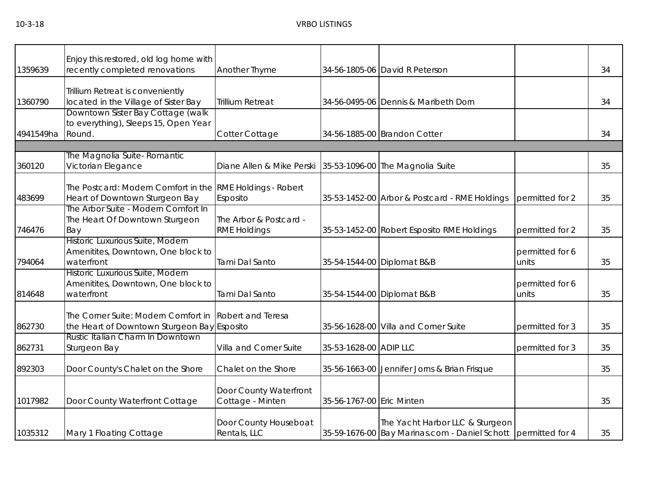| 1359639   | Enjoy this restored, old log home with<br>recently completed renovations | Another Thyme             |                           | 34-56-1805-06 David R Peterson                                |                          | 34 |
|-----------|--------------------------------------------------------------------------|---------------------------|---------------------------|---------------------------------------------------------------|--------------------------|----|
|           |                                                                          |                           |                           |                                                               |                          |    |
|           | Trillium Retreat is conveniently                                         |                           |                           |                                                               |                          |    |
| 1360790   | located in the Village of Sister Bay                                     | <b>Trillium Retreat</b>   |                           | 34-56-0495-06 Dennis & Maribeth Dorn                          |                          | 34 |
|           | Downtown Sister Bay Cottage (walk                                        |                           |                           |                                                               |                          |    |
|           | to everything), Sleeps 15, Open Year                                     |                           |                           |                                                               |                          |    |
| 4941549ha | Round.                                                                   | Cotter Cottage            |                           | 34-56-1885-00 Brandon Cotter                                  |                          | 34 |
|           | The Magnolia Suite- Romantic                                             |                           |                           |                                                               |                          |    |
| 360120    | Victorian Elegance                                                       | Diane Allen & Mike Perski |                           | 35-53-1096-00 The Magnolia Suite                              |                          | 35 |
|           |                                                                          |                           |                           |                                                               |                          |    |
|           | The Postcard: Modern Comfort in the RME Holdings - Robert                |                           |                           |                                                               |                          |    |
| 483699    | Heart of Downtown Sturgeon Bay                                           | Esposito                  |                           | 35-53-1452-00 Arbor & Postcard - RME Holdings                 | permitted for 2          | 35 |
|           | The Arbor Suite - Modern Comfort In<br>The Heart Of Downtown Sturgeon    | The Arbor & Postcard -    |                           |                                                               |                          |    |
| 746476    | Bay                                                                      | <b>RME Holdings</b>       |                           | 35-53-1452-00 Robert Esposito RME Holdings                    | permitted for 2          | 35 |
|           | Historic Luxurious Suite, Modern                                         |                           |                           |                                                               |                          |    |
|           | Amenitites, Downtown, One block to                                       |                           |                           |                                                               | permitted for 6          |    |
| 794064    | waterfront                                                               | Tami Dal Santo            |                           | 35-54-1544-00 Diplomat B&B                                    | units                    | 35 |
|           | Historic Luxurious Suite, Modern                                         |                           |                           |                                                               |                          |    |
| 814648    | Amenitites, Downtown, One block to<br>waterfront                         | Tami Dal Santo            |                           |                                                               | permitted for 6<br>units | 35 |
|           |                                                                          |                           |                           | 35-54-1544-00 Diplomat B&B                                    |                          |    |
|           | The Corner Suite: Modern Comfort in                                      | Robert and Teresa         |                           |                                                               |                          |    |
| 862730    | the Heart of Downtown Sturgeon Bay Esposito                              |                           |                           | 35-56-1628-00 Villa and Corner Suite                          | permitted for 3          | 35 |
|           | Rustic Italian Charm In Downtown                                         |                           |                           |                                                               |                          |    |
| 862731    | Sturgeon Bay                                                             | Villa and Corner Suite    | 35-53-1628-00 ADIP LLC    |                                                               | permitted for 3          | 35 |
| 892303    | Door County's Chalet on the Shore                                        | Chalet on the Shore       |                           | 35-56-1663-00 Jennifer Jorns & Brian Frisque                  |                          | 35 |
|           |                                                                          |                           |                           |                                                               |                          |    |
|           |                                                                          | Door County Waterfront    |                           |                                                               |                          |    |
| 1017982   | Door County Waterfront Cottage                                           | Cottage - Minten          | 35-56-1767-00 Eric Minten |                                                               |                          | 35 |
|           |                                                                          |                           |                           |                                                               |                          |    |
|           |                                                                          | Door County Houseboat     |                           | The Yacht Harbor LLC & Sturgeon                               |                          |    |
| 1035312   | Mary 1 Floating Cottage                                                  | Rentals, LLC              |                           | 35-59-1676-00 Bay Marinas.com - Daniel Schott permitted for 4 |                          | 35 |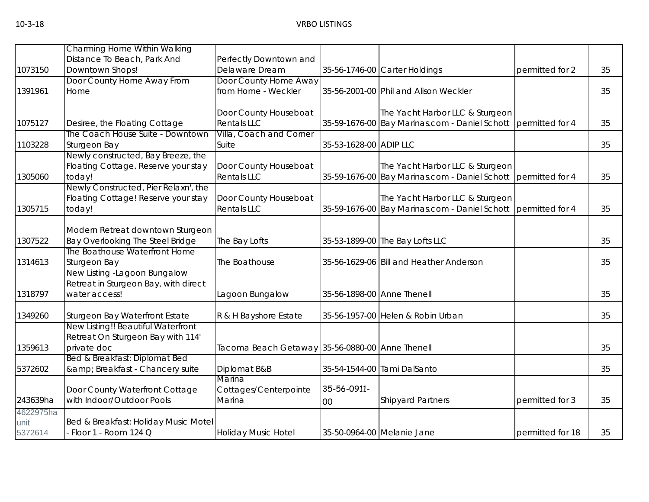|           | Charming Home Within Walking                                                |                                                 |                            |                                                               |                  |    |
|-----------|-----------------------------------------------------------------------------|-------------------------------------------------|----------------------------|---------------------------------------------------------------|------------------|----|
|           | Distance To Beach, Park And                                                 | Perfectly Downtown and                          |                            |                                                               |                  |    |
| 1073150   | Downtown Shops!                                                             | Delaware Dream                                  |                            | 35-56-1746-00 Carter Holdings                                 | permitted for 2  | 35 |
|           | Door County Home Away From                                                  | Door County Home Away                           |                            |                                                               |                  |    |
| 1391961   | Home                                                                        | from Home - Weckler                             |                            | 35-56-2001-00 Phil and Alison Weckler                         |                  | 35 |
|           |                                                                             | Door County Houseboat                           |                            | The Yacht Harbor LLC & Sturgeon                               |                  |    |
| 1075127   | Desiree, the Floating Cottage                                               | <b>Rentals LLC</b>                              |                            | 35-59-1676-00 Bay Marinas.com - Daniel Schott permitted for 4 |                  | 35 |
|           | The Coach House Suite - Downtown                                            | Villa, Coach and Corner                         |                            |                                                               |                  |    |
| 1103228   | Sturgeon Bay                                                                | Suite                                           | 35-53-1628-00 ADIP LLC     |                                                               |                  | 35 |
|           | Newly constructed, Bay Breeze, the                                          |                                                 |                            |                                                               |                  |    |
|           | Floating Cottage. Reserve your stay                                         | Door County Houseboat                           |                            | The Yacht Harbor LLC & Sturgeon                               |                  |    |
| 1305060   | today!                                                                      | <b>Rentals LLC</b>                              |                            | 35-59-1676-00 Bay Marinas.com - Daniel Schott permitted for 4 |                  | 35 |
|           | Newly Constructed, Pier Relaxn', the<br>Floating Cottage! Reserve your stay | Door County Houseboat                           |                            | The Yacht Harbor LLC & Sturgeon                               |                  |    |
| 1305715   | today!                                                                      | <b>Rentals LLC</b>                              |                            | 35-59-1676-00 Bay Marinas.com - Daniel Schott permitted for 4 |                  | 35 |
|           |                                                                             |                                                 |                            |                                                               |                  |    |
|           | Modern Retreat downtown Sturgeon                                            |                                                 |                            |                                                               |                  |    |
| 1307522   | Bay Overlooking The Steel Bridge                                            | The Bay Lofts                                   |                            | 35-53-1899-00 The Bay Lofts LLC                               |                  | 35 |
|           | The Boathouse Waterfront Home                                               |                                                 |                            |                                                               |                  |    |
| 1314613   | Sturgeon Bay                                                                | The Boathouse                                   |                            | 35-56-1629-06 Bill and Heather Anderson                       |                  | 35 |
|           | New Listing - Lagoon Bungalow                                               |                                                 |                            |                                                               |                  |    |
|           | Retreat in Sturgeon Bay, with direct                                        |                                                 |                            |                                                               |                  |    |
| 1318797   | water access!                                                               | Lagoon Bungalow                                 | 35-56-1898-00 Anne Thenell |                                                               |                  | 35 |
| 1349260   | Sturgeon Bay Waterfront Estate                                              | R & H Bayshore Estate                           |                            | 35-56-1957-00 Helen & Robin Urban                             |                  | 35 |
|           | New Listing!! Beautiful Waterfront                                          |                                                 |                            |                                                               |                  |    |
|           | Retreat On Sturgeon Bay with 114'                                           |                                                 |                            |                                                               |                  |    |
| 1359613   | private doc                                                                 | Tacoma Beach Getaway 35-56-0880-00 Anne Thenell |                            |                                                               |                  | 35 |
| 5372602   | Bed & Breakfast: Diplomat Bed<br>& Breakfast - Chancery suite               | Diplomat B&B                                    |                            | 35-54-1544-00 Tami DalSanto                                   |                  | 35 |
|           |                                                                             | Marina                                          |                            |                                                               |                  |    |
|           | Door County Waterfront Cottage                                              | Cottages/Centerpointe                           | 35-56-0911-                |                                                               |                  |    |
| 243639ha  | with Indoor/Outdoor Pools                                                   | Marina                                          | 00                         | <b>Shipyard Partners</b>                                      | permitted for 3  | 35 |
| 4622975ha |                                                                             |                                                 |                            |                                                               |                  |    |
| unit      | Bed & Breakfast: Holiday Music Motel                                        |                                                 |                            |                                                               |                  |    |
| 5372614   | - Floor 1 - Room 124 Q                                                      | <b>Holiday Music Hotel</b>                      |                            | 35-50-0964-00 Melanie Jane                                    | permitted for 18 | 35 |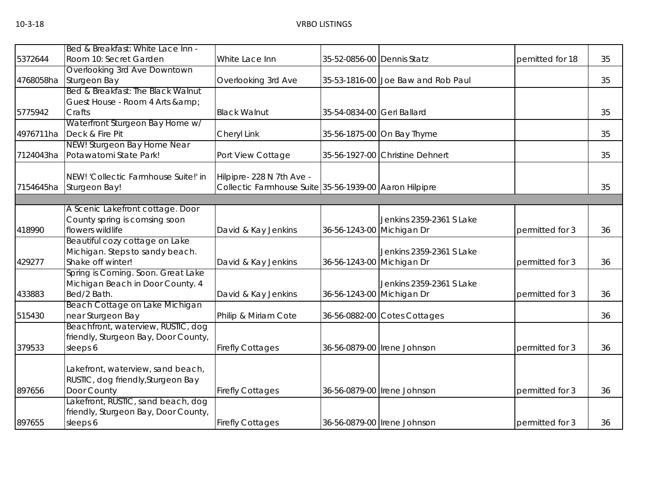|           | Bed & Breakfast: White Lace Inn -    |                                                        |                            |                                    |                 |    |
|-----------|--------------------------------------|--------------------------------------------------------|----------------------------|------------------------------------|-----------------|----|
| 5372644   | Room 10: Secret Garden               | White Lace Inn                                         | 35-52-0856-00 Dennis Statz |                                    | pemitted for 18 | 35 |
|           | Overlooking 3rd Ave Downtown         |                                                        |                            |                                    |                 |    |
| 4768058ha | Sturgeon Bay                         | Overlooking 3rd Ave                                    |                            | 35-53-1816-00 Joe Baw and Rob Paul |                 | 35 |
|           | Bed & Breakfast: The Black Walnut    |                                                        |                            |                                    |                 |    |
|           | Guest House - Room 4 Arts &          |                                                        |                            |                                    |                 |    |
| 5775942   | Crafts                               | <b>Black Walnut</b>                                    | 35-54-0834-00 Geri Ballard |                                    |                 | 35 |
|           | Waterfront Sturgeon Bay Home w/      |                                                        |                            |                                    |                 |    |
| 4976711ha | Deck & Fire Pit                      | Cheryl Link                                            |                            | 35-56-1875-00 On Bay Thyme         |                 | 35 |
|           | NEW! Sturgeon Bay Home Near          |                                                        |                            |                                    |                 | 35 |
| 7124043ha | Potawatomi State Park!               | Port View Cottage                                      |                            | 35-56-1927-00 Christine Dehnert    |                 |    |
|           | NEW! 'Collectic Farmhouse Suite!' in | Hilpipre-228 N 7th Ave -                               |                            |                                    |                 |    |
| 7154645ha | Sturgeon Bay!                        | Collectic Farmhouse Suite 35-56-1939-00 Aaron Hilpipre |                            |                                    |                 | 35 |
|           |                                      |                                                        |                            |                                    |                 |    |
|           | A Scenic Lakefront cottage. Door     |                                                        |                            |                                    |                 |    |
|           | County spring is comsing soon        |                                                        |                            | Jenkins 2359-2361 S Lake           |                 |    |
| 418990    | flowers wildlife                     | David & Kay Jenkins                                    | 36-56-1243-00 Michigan Dr  |                                    | permitted for 3 | 36 |
|           | Beautiful cozy cottage on Lake       |                                                        |                            |                                    |                 |    |
|           | Michigan. Steps to sandy beach.      |                                                        |                            | Jenkins 2359-2361 S Lake           |                 |    |
| 429277    | Shake off winter!                    | David & Kay Jenkins                                    | 36-56-1243-00 Michigan Dr  |                                    | permitted for 3 | 36 |
|           | Spring is Coming. Soon. Great Lake   |                                                        |                            |                                    |                 |    |
|           | Michigan Beach in Door County. 4     |                                                        |                            | Jenkins 2359-2361 S Lake           |                 |    |
| 433883    | Bed/2 Bath.                          | David & Kay Jenkins                                    | 36-56-1243-00 Michigan Dr  |                                    | permitted for 3 | 36 |
|           | Beach Cottage on Lake Michigan       |                                                        |                            |                                    |                 |    |
| 515430    | near Sturgeon Bay                    | Philip & Miriam Cote                                   |                            | 36-56-0882-00 Cotes Cottages       |                 | 36 |
|           | Beachfront, waterview, RUSTIC, dog   |                                                        |                            |                                    |                 |    |
|           | friendly, Sturgeon Bay, Door County, |                                                        |                            |                                    |                 |    |
| 379533    | sleeps 6                             | <b>Firefly Cottages</b>                                |                            | 36-56-0879-00 Irene Johnson        | permitted for 3 | 36 |
|           |                                      |                                                        |                            |                                    |                 |    |
|           | Lakefront, waterview, sand beach,    |                                                        |                            |                                    |                 |    |
|           | RUSTIC, dog friendly, Sturgeon Bay   |                                                        |                            |                                    |                 |    |
| 897656    | Door County                          | <b>Firefly Cottages</b>                                |                            | 36-56-0879-00   Irene Johnson      | permitted for 3 | 36 |
|           | Lakefront, RUSTIC, sand beach, dog   |                                                        |                            |                                    |                 |    |
| 897655    | friendly, Sturgeon Bay, Door County, |                                                        |                            |                                    |                 |    |
|           | sleeps 6                             | <b>Firefly Cottages</b>                                |                            | 36-56-0879-00   Irene Johnson      | permitted for 3 | 36 |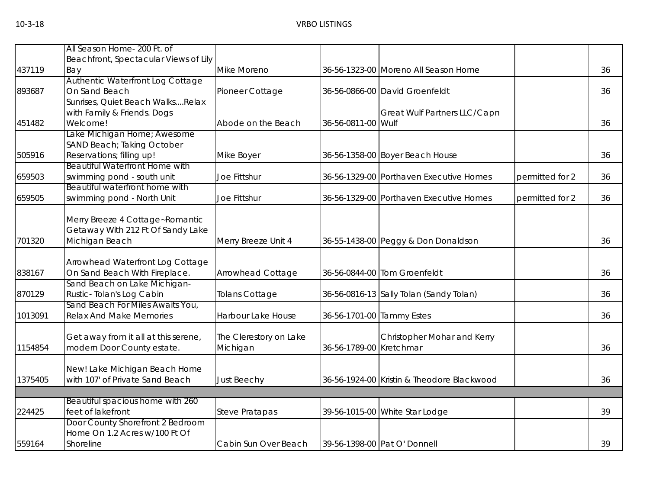|         | All Season Home- 200 Ft. of                                       |                        |                           |                                            |                 |    |
|---------|-------------------------------------------------------------------|------------------------|---------------------------|--------------------------------------------|-----------------|----|
|         | Beachfront, Spectacular Views of Lily                             |                        |                           |                                            |                 |    |
| 437119  | Bay                                                               | Mike Moreno            |                           | 36-56-1323-00 Moreno All Season Home       |                 | 36 |
| 893687  | Authentic Waterfront Log Cottage<br>On Sand Beach                 | Pioneer Cottage        |                           | 36-56-0866-00 David Groenfeldt             |                 | 36 |
|         | Sunrises, Quiet Beach WalksRelax                                  |                        |                           |                                            |                 |    |
|         | with Family & Friends. Dogs                                       |                        |                           | Great Wulf Partners LLC/Capn               |                 |    |
| 451482  | Welcome!                                                          | Abode on the Beach     | 36-56-0811-00 Wulf        |                                            |                 | 36 |
|         | Lake Michigan Home; Awesome                                       |                        |                           |                                            |                 |    |
|         | SAND Beach; Taking October                                        |                        |                           |                                            |                 |    |
| 505916  | Reservations; filling up!                                         | Mike Boyer             |                           | 36-56-1358-00 Boyer Beach House            |                 | 36 |
|         | <b>Beautiful Waterfront Home with</b>                             |                        |                           |                                            |                 |    |
| 659503  | swimming pond - south unit                                        | Joe Fittshur           |                           | 36-56-1329-00 Porthaven Executive Homes    | permitted for 2 | 36 |
|         | Beautiful waterfront home with                                    |                        |                           |                                            |                 |    |
| 659505  | swimming pond - North Unit                                        | Joe Fittshur           |                           | 36-56-1329-00 Porthaven Executive Homes    | permitted for 2 | 36 |
|         |                                                                   |                        |                           |                                            |                 |    |
|         | Merry Breeze 4 Cottage~Romantic                                   |                        |                           |                                            |                 |    |
|         | Getaway With 212 Ft Of Sandy Lake                                 |                        |                           |                                            |                 |    |
| 701320  | Michigan Beach                                                    | Merry Breeze Unit 4    |                           | 36-55-1438-00 Peggy & Don Donaldson        |                 | 36 |
|         |                                                                   |                        |                           |                                            |                 |    |
|         | Arrowhead Waterfront Log Cottage                                  |                        |                           |                                            |                 |    |
| 838167  | On Sand Beach With Fireplace.                                     | Arrowhead Cottage      |                           | 36-56-0844-00 Tom Groenfeldt               |                 | 36 |
|         | Sand Beach on Lake Michigan-                                      |                        |                           |                                            |                 |    |
| 870129  | Rustic-Tolan's Log Cabin                                          | Tolans Cottage         |                           | 36-56-0816-13 Sally Tolan (Sandy Tolan)    |                 | 36 |
|         | Sand Beach For Miles Awaits You,                                  |                        |                           |                                            |                 |    |
| 1013091 | <b>Relax And Make Memories</b>                                    | Harbour Lake House     | 36-56-1701-00 Tammy Estes |                                            |                 | 36 |
|         |                                                                   |                        |                           |                                            |                 |    |
|         | Get away from it all at this serene,                              | The Clerestory on Lake |                           | Christopher Mohar and Kerry                |                 |    |
| 1154854 | modern Door County estate.                                        | Michigan               | 36-56-1789-00 Kretchmar   |                                            |                 | 36 |
|         |                                                                   |                        |                           |                                            |                 |    |
|         | New! Lake Michigan Beach Home                                     |                        |                           |                                            |                 |    |
| 1375405 | with 107' of Private Sand Beach                                   | Just Beechy            |                           | 36-56-1924-00 Kristin & Theodore Blackwood |                 | 36 |
|         |                                                                   |                        |                           |                                            |                 |    |
|         | Beautiful spacious home with 260                                  |                        |                           |                                            |                 |    |
| 224425  | feet of lakefront                                                 | <b>Steve Pratapas</b>  |                           | 39-56-1015-00 White Star Lodge             |                 | 39 |
|         | Door County Shorefront 2 Bedroom<br>Home On 1.2 Acres w/100 Ft Of |                        |                           |                                            |                 |    |
| 559164  | Shoreline                                                         | Cabin Sun Over Beach   |                           | 39-56-1398-00 Pat O' Donnell               |                 | 39 |
|         |                                                                   |                        |                           |                                            |                 |    |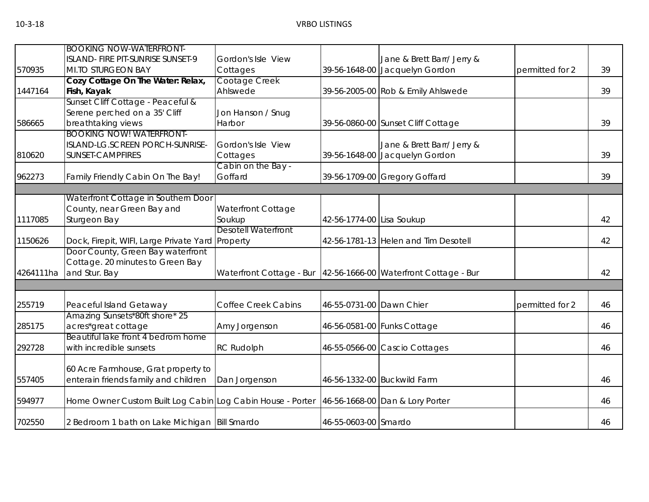|           | <b>BOOKING NOW-WATERFRONT-</b>                             |                                                                   |                           |                                      |                 |    |
|-----------|------------------------------------------------------------|-------------------------------------------------------------------|---------------------------|--------------------------------------|-----------------|----|
|           | ISLAND- FIRE PIT-SUNRISE SUNSET-9                          | Gordon's Isle View                                                |                           | Jane & Brett Barr/ Jerry &           |                 |    |
| 570935    | MI.TO STURGEON BAY                                         | Cottages                                                          |                           | 39-56-1648-00 Jacquelyn Gordon       | permitted for 2 | 39 |
|           | Cozy Cottage On The Water: Relax,                          | Cootage Creek                                                     |                           |                                      |                 |    |
| 1447164   | Fish, Kayak                                                | Ahlswede                                                          |                           | 39-56-2005-00 Rob & Emily Ahlswede   |                 | 39 |
|           | Sunset Cliff Cottage - Peaceful &                          |                                                                   |                           |                                      |                 |    |
|           | Serene perched on a 35' Cliff                              | Jon Hanson / Snug                                                 |                           |                                      |                 |    |
| 586665    | breathtaking views                                         | Harbor                                                            |                           | 39-56-0860-00 Sunset Cliff Cottage   |                 | 39 |
|           | <b>BOOKING NOW! WATERFRONT-</b>                            |                                                                   |                           |                                      |                 |    |
|           | ISLAND-LG.SCREEN PORCH-SUNRISE-                            | Gordon's Isle View                                                |                           | Jane & Brett Barr/ Jerry &           |                 |    |
| 810620    | <b>SUNSET-CAMPFIRES</b>                                    | Cottages                                                          |                           | 39-56-1648-00 Jacquelyn Gordon       |                 | 39 |
|           |                                                            | Cabin on the Bay -                                                |                           |                                      |                 |    |
| 962273    | Family Friendly Cabin On The Bay!                          | Goffard                                                           |                           | 39-56-1709-00 Gregory Goffard        |                 | 39 |
|           |                                                            |                                                                   |                           |                                      |                 |    |
|           | Waterfront Cottage in Southern Door                        |                                                                   |                           |                                      |                 |    |
|           | County, near Green Bay and                                 | Waterfront Cottage                                                |                           |                                      |                 |    |
| 1117085   | Sturgeon Bay                                               | Soukup                                                            | 42-56-1774-00 Lisa Soukup |                                      |                 | 42 |
|           |                                                            | <b>Desotell Waterfront</b>                                        |                           |                                      |                 |    |
| 1150626   | Dock, Firepit, WIFI, Large Private Yard Property           |                                                                   |                           | 42-56-1781-13 Helen and Tim Desotell |                 | 42 |
|           | Door County, Green Bay waterfront                          |                                                                   |                           |                                      |                 |    |
|           | Cottage. 20 minutes to Green Bay                           |                                                                   |                           |                                      |                 |    |
| 4264111ha | and Stur. Bay                                              | Waterfront Cottage - Bur   42-56-1666-00 Waterfront Cottage - Bur |                           |                                      |                 | 42 |
|           |                                                            |                                                                   |                           |                                      |                 |    |
| 255719    | Peaceful Island Getaway                                    | <b>Coffee Creek Cabins</b>                                        | 46-55-0731-00 Dawn Chier  |                                      | permitted for 2 | 46 |
|           | Amazing Sunsets*80ft shore* 25                             |                                                                   |                           |                                      |                 |    |
| 285175    | acres*great cottage                                        | Amy Jorgenson                                                     |                           | 46-56-0581-00 Funks Cottage          |                 | 46 |
|           | Beautiful lake front 4 bedrom home                         |                                                                   |                           |                                      |                 |    |
| 292728    | with incredible sunsets                                    | <b>RC Rudolph</b>                                                 |                           | 46-55-0566-00 Cascio Cottages        |                 | 46 |
|           |                                                            |                                                                   |                           |                                      |                 |    |
|           | 60 Acre Farmhouse, Grat property to                        |                                                                   |                           |                                      |                 |    |
| 557405    | enterain friends family and children                       | Dan Jorgenson                                                     |                           | 46-56-1332-00 Buckwild Farm          |                 | 46 |
|           |                                                            |                                                                   |                           |                                      |                 |    |
| 594977    | Home Owner Custom Built Log Cabin Log Cabin House - Porter |                                                                   |                           | 46-56-1668-00 Dan & Lory Porter      |                 | 46 |
| 702550    | 2 Bedroom 1 bath on Lake Michigan Bill Smardo              |                                                                   | 46-55-0603-00 Smardo      |                                      |                 | 46 |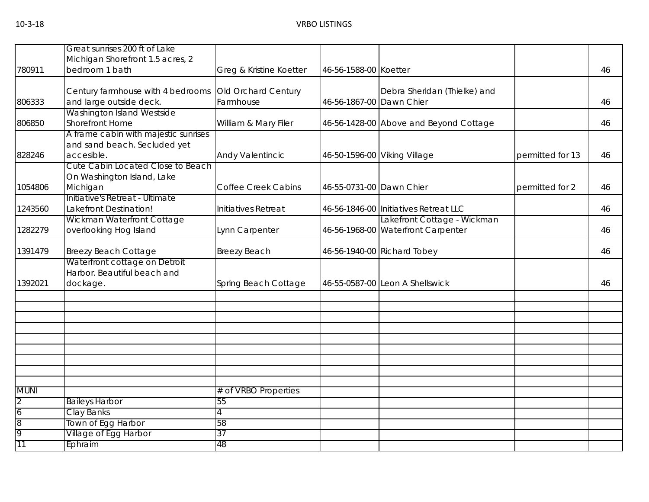| 780911              | Great sunrises 200 ft of Lake<br>Michigan Shorefront 1.5 acres, 2<br>bedroom 1 bath | Greg & Kristine Koetter          | 46-56-1588-00 Koetter    |                                                                   |                  | 46 |
|---------------------|-------------------------------------------------------------------------------------|----------------------------------|--------------------------|-------------------------------------------------------------------|------------------|----|
| 806333              | Century farmhouse with 4 bedrooms<br>and large outside deck.                        | Old Orchard Century<br>Farmhouse | 46-56-1867-00 Dawn Chier | Debra Sheridan (Thielke) and                                      |                  | 46 |
| 806850              | Washington Island Westside<br><b>Shorefront Home</b>                                | William & Mary Filer             |                          | 46-56-1428-00 Above and Beyond Cottage                            |                  | 46 |
| 828246              | A frame cabin with majestic sunrises<br>and sand beach. Secluded yet<br>accesible.  | Andy Valentincic                 |                          | 46-50-1596-00 Viking Village                                      | permitted for 13 | 46 |
| 1054806             | Cute Cabin Located Close to Beach<br>On Washington Island, Lake<br>Michigan         | <b>Coffee Creek Cabins</b>       | 46-55-0731-00 Dawn Chier |                                                                   | permitted for 2  | 46 |
| 1243560             | Initiative's Retreat - Ultimate<br>Lakefront Destination!                           | Initiatives Retreat              |                          | 46-56-1846-00 Initiatives Retreat LLC                             |                  | 46 |
| 1282279             | Wickman Waterfront Cottage<br>overlooking Hog Island                                | Lynn Carpenter                   |                          | Lakefront Cottage - Wickman<br>46-56-1968-00 Waterfront Carpenter |                  | 46 |
| 1391479             | <b>Breezy Beach Cottage</b>                                                         | <b>Breezy Beach</b>              |                          | 46-56-1940-00 Richard Tobey                                       |                  | 46 |
| 1392021             | Waterfront cottage on Detroit<br>Harbor. Beautiful beach and<br>dockage.            | Spring Beach Cottage             |                          | 46-55-0587-00 Leon A Shellswick                                   |                  | 46 |
|                     |                                                                                     |                                  |                          |                                                                   |                  |    |
|                     |                                                                                     |                                  |                          |                                                                   |                  |    |
|                     |                                                                                     |                                  |                          |                                                                   |                  |    |
| <b>MUNI</b>         |                                                                                     | # of VRBO Properties             |                          |                                                                   |                  |    |
| $\overline{2}$<br>6 | <b>Baileys Harbor</b><br>Clay Banks                                                 | 55                               |                          |                                                                   |                  |    |
| 8<br>9              | Town of Egg Harbor<br>Village of Egg Harbor                                         | 58<br>37                         |                          |                                                                   |                  |    |
| 11                  | Ephraim                                                                             | 48                               |                          |                                                                   |                  |    |